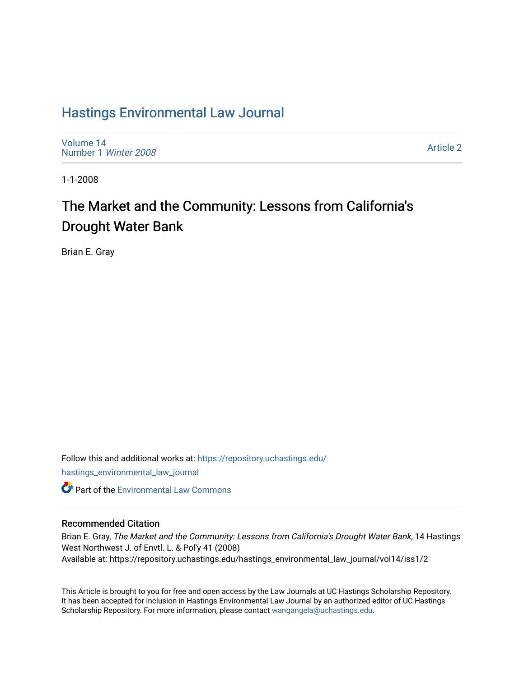## [Hastings Environmental Law Journal](https://repository.uchastings.edu/hastings_environmental_law_journal)

[Volume 14](https://repository.uchastings.edu/hastings_environmental_law_journal/vol14) [Number 1](https://repository.uchastings.edu/hastings_environmental_law_journal/vol14/iss1) Winter 2008

[Article 2](https://repository.uchastings.edu/hastings_environmental_law_journal/vol14/iss1/2) 

1-1-2008

# The Market and the Community: Lessons from California's Drought Water Bank

Brian E. Gray

Follow this and additional works at: [https://repository.uchastings.edu/](https://repository.uchastings.edu/hastings_environmental_law_journal?utm_source=repository.uchastings.edu%2Fhastings_environmental_law_journal%2Fvol14%2Fiss1%2F2&utm_medium=PDF&utm_campaign=PDFCoverPages) [hastings\\_environmental\\_law\\_journal](https://repository.uchastings.edu/hastings_environmental_law_journal?utm_source=repository.uchastings.edu%2Fhastings_environmental_law_journal%2Fvol14%2Fiss1%2F2&utm_medium=PDF&utm_campaign=PDFCoverPages)  **Part of the [Environmental Law Commons](http://network.bepress.com/hgg/discipline/599?utm_source=repository.uchastings.edu%2Fhastings_environmental_law_journal%2Fvol14%2Fiss1%2F2&utm_medium=PDF&utm_campaign=PDFCoverPages)** 

## Recommended Citation

Brian E. Gray, The Market and the Community: Lessons from California's Drought Water Bank, 14 Hastings West Northwest J. of Envtl. L. & Pol'y 41 (2008) Available at: https://repository.uchastings.edu/hastings\_environmental\_law\_journal/vol14/iss1/2

This Article is brought to you for free and open access by the Law Journals at UC Hastings Scholarship Repository. It has been accepted for inclusion in Hastings Environmental Law Journal by an authorized editor of UC Hastings Scholarship Repository. For more information, please contact [wangangela@uchastings.edu.](mailto:wangangela@uchastings.edu)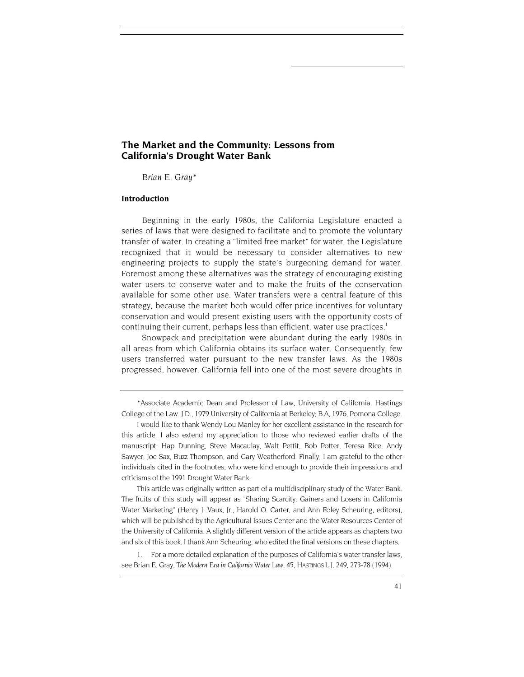## **The Market and the Community: Lessons from California's Drought Water Bank**

*Brian E. Gra[y\\*](#page-1-0)* 

#### **Introduction**

Beginning in the early 1980s, the California Legislature enacted a series of laws that were designed to facilitate and to promote the voluntary transfer of water. In creating a "limited free market" for water, the Legislature recognized that it would be necessary to consider alternatives to new engineering projects to supply the state's burgeoning demand for water. Foremost among these alternatives was the strategy of encouraging existing water users to conserve water and to make the fruits of the conservation available for some other use. Water transfers were a central feature of this strategy, because the market both would offer price incentives for voluntary conservation and would present existing users with the opportunity costs of continuing their current, perhaps less than efficient, water use practices.<sup>[1](#page-1-1)</sup>

Snowpack and precipitation were abundant during the early 1980s in all areas from which California obtains its surface water. Consequently, few users transferred water pursuant to the new transfer laws. As the 1980s progressed, however, California fell into one of the most severe droughts in

This article was originally written as part of a multidisciplinary study of the Water Bank. The fruits of this study will appear as "Sharing Scarcity: Gainers and Losers in California Water Marketing" (Henry J. Vaux, Jr., Harold O. Carter, and Ann Foley Scheuring, editors), which will be published by the Agricultural Issues Center and the Water Resources Center of the University of California. A slightly different version of the article appears as chapters two and six of this book. I thank Ann Scheuring, who edited the final versions on these chapters.

<span id="page-1-1"></span>1. For a more detailed explanation of the purposes of California's water transfer laws, see Brian E. Gray, *The Modern Era in California Water Law*, 45, HASTINGS L.J. 249, 273-78 (1994).

<span id="page-1-0"></span><sup>\*</sup>Associate Academic Dean and Professor of Law, University of California, Hastings College of the Law. J.D., 1979 University of California at Berkeley; B.A, 1976, Pomona College.

I would like to thank Wendy Lou Manley for her excellent assistance in the research for this article. I also extend my appreciation to those who reviewed earlier drafts of the manuscript: Hap Dunning, Steve Macaulay, Walt Pettit, Bob Potter, Teresa Rice, Andy Sawyer, Joe Sax, Buzz Thompson, and Gary Weatherford. Finally, I am grateful to the other individuals cited in the footnotes, who were kind enough to provide their impressions and criticisms of the 1991 Drought Water Bank.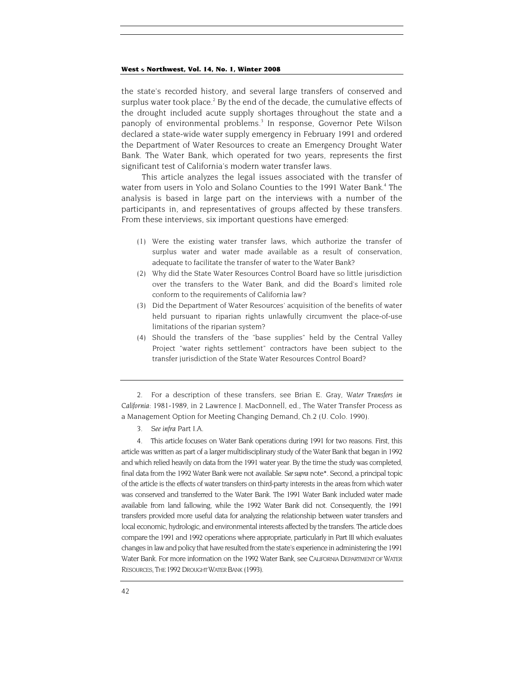the state's recorded history, and several large transfers of conserved and surplus water took place.<sup>[2](#page-2-0)</sup> By the end of the decade, the cumulative effects of the drought included acute supply shortages throughout the state and a panoply of environmental problems.<sup>[3](#page-2-1)</sup> In response, Governor Pete Wilson declared a state-wide water supply emergency in February 1991 and ordered the Department of Water Resources to create an Emergency Drought Water Bank. The Water Bank, which operated for two years, represents the first significant test of California's modern water transfer laws.

This article analyzes the legal issues associated with the transfer of water from users in Yolo and Solano Counties to the 1991 Water Bank.<sup>[4](#page-2-2)</sup> The analysis is based in large part on the interviews with a number of the participants in, and representatives of groups affected by these transfers. From these interviews, six important questions have emerged:

- (1) Were the existing water transfer laws, which authorize the transfer of surplus water and water made available as a result of conservation, adequate to facilitate the transfer of water to the Water Bank?
- (2) Why did the State Water Resources Control Board have so little jurisdiction over the transfers to the Water Bank, and did the Board's limited role conform to the requirements of California law?
- (3) Did the Department of Water Resources' acquisition of the benefits of water held pursuant to riparian rights unlawfully circumvent the place-of-use limitations of the riparian system?
- (4) Should the transfers of the "base supplies" held by the Central Valley Project "water rights settlement" contractors have been subject to the transfer jurisdiction of the State Water Resources Control Board?

<span id="page-2-0"></span>2. For a description of these transfers, see Brian E. Gray, *Water Transfers in California: 1981-1989,* in 2 Lawrence J. MacDonnell, ed., The Water Transfer Process as a Management Option for Meeting Changing Demand, Ch.2 (U. Colo. 1990).

3*. See infra* Part I.A.

<span id="page-2-2"></span><span id="page-2-1"></span>4. This article focuses on Water Bank operations during 1991 for two reasons. First, this article was written as part of a larger multidisciplinary study of the Water Bank that began in 1992 and which relied heavily on data from the 1991 water year. By the time the study was completed, final data from the 1992 Water Bank were not available. *See supra* note\*. Second, a principal topic of the article is the effects of water transfers on third-party interests in the areas from which water was conserved and transferred to the Water Bank. The 1991 Water Bank included water made available from land fallowing, while the 1992 Water Bank did not. Consequently, the 1991 transfers provided more useful data for analyzing the relationship between water transfers and local economic, hydrologic, and environmental interests affected by the transfers. The article does compare the 1991 and 1992 operations where appropriate, particularly in Part III which evaluates changes in law and policy that have resulted from the state's experience in administering the 1991 Water Bank. For more information on the 1992 Water Bank, see CALIFORNIA DEPARTMENT OF WATER RESOURCES, THE 1992 DROUGHT WATER BANK (1993).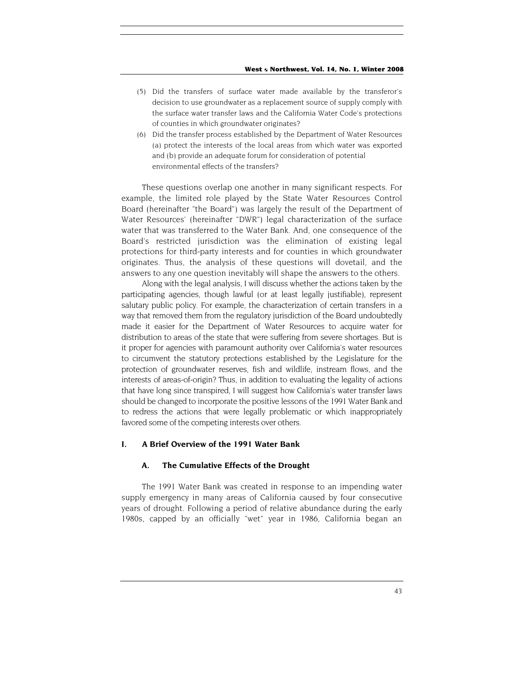- (5) Did the transfers of surface water made available by the transferor's decision to use groundwater as a replacement source of supply comply with the surface water transfer laws and the California Water Code's protections of counties in which groundwater originates?
- (6) Did the transfer process established by the Department of Water Resources (a) protect the interests of the local areas from which water was exported and (b) provide an adequate forum for consideration of potential environmental effects of the transfers?

These questions overlap one another in many significant respects. For example, the limited role played by the State Water Resources Control Board (hereinafter "the Board") was largely the result of the Department of Water Resources' (hereinafter "DWR") legal characterization of the surface water that was transferred to the Water Bank. And, one consequence of the Board's restricted jurisdiction was the elimination of existing legal protections for third-party interests and for counties in which groundwater originates. Thus, the analysis of these questions will dovetail, and the answers to any one question inevitably will shape the answers to the others.

Along with the legal analysis, I will discuss whether the actions taken by the participating agencies, though lawful (or at least legally justifiable), represent salutary public policy. For example, the characterization of certain transfers in a way that removed them from the regulatory jurisdiction of the Board undoubtedly made it easier for the Department of Water Resources to acquire water for distribution to areas of the state that were suffering from severe shortages. But is it proper for agencies with paramount authority over California's water resources to circumvent the statutory protections established by the Legislature for the protection of groundwater reserves, fish and wildlife, instream flows, and the interests of areas-of-origin? Thus, in addition to evaluating the legality of actions that have long since transpired, I will suggest how California's water transfer laws should be changed to incorporate the positive lessons of the 1991 Water Bank and to redress the actions that were legally problematic or which inappropriately favored some of the competing interests over others.

#### **I. A Brief Overview of the 1991 Water Bank**

## **A. The Cumulative Effects of the Drought**

The 1991 Water Bank was created in response to an impending water supply emergency in many areas of California caused by four consecutive years of drought. Following a period of relative abundance during the early 1980s, capped by an officially "wet" year in 1986, California began an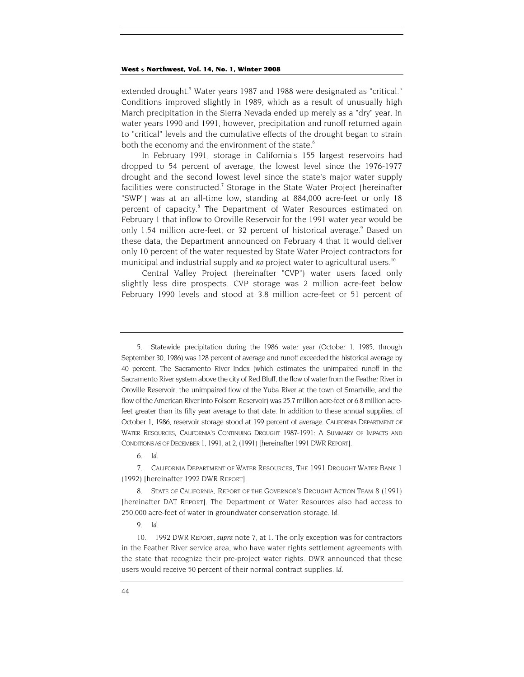extended drought.<sup>5</sup> Water years 1987 and 1988 were designated as "critical." Conditions improved slightly in 1989, which as a result of unusually high March precipitation in the Sierra Nevada ended up merely as a "dry" year. In water years 1990 and 1991, however, precipitation and runoff returned again to "critical" levels and the cumulative effects of the drought began to strain both the economy and the environment of the state. $6$ 

In February 1991, storage in California's 155 largest reservoirs had dropped to 54 percent of average, the lowest level since the 1976-1977 drought and the second lowest level since the state's major water supply facilitieswere constructed.<sup>7</sup> Storage in the State Water Project [hereinafter "SWP"] was at an all-time low, standing at 884,000 acre-feet or only 18 percent of capacity.<sup>8</sup> The Department of Water Resources estimated on February 1 that inflow to Oroville Reservoir for the 1991 water year would be only1.54 million acre-feet, or 32 percent of historical average.<sup>9</sup> Based on these data, the Department announced on February 4 that it would deliver only 10 percent of the water requested by State Water Project contractors for municipal and industrial supply and *no* project water to agricultural users.<sup>[10](#page-4-5)</sup>

Central Valley Project (hereinafter "CVP") water users faced only slightly less dire prospects. CVP storage was 2 million acre-feet below February 1990 levels and stood at 3.8 million acre-feet or 51 percent of

<span id="page-4-1"></span>6*. Id.*

<span id="page-4-4"></span>9*. Id.*

<span id="page-4-0"></span><sup>5.</sup> Statewide precipitation during the 1986 water year (October 1, 1985, through September 30, 1986) was 128 percent of average and runoff exceeded the historical average by 40 percent. The Sacramento River Index (which estimates the unimpaired runoff in the Sacramento River system above the city of Red Bluff, the flow of water from the Feather River in Oroville Reservoir, the unimpaired flow of the Yuba River at the town of Smartville, and the flow of the American River into Folsom Reservoir) was 25.7 million acre-feet or 6.8 million acrefeet greater than its fifty year average to that date. In addition to these annual supplies, of October 1, 1986, reservoir storage stood at 199 percent of average. CALIFORNIA DEPARTMENT OF WATER RESOURCES, CALIFORNIA'S CONTINUING DROUGHT 1987-1991: A SUMMARY OF IMPACTS AND CONDITIONS AS OF DECEMBER 1, 1991, at 2, (1991) [hereinafter 1991 DWR REPORT].

<span id="page-4-2"></span><sup>7.</sup> CALIFORNIA DEPARTMENT OF WATER RESOURCES, THE 1991 DROUGHT WATER BANK 1 (1992) [hereinafter 1992 DWR REPORT].

<span id="page-4-3"></span><sup>8.</sup> STATE OF CALIFORNIA, REPORT OF THE GOVERNOR'S DROUGHT ACTION TEAM 8 (1991) [hereinafter DAT REPORT]. The Department of Water Resources also had access to 250,000 acre-feet of water in groundwater conservation storage. *Id.*

<span id="page-4-5"></span><sup>10. 1992</sup> DWR REPORT, *supra* note 7, at 1. The only exception was for contractors in the Feather River service area, who have water rights settlement agreements with the state that recognize their pre-project water rights. DWR announced that these users would receive 50 percent of their normal contract supplies. *Id.*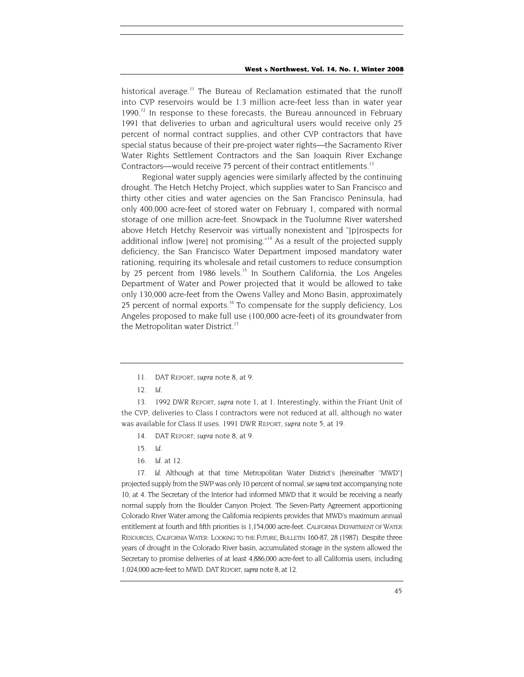historical average.<sup>11</sup> The Bureau of Reclamation estimated that the runoff into CVP reservoirs would be 1.3 million acre-feet less than in water year  $1990$ .<sup>12</sup> In response to these forecasts, the Bureau announced in February 1991 that deliveries to urban and agricultural users would receive only 25 percent of normal contract supplies, and other CVP contractors that have special status because of their pre-project water rights—the Sacramento River Water Rights Settlement Contractors and the San Joaquin River Exchange Contractors—would receive 75 percent of their contract entitlements.<sup>13</sup>

Regional water supply agencies were similarly affected by the continuing drought. The Hetch Hetchy Project, which supplies water to San Francisco and thirty other cities and water agencies on the San Francisco Peninsula, had only 400,000 acre-feet of stored water on February 1, compared with normal storage of one million acre-feet. Snowpack in the Tuolumne River watershed above Hetch Hetchy Reservoir was virtually nonexistent and "[p]rospects for additional inflow [were] not promising."<sup>14</sup> As a result of the projected supply deficiency, the San Francisco Water Department imposed mandatory water rationing, requiring its wholesale and retail customers to reduce consumption by 25 percent from 1986 levels.<sup>15</sup> In Southern California, the Los Angeles Department of Water and Power projected that it would be allowed to take only 130,000 acre-feet from the Owens Valley and Mono Basin, approximately 25 percent of normal exports.<sup>16</sup> To compensate for the supply deficiency, Los Angeles proposed to make full use (100,000 acre-feet) of its groundwater from the Metropolitan water District.<sup>[17](#page-5-6)</sup>

<span id="page-5-0"></span>11. DAT REPORT, *supra* note 8, at 9.

- <span id="page-5-3"></span>14. DAT REPORT, *supra* note 8, at 9.
- <span id="page-5-4"></span>15*. Id.*
- 16*. Id.* at 12.

<span id="page-5-6"></span><span id="page-5-5"></span>17*. Id.* Although at that time Metropolitan Water District's [hereinafter "MWD"] projected supply from the SWP was only 10 percent of normal, *see supra* text accompanying note 10, at 4. The Secretary of the Interior had informed MWD that it would be receiving a nearly normal supply from the Boulder Canyon Project. The Seven-Party Agreement apportioning Colorado River Water among the California recipients provides that MWD's maximum annual entitlement at fourth and fifth priorities is 1,154,000 acre-feet. CALIFORNIA DEPARTMENT OF WATER RESOURCES, CALIFORNIA WATER: LOOKING TO THE FUTURE, BULLETIN 160-87, 28 (1987). Despite three years of drought in the Colorado River basin, accumulated storage in the system allowed the Secretary to promise deliveries of at least 4,886,000 acre-feet to all California users, including 1,024,000 acre-feet to MWD. DAT REPORT, *supra* note 8, at 12.

<span id="page-5-1"></span><sup>12</sup>*. Id.*

<span id="page-5-2"></span><sup>13. 1992</sup> DWR REPORT, *supra* note 1, at 1. Interestingly, within the Friant Unit of the CVP, deliveries to Class I contractors were not reduced at all, although no water was available for Class II uses. 1991 DWR REPORT, *supra* note 5, at 19.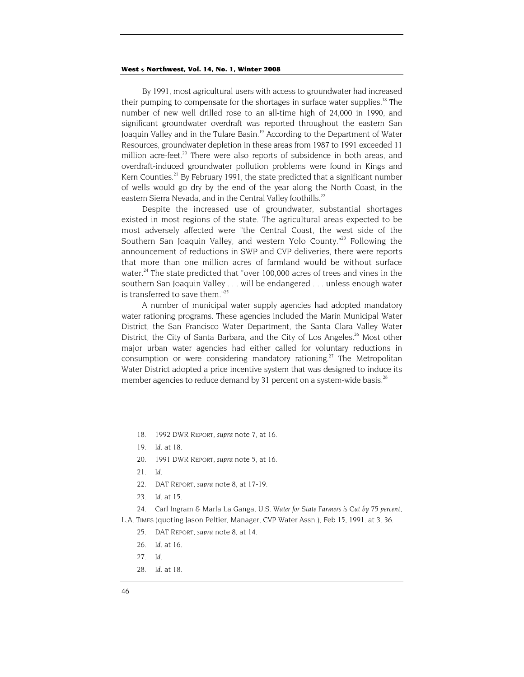By 1991, most agricultural users with access to groundwater had increased their pumping to compensate for the shortages in surface water supplies.<sup>18</sup> The number of new well drilled rose to an all-time high of 24,000 in 1990, and significant groundwater overdraft was reported throughout the eastern San Joaquin Valley and in the Tulare Basin.<sup>19</sup> According to the Department of Water Resources, groundwater depletion in these areas from 1987 to 1991 exceeded 11 million acre-feet.<sup>20</sup> There were also reports of subsidence in both areas, and overdraft-induced groundwater pollution problems were found in Kings and Kern Counties.<sup>21</sup> By February 1991, the state predicted that a significant number of wells would go dry by the end of the year along the North Coast, in the eastern Sierra Nevada, and in the Central Valley foothills.<sup>[22](#page-6-4)</sup>

Despite the increased use of groundwater, substantial shortages existed in most regions of the state. The agricultural areas expected to be most adversely affected were "the Central Coast, the west side of the Southern San Joaquin Valley, and western Yolo County."<sup>23</sup> Following the announcement of reductions in SWP and CVP deliveries, there were reports that more than one million acres of farmland would be without surface water.<sup>24</sup> The state predicted that "over 100,000 acres of trees and vines in the southern San Joaquin Valley . . . will be endangered . . . unless enough water is transferred to save them."[25](#page-6-7)

A number of municipal water supply agencies had adopted mandatory water rationing programs. These agencies included the Marin Municipal Water District, the San Francisco Water Department, the Santa Clara Valley Water District, the City of Santa Barbara, and the City of Los Angeles.<sup>26</sup> Most other major urban water agencies had either called for voluntary reductions in consumption or were considering mandatory rationing.<sup>27</sup> The Metropolitan Water District adopted a price incentive system that was designed to induce its member agencies to reduce demand by 31 percent on a system-wide basis.<sup>[28](#page-6-10)</sup>

- <span id="page-6-0"></span>18. 1992 DWR REPORT, *supra* note 7, at 16.
- <span id="page-6-1"></span>19*. Id.* at 18.
- <span id="page-6-2"></span>20. 1991 DWR REPORT, *supra* note 5, at 16.
- <span id="page-6-3"></span>21*. Id.*
- <span id="page-6-4"></span>22. DAT REPORT, *supra* note 8, at 17-19.
- <span id="page-6-5"></span>23*. Id.* at 15.
- 24. Carl Ingram & Marla La Ganga, U.S. *Water for State Farmers is Cut by 75 percent,*
- <span id="page-6-10"></span><span id="page-6-9"></span><span id="page-6-8"></span><span id="page-6-7"></span><span id="page-6-6"></span>L.A. TIMES (quoting Jason Peltier, Manager, CVP Water Assn.), Feb 15, 1991. at 3. 36.
	- 25. DAT REPORT, *supra* note 8, at 14.
	- 26*. Id.* at 16.
	- 27*. Id.*
	- 28*. Id.* at 18.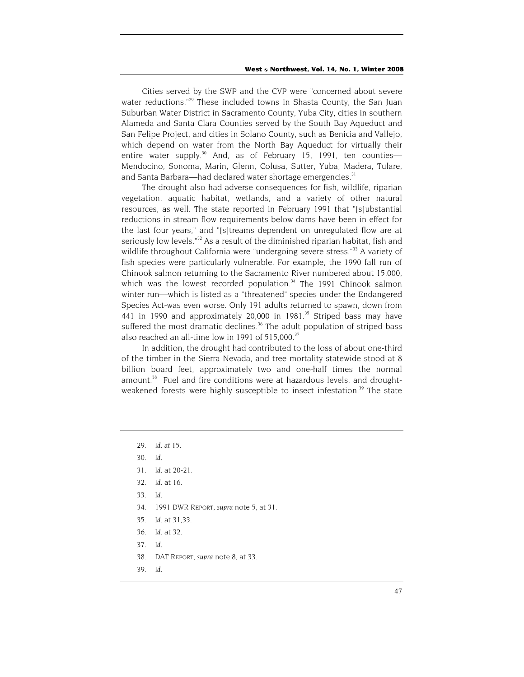Cities served by the SWP and the CVP were "concerned about severe water reductions."<sup>29</sup> These included towns in Shasta County, the San Juan Suburban Water District in Sacramento County, Yuba City, cities in southern Alameda and Santa Clara Counties served by the South Bay Aqueduct and San Felipe Project, and cities in Solano County, such as Benicia and Vallejo, which depend on water from the North Bay Aqueduct for virtually their entire water supply.<sup>30</sup> And, as of February 15, 1991, ten counties-Mendocino, Sonoma, Marin, Glenn, Colusa, Sutter, Yuba, Madera, Tulare, and Santa Barbara—had declared water shortage emergencies.<sup>[31](#page-7-2)</sup>

The drought also had adverse consequences for fish, wildlife, riparian vegetation, aquatic habitat, wetlands, and a variety of other natural resources, as well. The state reported in February 1991 that "[s]ubstantial reductions in stream flow requirements below dams have been in effect for the last four years," and "[s]treams dependent on unregulated flow are at seriously low levels."<sup>32</sup> As a result of the diminished riparian habitat, fish and wildlife throughout California were "undergoing severe stress."<sup>33</sup> A variety of fish species were particularly vulnerable. For example, the 1990 fall run of Chinook salmon returning to the Sacramento River numbered about 15,000, which was the lowest recorded population.<sup>34</sup> The 1991 Chinook salmon winter run—which is listed as a "threatened" species under the Endangered Species Act-was even worse. Only 191 adults returned to spawn, down from 441 in 1990 and approximately 20,000 in 1981.<sup>35</sup> Striped bass may have suffered the most dramatic declines.<sup>36</sup> The adult population of striped bass also reached an all-time low in 1991 of  $515,000$ .<sup>37</sup>

In addition, the drought had contributed to the loss of about one-third of the timber in the Sierra Nevada, and tree mortality statewide stood at 8 billion board feet, approximately two and one-half times the normal amount.<sup>38</sup> Fuel and fire conditions were at hazardous levels, and droughtweakened forests were highly susceptible to insect infestation.<sup>39</sup> The state

- <span id="page-7-0"></span>29*. Id. at 15.*
- <span id="page-7-1"></span>30*. Id.*
- <span id="page-7-2"></span>31*. Id.* at 20-21.
- <span id="page-7-3"></span>32*. Id.* at 16.
- <span id="page-7-4"></span>33*. Id.*
- <span id="page-7-5"></span>34. 1991 DWR REPORT, *supra* note 5, at 31.
- <span id="page-7-6"></span>35*. Id.* at 31,33.
- <span id="page-7-7"></span>36*. Id.* at 32.
- <span id="page-7-8"></span>37*. Id.*
- <span id="page-7-9"></span>38. DAT REPORT*, supra* note 8, at 33.
- <span id="page-7-10"></span>39*. Id.*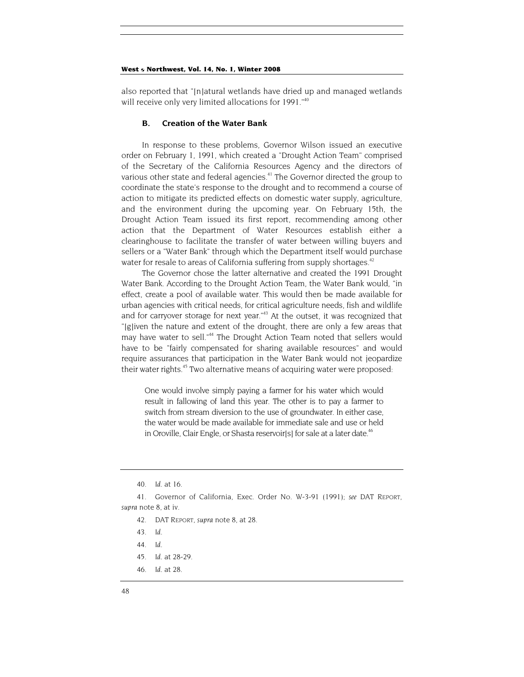also reported that "[n]atural wetlands have dried up and managed wetlands will receive only very limited allocations for 1991."<sup>[40](#page-8-0)</sup>

#### **B. Creation of the Water Bank**

In response to these problems, Governor Wilson issued an executive order on February 1, 1991, which created a "Drought Action Team" comprised of the Secretary of the California Resources Agency and the directors of various other state and federal agencies.<sup>41</sup> The Governor directed the group to coordinate the state's response to the drought and to recommend a course of action to mitigate its predicted effects on domestic water supply, agriculture, and the environment during the upcoming year. On February 15th, the Drought Action Team issued its first report, recommending among other action that the Department of Water Resources establish either a clearinghouse to facilitate the transfer of water between willing buyers and sellers or a "Water Bank" through which the Department itself would purchase water for resale to areas of California suffering from supply shortages.<sup>42</sup>

The Governor chose the latter alternative and created the 1991 Drought Water Bank. According to the Drought Action Team, the Water Bank would, "in effect, create a pool of available water. This would then be made available for urban agencies with critical needs, for critical agriculture needs, fish and wildlife and for carryover storage for next year."<sup>43</sup> At the outset, it was recognized that "[g]iven the nature and extent of the drought, there are only a few areas that may have water to sell."<sup>44</sup> The Drought Action Team noted that sellers would have to be "fairly compensated for sharing available resources" and would require assurances that participation in the Water Bank would not jeopardize their water rights.<sup>45</sup> Two alternative means of acquiring water were proposed:

One would involve simply paying a farmer for his water which would result in fallowing of land this year. The other is to pay a farmer to switch from stream diversion to the use of groundwater. In either case, the water would be made available for immediate sale and use or held in Oroville, Clair Engle, or Shasta reservoir[s] for sale at a later date.<sup>[46](#page-8-6)</sup>

<span id="page-8-0"></span><sup>40</sup>*. Id.* at 16.

<span id="page-8-1"></span><sup>41.</sup> Governor of California, Exec. Order No. W-3-91 (1991); *see* DAT REPORT, *supra* note 8, at iv.

<span id="page-8-2"></span><sup>42.</sup> DAT REPORT, *supra* note 8, at 28.

<span id="page-8-3"></span><sup>43</sup>*. Id.*

<span id="page-8-4"></span><sup>44</sup>*. Id.*

<span id="page-8-5"></span><sup>45</sup>*. Id.* at 28-29.

<span id="page-8-6"></span><sup>46</sup>*. Id.* at 28.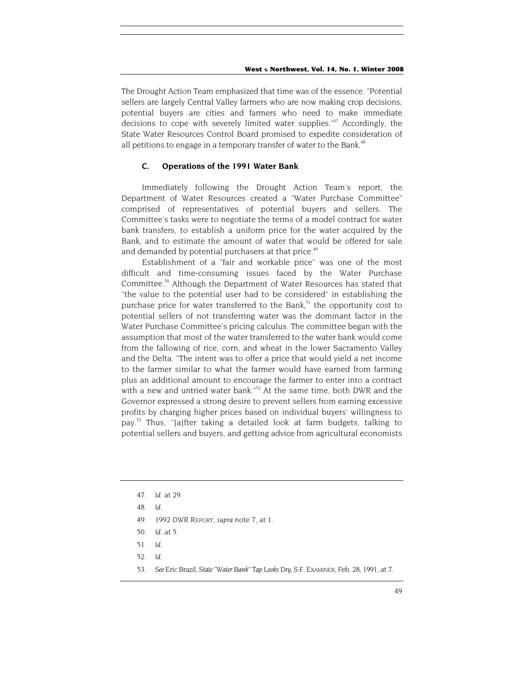The Drought Action Team emphasized that time was of the essence. "Potential sellers are largely Central Valley farmers who are now making crop decisions; potential buyers are cities and farmers who need to make immediate decisions to cope with severely limited water supplies."<sup>47</sup> Accordingly, the State Water Resources Control Board promised to expedite consideration of all petitions to engage in a temporary transfer of water to the Bank.<sup>[48](#page-9-1)</sup>

## **C. Operations of the 1991 Water Bank**

Immediately following the Drought Action Team's report, the Department of Water Resources created a "Water Purchase Committee" comprised of representatives of potential buyers and sellers. The Committee's tasks were to negotiate the terms of a model contract for water bank transfers, to establish a uniform price for the water acquired by the Bank, and to estimate the amount of water that would be offered for sale and demanded by potential purchasers at that price.<sup>49</sup>

Establishment of a "fair and workable price" was one of the most difficult and time-consuming issues faced by the Water Purchase Committee.<sup>50</sup> Although the Department of Water Resources has stated that "the value to the potential user had to be considered" in establishing the purchase price for water transferred to the Bank,<sup>51</sup> the opportunity cost to potential sellers of not transferring water was the dominant factor in the Water Purchase Committee's pricing calculus. The committee began with the assumption that most of the water transferred to the water bank would come from the fallowing of rice, corn, and wheat in the lower Sacramento Valley and the Delta. "The intent was to offer a price that would yield a net income to the farmer similar to what the farmer would have earned from farming plus an additional amount to encourage the farmer to enter into a contract with a new and untried water bank."<sup>52</sup> At the same time, both DWR and the Governor expressed a strong desire to prevent sellers from earning excessive profits by charging higher prices based on individual buyers' willingness to pay.<sup>53</sup> Thus, "[a]fter taking a detailed look at farm budgets, talking to potential sellers and buyers, and getting advice from agricultural economists

<span id="page-9-2"></span>49. 1992 DWR REPORT, *supra* note 7, at 1.

- <span id="page-9-4"></span>51*. Id.*
- <span id="page-9-5"></span>52*. Id.*
- <span id="page-9-6"></span>53*. See* Eric Brazil, *State "Water Bank" Tap Looks Dry,*S.F. EXAMINER, Feb. 28, 1991, at 7.

<span id="page-9-0"></span><sup>47</sup>*. Id.* at 29.

<span id="page-9-1"></span><sup>48</sup>*. Id.*

<span id="page-9-3"></span><sup>50</sup>*. Id.* at 5.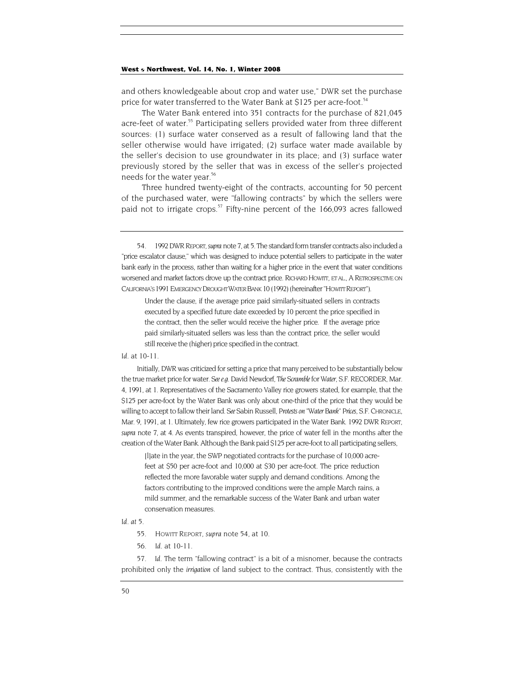<span id="page-10-3"></span>and others knowledgeable about crop and water use," DWR set the purchase price for water transferred to the Water Bank at \$125 per acre-foot.<sup>[54](#page-10-0)</sup>

The Water Bank entered into 351 contracts for the purchase of 821,045 acre-feet of water.<sup>55</sup> Participating sellers provided water from three different sources: (1) surface water conserved as a result of fallowing land that the seller otherwise would have irrigated; (2) surface water made available by the seller's decision to use groundwater in its place; and (3) surface water previously stored by the seller that was in excess of the seller's projected needs for the water year.<sup>[56](#page-10-2)</sup>

Three hundred twenty-eight of the contracts, accounting for 50 percent of the purchased water, were "fallowing contracts" by which the sellers were paid not to irrigate crops.<sup>57</sup> Fifty-nine percent of the 166,093 acres fallowed

Under the clause, if the average price paid similarly-situated sellers in contracts executed by a specified future date exceeded by 10 percent the price specified in the contract, then the seller would receive the higher price. If the average price paid similarly-situated sellers was less than the contract price, the seller would still receive the (higher) price specified in the contract.

#### *Id.* at 10-11.

Initially, DWR was criticized for setting a price that many perceived to be substantially below the true market price for water. *See e.g.* David Newdorf, *The Scramble* for *Water,* S.F. RECORDER, Mar. 4, 1991, at 1. Representatives of the Sacramento Valley rice growers stated, for example, that the \$125 per acre-foot by the Water Bank was only about one-third of the price that they would be willing to accept to fallow their land. *See* Sabin Russell, *Protests on "Water Bank" Prices*, S.F. CHRONICLE, Mar. 9, 1991, at 1. Ultimately, few rice growers participated in the Water Bank. 1992 DWR REPORT, *supra* note 7, at 4. As events transpired, however, the price of water fell in the months after the creation of the Water Bank. Although the Bank paid \$125 per acre-foot to all participating sellers,

[l]ate in the year, the SWP negotiated contracts for the purchase of 10,000 acrefeet at \$50 per acre-foot and 10,000 at \$30 per acre-foot. The price reduction reflected the more favorable water supply and demand conditions. Among the factors contributing to the improved conditions were the ample March rains, a mild summer, and the remarkable success of the Water Bank and urban water conservation measures.

#### <span id="page-10-1"></span>*Id. at 5.*

- 55. HOWITT REPORT, *supra* note 54, at 10.
- 56*. Id.* at 10-11.

<span id="page-10-2"></span>57*. Id.* The term "fallowing contract" is a bit of a misnomer, because the contracts prohibited only the *irrigation* of land subject to the contract. Thus, consistently with the

<span id="page-10-0"></span><sup>54. 1992</sup> DWR REPORT, *supra* note 7, at 5. The standard form transfer contracts also included a "price escalator clause," which was designed to induce potential sellers to participate in the water bank early in the process, rather than waiting for a higher price in the event that water conditions worsened and market factors drove up the contract price. RICHARD HOWITT, ET AL., A RETROSPECTIVE ON CALIFORNIA'S 1991 EMERGENCY DROUGHT WATER BANK 10 (1992) (hereinafter "HOWITT REPORT").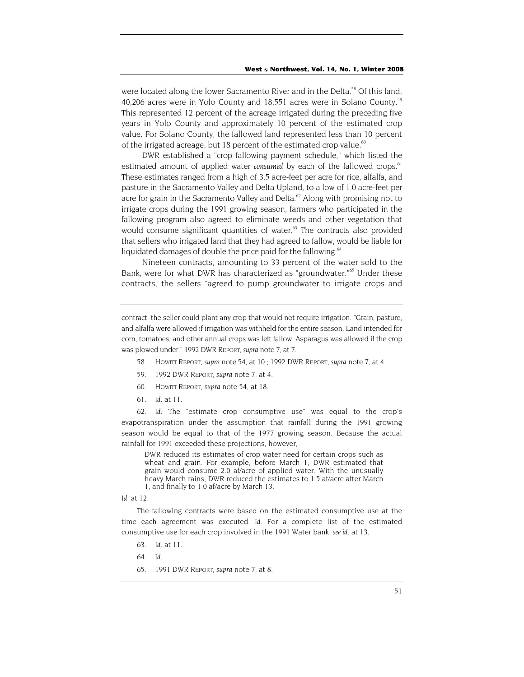were located along the lower Sacramento River and in the Delta.<sup>58</sup> Of this land, 40,206 acres were in Yolo County and 18,551 acres were in Solano County.<sup>59</sup> This represented 12 percent of the acreage irrigated during the preceding five years in Yolo County and approximately 10 percent of the estimated crop value. For Solano County, the fallowed land represented less than 10 percent of the irrigated acreage, but 18 percent of the estimated crop value.<sup>[60](#page-11-2)</sup>

DWR established a "crop fallowing payment schedule," which listed the estimated amount of applied water *consumed* by each of the fallowed crops.<sup>61</sup> These estimates ranged from a high of 3.5 acre-feet per acre for rice, alfalfa, and pasture in the Sacramento Valley and Delta Upland, to a low of 1.0 acre-feet per acre for grain in the Sacramento Valley and Delta. $62$  Along with promising not to irrigate crops during the 1991 growing season, farmers who participated in the fallowing program also agreed to eliminate weeds and other vegetation that would consume significant quantities of water.<sup>63</sup> The contracts also provided that sellers who irrigated land that they had agreed to fallow, would be liable for liquidated damages of double the price paid for the fallowing.<sup>[64](#page-11-6)</sup>

Nineteen contracts, amounting to 33 percent of the water sold to the Bank, were for what DWR has characterized as "groundwater."<sup>65</sup> Under these contracts, the sellers "agreed to pump groundwater to irrigate crops and

contract, the seller could plant any crop that would not require irrigation. "Grain, pasture, and alfalfa were allowed if irrigation was withheld for the entire season. Land intended for corn, tomatoes, and other annual crops was left fallow. Asparagus was allowed if the crop was plowed under." 1992 DWR REPORT, *supra* note 7, at 7.

- <span id="page-11-0"></span>58. HOWITT REPORT, *supra* note 54, at 10.; 1992 DWR REPORT, *supra* note 7, at 4.
- <span id="page-11-1"></span>59. 1992 DWR REPORT, *supra* note 7, at 4.
- <span id="page-11-2"></span>60. HOWITT REPORT, *supra* note 54, at 18.
- <span id="page-11-3"></span>61*. Id.* at 11.

<span id="page-11-4"></span>62*. Id.* The "estimate crop consumptive use" was equal to the crop's evapotranspiration under the assumption that rainfall during the 1991 growing season would be equal to that of the 1977 growing season. Because the actual rainfall for 1991 exceeded these projections, however,

DWR reduced its estimates of crop water need for certain crops such as wheat and grain. For example, before March 1, DWR estimated that grain would consume 2.0 af/acre of applied water. With the unusually heavy March rains, DWR reduced the estimates to 1.5 af/acre after March 1, and finally to 1.0 af/acre by March 13.

#### *Id.* at 12.

The fallowing contracts were based on the estimated consumptive use at the time each agreement was executed. *Id.* For a complete list of the estimated consumptive use for each crop involved in the 1991 Water bank, *see id.* at 13.

- <span id="page-11-5"></span>63*. Id.* at 11.
- <span id="page-11-6"></span>64*. Id.*
- <span id="page-11-7"></span>65. 1991 DWR REPORT, *supra* note 7, at 8.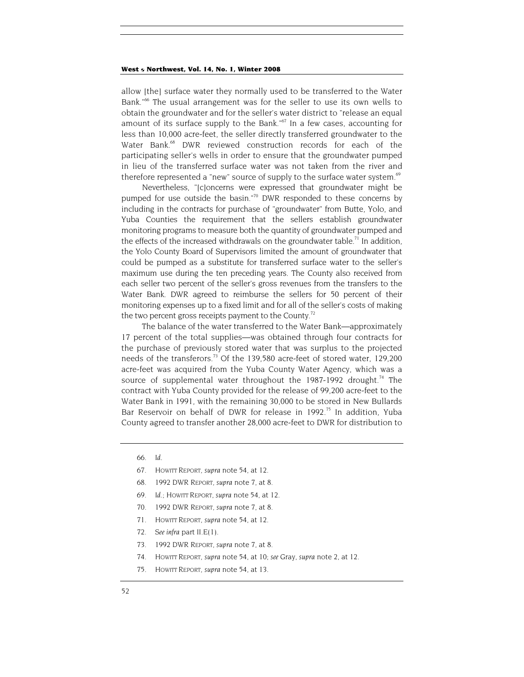allow [the] surface water they normally used to be transferred to the Water Bank."<sup>66</sup> The usual arrangement was for the seller to use its own wells to obtain the groundwater and for the seller's water district to "release an equal amount of its surface supply to the Bank."<sup>67</sup> In a few cases, accounting for less than 10,000 acre-feet, the seller directly transferred groundwater to the Water Bank.<sup>68</sup> DWR reviewed construction records for each of the participating seller's wells in order to ensure that the groundwater pumped in lieu of the transferred surface water was not taken from the river and therefore represented a "new" source of supply to the surface water system.<sup>[69](#page-12-3)</sup>

Nevertheless, "[c]oncerns were expressed that groundwater might be pumped for use outside the basin."<sup>70</sup> DWR responded to these concerns by including in the contracts for purchase of "groundwater" from Butte, Yolo, and Yuba Counties the requirement that the sellers establish groundwater monitoring programs to measure both the quantity of groundwater pumped and the effects of the increased withdrawals on the groundwater table.<sup>71</sup> In addition, the Yolo County Board of Supervisors limited the amount of groundwater that could be pumped as a substitute for transferred surface water to the seller's maximum use during the ten preceding years. The County also received from each seller two percent of the seller's gross revenues from the transfers to the Water Bank. DWR agreed to reimburse the sellers for 50 percent of their monitoring expenses up to a fixed limit and for all of the seller's costs of making the two percent gross receipts payment to the County.<sup>72</sup>

The balance of the water transferred to the Water Bank—approximately 17 percent of the total supplies—was obtained through four contracts for the purchase of previously stored water that was surplus to the projected needs of the transferors.<sup>73</sup> Of the 139,580 acre-feet of stored water, 129,200 acre-feet was acquired from the Yuba County Water Agency, which was a source of supplemental water throughout the  $1987-1992$  drought.<sup>74</sup> The contract with Yuba County provided for the release of 99,200 acre-feet to the Water Bank in 1991, with the remaining 30,000 to be stored in New Bullards Bar Reservoir on behalf of DWR for release in 1992.<sup>75</sup> In addition, Yuba County agreed to transfer another 28,000 acre-feet to DWR for distribution to

- <span id="page-12-1"></span>67. HOWITT REPORT, *supra* note 54, at 12.
- <span id="page-12-2"></span>68. 1992 DWR REPORT, *supra* note 7, at 8.
- <span id="page-12-3"></span>69*. Id.*; HOWITT REPORT, *supra* note 54, at 12.
- <span id="page-12-4"></span>70. 1992 DWR REPORT, *supra* note 7, at 8.
- <span id="page-12-5"></span>71. HOWITT REPORT, *supra* note 54, at 12.
- <span id="page-12-6"></span>72*. See infra* part II.E(1).
- <span id="page-12-7"></span>73. 1992 DWR REPORT, *supra* note 7, at 8.
- <span id="page-12-8"></span>74. HOWITT REPORT, *supra* note 54, at 10; *see* Gray, *supra* note 2, at 12.
- <span id="page-12-9"></span>75. HOWITT REPORT, *supra* note 54, at 13.

<span id="page-12-0"></span><sup>66</sup>*. Id.*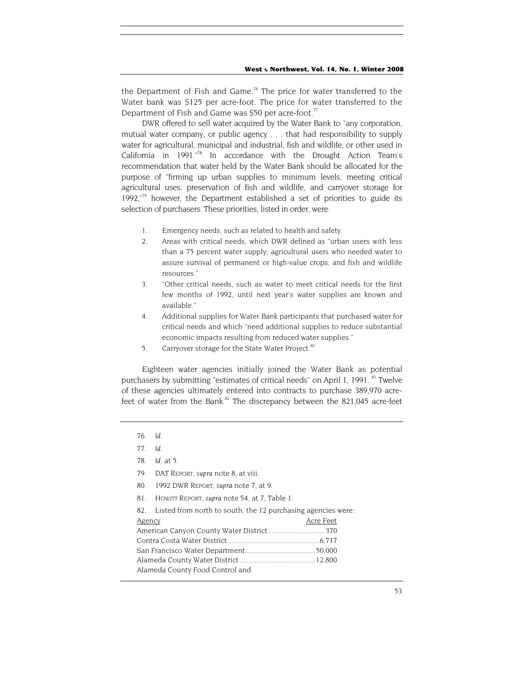<span id="page-13-6"></span>the Department of Fish and Game.<sup>76</sup> The price for water transferred to the Water bank was \$125 per acre-foot. The price for water transferred to the Department of Fish and Game was \$50 per acre-foot.<sup>77</sup>

DWR offered to sell water acquired by the Water Bank to "any corporation, mutual water company, or public agency . . . that had responsibility to supply water for agricultural, municipal and industrial, fish and wildlife, or other used in California in 1991."[78](#page-13-2) In accordance with the Drought Action Team's recommendation that water held by the Water Bank should be allocated for the purpose of "firming up urban supplies to minimum levels, meeting critical agricultural uses, preservation of fish and wildlife, and carryover storage for 1992, $\frac{179}{2}$  however, the Department established a set of priorities to guide its selection of purchasers. These priorities, listed in order, were:

- 1. Emergency needs, such as related to health and safety.
- 2. Areas with critical needs, which DWR defined as "urban users with less than a 75 percent water supply; agricultural users who needed water to assure survival of permanent or high-value crops; and fish and wildlife resources."
- 3. "Other critical needs, such as water to meet critical needs for the first few months of 1992, until next year's water supplies are known and available."
- 4. Additional supplies for Water Bank participants that purchased water for critical needs and which "need additional supplies to reduce substantial economic impacts resulting from reduced water supplies."
- 5. Carryover storage for the State Water Project.<sup>[80](#page-13-4)</sup>

Eighteen water agencies initially joined the Water Bank as potential purchasers by submitting "estimates of critical needs" on April 1, 1991. <sup>81</sup> Twelve of these agencies ultimately entered into contracts to purchase 389,970 acrefeet of water from the Bank. $82$  The discrepancy between the 821,045 acre-feet

- <span id="page-13-4"></span>80. 1992 DWR REPORT*, supra* note 7, at 9.
- <span id="page-13-5"></span>81. HOWITT REPORT, *supra* note 54, at 7, Table 1.
- 82. Listed from north to south, the 12 purchasing agencies were:

| Acre Feet |
|-----------|
|           |
|           |
|           |
|           |
|           |
|           |

<span id="page-13-0"></span><sup>76</sup>*. Id.*

<span id="page-13-1"></span><sup>77</sup>*. Id.*

<span id="page-13-2"></span><sup>78</sup>*. Id.* at 5.

<span id="page-13-3"></span><sup>79.</sup> DAT REPORT, *supra* note 8, at viii.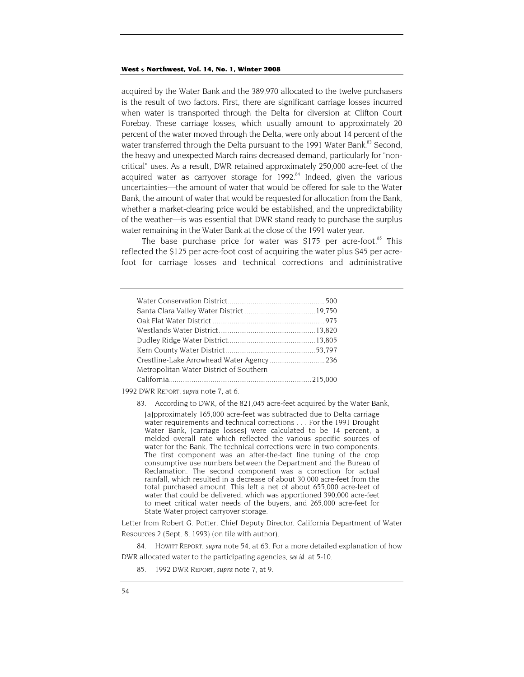acquired by the Water Bank and the 389,970 allocated to the twelve purchasers is the result of two factors. First, there are significant carriage losses incurred when water is transported through the Delta for diversion at Clifton Court Forebay. These carriage losses, which usually amount to approximately 20 percent of the water moved through the Delta, were only about 14 percent of the water transferred through the Delta pursuant to the 1991 Water Bank.<sup>83</sup> Second, the heavy and unexpected March rains decreased demand, particularly for "noncritical" uses. As a result, DWR retained approximately 250,000 acre-feet of the acquired water as carryover storage for  $1992$ .<sup>84</sup> Indeed, given the various uncertainties—the amount of water that would be offered for sale to the Water Bank, the amount of water that would be requested for allocation from the Bank, whether a market-clearing price would be established, and the unpredictability of the weather—is was essential that DWR stand ready to purchase the surplus water remaining in the Water Bank at the close of the 1991 water year.

The base purchase price for water was  $$175$  per acre-foot.<sup>85</sup> This reflected the \$125 per acre-foot cost of acquiring the water plus \$45 per acrefoot for carriage losses and technical corrections and administrative

| Metropolitan Water District of Southern |  |
|-----------------------------------------|--|
|                                         |  |
|                                         |  |

<span id="page-14-0"></span>1992 DWR REPORT, *supra* note 7, at 6.

83. According to DWR, of the 821,045 acre-feet acquired by the Water Bank,

[a]pproximately 165,000 acre-feet was subtracted due to Delta carriage water requirements and technical corrections . . . For the 1991 Drought Water Bank, [carriage losses] were calculated to be 14 percent, a melded overall rate which reflected the various specific sources of water for the Bank. The technical corrections were in two components. The first component was an after-the-fact fine tuning of the crop consumptive use numbers between the Department and the Bureau of Reclamation. The second component was a correction for actual rainfall, which resulted in a decrease of about 30,000 acre-feet from the total purchased amount. This left a net of about 655,000 acre-feet of water that could be delivered, which was apportioned 390,000 acre-feet to meet critical water needs of the buyers, and 265,000 acre-feet for State Water project carryover storage.

Letter from Robert G. Potter, Chief Deputy Director, California Department of Water Resources 2 (Sept. 8, 1993) (on file with author).

<span id="page-14-1"></span>84. HOWITT REPORT, *supra* note 54, at 63. For a more detailed explanation of how DWR allocated water to the participating agencies, *see id.* at 5-10.

<span id="page-14-2"></span>85. 1992 DWR REPORT*, supra* note 7, at 9.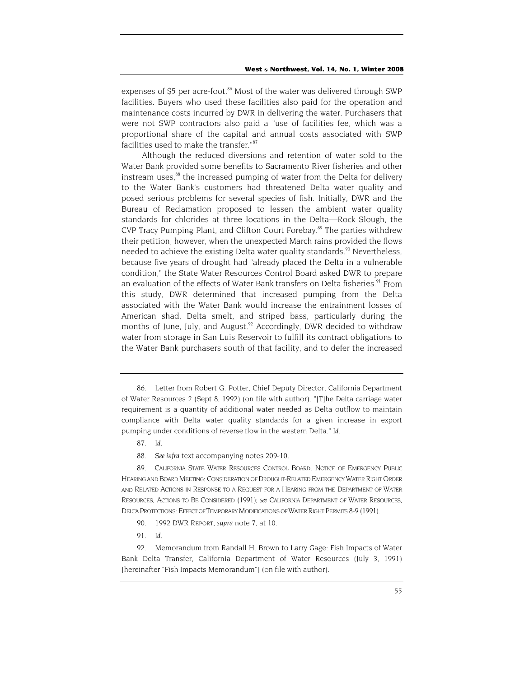expenses of \$5 per acre-foot.<sup>86</sup> Most of the water was delivered through SWP facilities. Buyers who used these facilities also paid for the operation and maintenance costs incurred by DWR in delivering the water. Purchasers that were not SWP contractors also paid a "use of facilities fee, which was a proportional share of the capital and annual costs associated with SWP facilities used to make the transfer."<sup>[87](#page-15-1)</sup>

Although the reduced diversions and retention of water sold to the Water Bank provided some benefits to Sacramento River fisheries and other instream uses,<sup>88</sup> the increased pumping of water from the Delta for delivery to the Water Bank's customers had threatened Delta water quality and posed serious problems for several species of fish. Initially, DWR and the Bureau of Reclamation proposed to lessen the ambient water quality standards for chlorides at three locations in the Delta—Rock Slough, the CVP Tracy Pumping Plant, and Clifton Court Forebay.<sup>89</sup> The parties withdrew their petition, however, when the unexpected March rains provided the flows needed to achieve the existing Delta water quality standards.<sup>90</sup> Nevertheless, because five years of drought had "already placed the Delta in a vulnerable condition," the State Water Resources Control Board asked DWR to prepare an evaluation of the effects of Water Bank transfers on Delta fisheries.<sup>91</sup> From this study, DWR determined that increased pumping from the Delta associated with the Water Bank would increase the entrainment losses of American shad, Delta smelt, and striped bass, particularly during the months of June, July, and August.<sup>92</sup> Accordingly, DWR decided to withdraw water from storage in San Luis Reservoir to fulfill its contract obligations to the Water Bank purchasers south of that facility, and to defer the increased

- <span id="page-15-1"></span>87*. Id.*
- 88*. See infra* text accompanying notes 209-10.

<span id="page-15-3"></span><span id="page-15-2"></span>89. CALIFORNIA STATE WATER RESOURCES CONTROL BOARD, NOTICE OF EMERGENCY PUBLIC HEARING AND BOARD MEETING: CONSIDERATION OF DROUGHT-RELATED EMERGENCY WATER RIGHT ORDER AND RELATED ACTIONS IN RESPONSE TO A REQUEST FOR A HEARING FROM THE DEPARTMENT OF WATER RESOURCES, ACTIONS TO BE CONSIDERED (1991); *see* CALIFORNIA DEPARTMENT OF WATER RESOURCES, DELTA PROTECTIONS: EFFECT OF TEMPORARY MODIFICATIONS OF WATER RIGHT PERMITS 8-9 (1991).

- <span id="page-15-4"></span>90. 1992 DWR REPORT, *supra* note 7, at 10.
- <span id="page-15-5"></span>91*. Id.*

<span id="page-15-6"></span>92. Memorandum from Randall H. Brown to Larry Gage: Fish Impacts of Water Bank Delta Transfer, California Department of Water Resources (July 3, 1991) [hereinafter "Fish Impacts Memorandum"] (on file with author).

<span id="page-15-0"></span><sup>86.</sup> Letter from Robert G. Potter, Chief Deputy Director, California Department of Water Resources 2 (Sept 8, 1992) (on file with author). "[T]he Delta carriage water requirement is a quantity of additional water needed as Delta outflow to maintain compliance with Delta water quality standards for a given increase in export pumping under conditions of reverse flow in the western Delta." *Id.*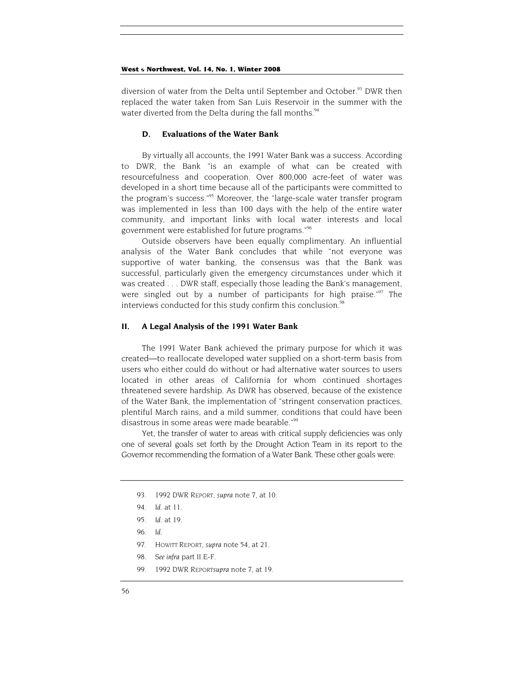diversion of water from the Delta until September and October.<sup>93</sup> DWR then replaced the water taken from San Luis Reservoir in the summer with the water diverted from the Delta during the fall months.<sup>[94](#page-16-1)</sup>

#### **D. Evaluations of the Water Bank**

By virtually all accounts, the 1991 Water Bank was a success. According to DWR, the Bank "is an example of what can be created with resourcefulness and cooperation. Over 800,000 acre-feet of water was developed in a short time because all of the participants were committed to the program's success."<sup>95</sup> Moreover, the "large-scale water transfer program was implemented in less than 100 days with the help of the entire water community, and important links with local water interests and local government were established for future programs."<sup>[96](#page-16-3)</sup>

Outside observers have been equally complimentary. An influential analysis of the Water Bank concludes that while "not everyone was supportive of water banking, the consensus was that the Bank was successful, particularly given the emergency circumstances under which it was created . . . DWR staff, especially those leading the Bank's management, were singled out by a number of participants for high praise." $97$  The interviews conducted for this study confirm this conclusion.<sup>[98](#page-16-5)</sup>

#### **II. A Legal Analysis of the 1991 Water Bank**

The 1991 Water Bank achieved the primary purpose for which it was created—to reallocate developed water supplied on a short-term basis from users who either could do without or had alternative water sources to users located in other areas of California for whom continued shortages threatened severe hardship. As DWR has observed, because of the existence of the Water Bank, the implementation of "stringent conservation practices, plentiful March rains, and a mild summer, conditions that could have been disastrous in some areas were made bearable.["99](#page-16-6)

Yet, the transfer of water to areas with critical supply deficiencies was only one of several goals set forth by the Drought Action Team in its report to the Governor recommending the formation of a Water Bank. These other goals were:

<span id="page-16-0"></span><sup>93. 1992</sup> DWR REPORT, *supra* note 7, at 10.

<span id="page-16-1"></span><sup>94</sup>*. Id.* at 11.

<span id="page-16-2"></span><sup>95</sup>*. Id.* at 19.

<span id="page-16-3"></span><sup>96</sup>*. Id.*

<span id="page-16-4"></span><sup>97.</sup> HOWITT REPORT, *supra* note 54, at 21.

<span id="page-16-5"></span><sup>98</sup>*. See infra* part II.E-F.

<span id="page-16-6"></span><sup>99. 1992</sup> DWR REPORT*supra* note 7, at 19.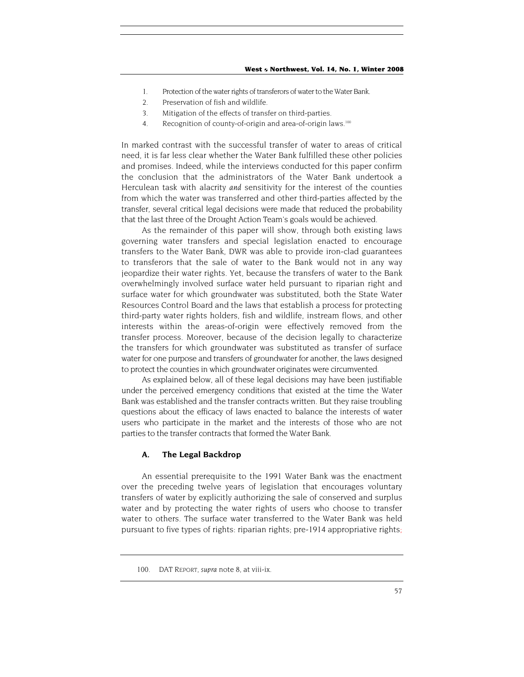- 1. Protection of the water rights of transferors of water to the Water Bank.
- 2. Preservation of fish and wildlife.
- 3. Mitigation of the effects of transfer on third-parties.
- 4. Recognition of county-of-origin and area-of-origin laws.<sup>[100](#page-17-0)</sup>

In marked contrast with the successful transfer of water to areas of critical need, it is far less clear whether the Water Bank fulfilled these other policies and promises. Indeed, while the interviews conducted for this paper confirm the conclusion that the administrators of the Water Bank undertook a Herculean task with alacrity *and* sensitivity for the interest of the counties from which the water was transferred and other third-parties affected by the transfer, several critical legal decisions were made that reduced the probability that the last three of the Drought Action Team's goals would be achieved.

As the remainder of this paper will show, through both existing laws governing water transfers and special legislation enacted to encourage transfers to the Water Bank, DWR was able to provide iron-clad guarantees to transferors that the sale of water to the Bank would not in any way jeopardize their water rights. Yet, because the transfers of water to the Bank overwhelmingly involved surface water held pursuant to riparian right and surface water for which groundwater was substituted, both the State Water Resources Control Board and the laws that establish a process for protecting third-party water rights holders, fish and wildlife, instream flows, and other interests within the areas-of-origin were effectively removed from the transfer process. Moreover, because of the decision legally to characterize the transfers for which groundwater was substituted as transfer of surface water for one purpose and transfers of groundwater for another, the laws designed to protect the counties in which groundwater originates were circumvented.

As explained below, all of these legal decisions may have been justifiable under the perceived emergency conditions that existed at the time the Water Bank was established and the transfer contracts written. But they raise troubling questions about the efficacy of laws enacted to balance the interests of water users who participate in the market and the interests of those who are not parties to the transfer contracts that formed the Water Bank.

#### **A. The Legal Backdrop**

An essential prerequisite to the 1991 Water Bank was the enactment over the preceding twelve years of legislation that encourages voluntary transfers of water by explicitly authorizing the sale of conserved and surplus water and by protecting the water rights of users who choose to transfer water to others. The surface water transferred to the Water Bank was held pursuant to five types of rights: riparian rights; pre-1914 appropriative rights;

<span id="page-17-0"></span><sup>100.</sup> DAT REPORT, *supra* note 8, at viii-ix.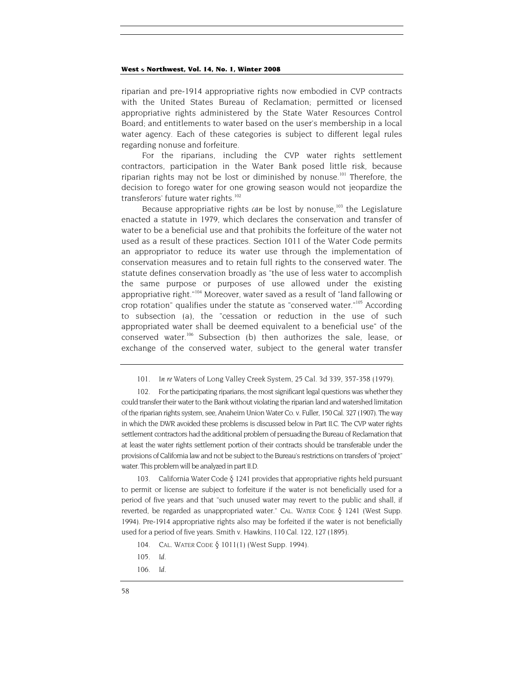riparian and pre-1914 appropriative rights now embodied in CVP contracts with the United States Bureau of Reclamation; permitted or licensed appropriative rights administered by the State Water Resources Control Board; and entitlements to water based on the user's membership in a local water agency. Each of these categories is subject to different legal rules regarding nonuse and forfeiture.

For the riparians, including the CVP water rights settlement contractors, participation in the Water Bank posed little risk, because riparian rights may not be lost or diminished by nonuse.<sup>101</sup> Therefore, the decision to forego water for one growing season would not jeopardize the transferors' future water rights.<sup>[102](#page-18-1)</sup>

Because appropriative rights *can* be lost by nonuse,<sup>103</sup> the Legislature enacted a statute in 1979, which declares the conservation and transfer of water to be a beneficial use and that prohibits the forfeiture of the water not used as a result of these practices. Section 1011 of the Water Code permits an appropriator to reduce its water use through the implementation of conservation measures and to retain full rights to the conserved water. The statute defines conservation broadly as "the use of less water to accomplish the same purpose or purposes of use allowed under the existing appropriative right."[104 M](#page-18-3)oreover, water saved as a result of "land fallowing or crop rotation" qualifies under the statute as "conserved water."<sup>105</sup> According to subsection (a), the "cessation or reduction in the use of such appropriated water shall be deemed equivalent to a beneficial use" of the conserved water.<sup>106</sup> Subsection (b) then authorizes the sale, lease, or exchange of the conserved water, subject to the general water transfer

<span id="page-18-1"></span><span id="page-18-0"></span>102. For the participating riparians, the most significant legal questions was whether they could transfer their water to the Bank without violating the riparian land and watershed limitation of the riparian rights system, see, Anaheim Union Water Co. v. Fuller, 150 Cal. 327 (1907). The way in which the DWR avoided these problems is discussed below in Part II.C. The CVP water rights settlement contractors had the additional problem of persuading the Bureau of Reclamation that at least the water rights settlement portion of their contracts should be transferable under the provisions of California law and not be subject to the Bureau's restrictions on transfers of "project" water. This problem will be analyzed in part II.D.

<span id="page-18-2"></span>103. California Water Code § 1241 provides that appropriative rights held pursuant to permit or license are subject to forfeiture if the water is not beneficially used for a period of five years and that "such unused water may revert to the public and shall, if reverted, be regarded as unappropriated water." CAL. WATER CODE § 1241 (West Supp. 1994). Pre-1914 appropriative rights also may be forfeited if the water is not beneficially used for a period of five years. Smith v. Hawkins, 110 Cal. 122, 127 (1895).

- <span id="page-18-3"></span>104. CAL. WATER CODE § 1011(1) (West Supp. 1994).
- <span id="page-18-4"></span>105*. Id.*
- <span id="page-18-5"></span>106*. Id.*

<sup>101</sup>*. In re* Waters of Long Valley Creek System, 25 Cal. 3d 339, 357-358 (1979).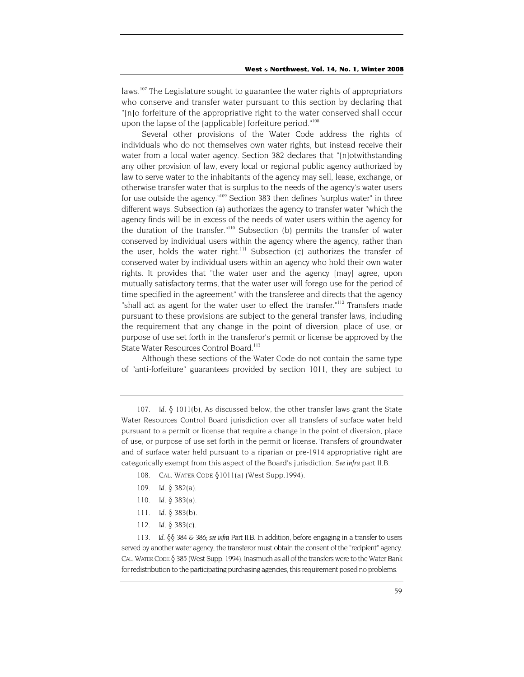laws.<sup>107</sup> The Legislature sought to guarantee the water rights of appropriators who conserve and transfer water pursuant to this section by declaring that "[n]o forfeiture of the appropriative right to the water conserved shall occur upon the lapse of the [applicable] forfeiture period."<sup>108</sup>

Several other provisions of the Water Code address the rights of individuals who do not themselves own water rights, but instead receive their water from a local water agency. Section 382 declares that "[n]otwithstanding any other provision of law, every local or regional public agency authorized by law to serve water to the inhabitants of the agency may sell, lease, exchange, or otherwise transfer water that is surplus to the needs of the agency's water users for use outside the agency."<sup>109</sup> Section 383 then defines "surplus water" in three different ways. Subsection (a) authorizes the agency to transfer water "which the agency finds will be in excess of the needs of water users within the agency for the duration of the transfer."<sup>110</sup> Subsection (b) permits the transfer of water conserved by individual users within the agency where the agency, rather than the user, holds the water right.<sup>111</sup> Subsection (c) authorizes the transfer of conserved water by individual users within an agency who hold their own water rights. It provides that "the water user and the agency [may] agree, upon mutually satisfactory terms, that the water user will forego use for the period of time specified in the agreement" with the transferee and directs that the agency "shall act as agent for the water user to effect the transfer."<sup>112</sup> Transfers made pursuant to these provisions are subject to the general transfer laws, including the requirement that any change in the point of diversion, place of use, or purpose of use set forth in the transferor's permit or license be approved by the State Water Resources Control Board.<sup>113</sup>

Although these sections of the Water Code do not contain the same type of "anti-forfeiture" guarantees provided by section 1011, they are subject to

- <span id="page-19-1"></span>108. CAL. WATER CODE §1011(a) (West Supp.1994).
- <span id="page-19-2"></span>109*. Id.* § 382(a).
- <span id="page-19-3"></span>110*. Id.* § 383(a).
- <span id="page-19-4"></span>111*. Id.* § 383(b).
- <span id="page-19-5"></span>112*. Id.* § 383(c).

<span id="page-19-6"></span>113*. Id.* §§ 384 & 386; *see infra* Part II.B. In addition, before engaging in a transfer to users served by another water agency, the transferor must obtain the consent of the "recipient" agency. CAL. WATER CODE § 385 (West Supp. 1994). Inasmuch as all of the transfers were to the Water Bank for redistribution to the participating purchasing agencies, this requirement posed no problems.

<span id="page-19-0"></span><sup>107</sup>*. Id.* § 1011(b), As discussed below, the other transfer laws grant the State Water Resources Control Board jurisdiction over all transfers of surface water held pursuant to a permit or license that require a change in the point of diversion, place of use, or purpose of use set forth in the permit or license. Transfers of groundwater and of surface water held pursuant to a riparian or pre-1914 appropriative right are categorically exempt from this aspect of the Board's jurisdiction. *See infra* part II.B.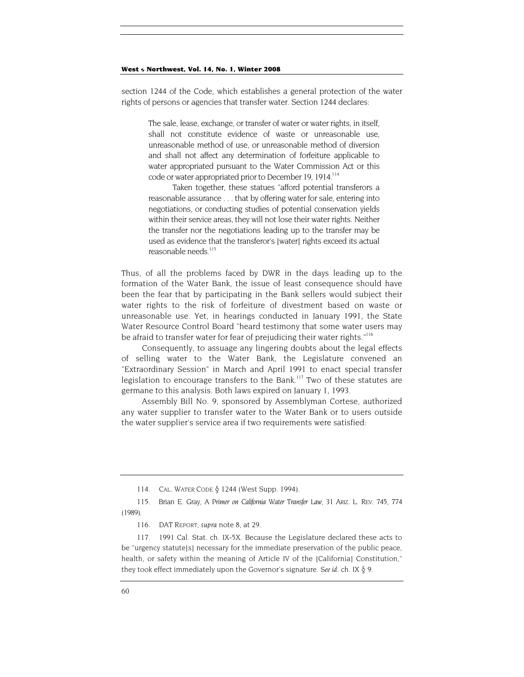section 1244 of the Code, which establishes a general protection of the water rights of persons or agencies that transfer water. Section 1244 declares:

The sale, lease, exchange, or transfer of water or water rights, in itself, shall not constitute evidence of waste or unreasonable use, unreasonable method of use, or unreasonable method of diversion and shall not affect any determination of forfeiture applicable to water appropriated pursuant to the Water Commission Act or this code or water appropriated prior to December 19, 1914.<sup>114</sup>

Taken together, these statues "afford potential transferors a reasonable assurance . . . that by offering water for sale, entering into negotiations, or conducting studies of potential conservation yields within their service areas, they will not lose their water rights. Neither the transfer nor the negotiations leading up to the transfer may be used as evidence that the transferor's [water] rights exceed its actual reasonable needs<sup>115</sup>

Thus, of all the problems faced by DWR in the days leading up to the formation of the Water Bank, the issue of least consequence should have been the fear that by participating in the Bank sellers would subject their water rights to the risk of forfeiture of divestment based on waste or unreasonable use. Yet, in hearings conducted in January 1991, the State Water Resource Control Board "heard testimony that some water users may be afraid to transfer water for fear of prejudicing their water rights."<sup>[116](#page-20-2)</sup>

Consequently, to assuage any lingering doubts about the legal effects of selling water to the Water Bank, the Legislature convened an "Extraordinary Session" in March and April 1991 to enact special transfer legislation to encourage transfers to the Bank.<sup>117</sup> Two of these statutes are germane to this analysis. Both laws expired on January 1, 1993.

Assembly Bill No. 9, sponsored by Assemblyman Cortese, authorized any water supplier to transfer water to the Water Bank or to users outside the water supplier's service area if two requirements were satisfied:

<sup>114.</sup> CAL. WATER CODE § 1244 (West Supp. 1994).

<span id="page-20-1"></span><span id="page-20-0"></span><sup>115.</sup> Brian E. Gray, *A Primer on California Water Transfer Law,* 31 ARIZ. L. REV. 745, 774 (1989).

<span id="page-20-2"></span><sup>116.</sup> DAT REPORT, *supra* note 8, at 29.

<span id="page-20-3"></span><sup>117. 1991</sup> Cal. Stat. ch. IX-5X. Because the Legislature declared these acts to be "urgency statute[s] necessary for the immediate preservation of the public peace, health, or safety within the meaning of Article IV of the [California] Constitution," they took effect immediately upon the Governor's signature. *See id.* ch. IX § 9.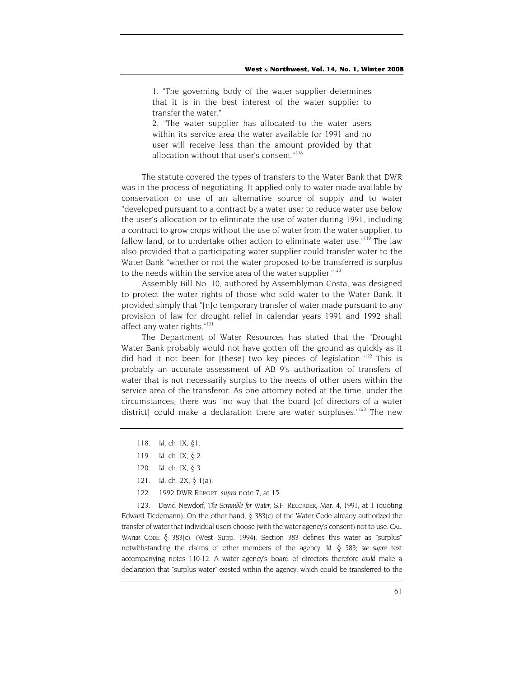<span id="page-21-5"></span>1. "The governing body of the water supplier determines that it is in the best interest of the water supplier to transfer the water."

2. "The water supplier has allocated to the water users within its service area the water available for 1991 and no user will receive less than the amount provided by that allocation without that user's consent."[118](#page-21-0)

The statute covered the types of transfers to the Water Bank that DWR was in the process of negotiating. It applied only to water made available by conservation or use of an alternative source of supply and to water "developed pursuant to a contract by a water user to reduce water use below the user's allocation or to eliminate the use of water during 1991, including a contract to grow crops without the use of water from the water supplier, to fallow land, or to undertake other action to eliminate water use."<sup>119</sup> The law also provided that a participating water supplier could transfer water to the Water Bank "whether or not the water proposed to be transferred is surplus to the needs within the service area of the water supplier."<sup>[120](#page-21-2)</sup>

Assembly Bill No. 10, authored by Assemblyman Costa, was designed to protect the water rights of those who sold water to the Water Bank. It provided simply that "[n]o temporary transfer of water made pursuant to any provision of law for drought relief in calendar years 1991 and 1992 shall affect any water rights."[121](#page-21-3)

The Department of Water Resources has stated that the "Drought Water Bank probably would not have gotten off the ground as quickly as it did had it not been for [these] two key pieces of legislation." $122$  This is probably an accurate assessment of AB 9's authorization of transfers of water that is not necessarily surplus to the needs of other users within the service area of the transferor. As one attorney noted at the time, under the circumstances, there was "no way that the board [of directors of a water district) could make a declaration there are water surpluses." $123$  The new

- <span id="page-21-0"></span>118*. Id.* ch. IX, §1.
- <span id="page-21-1"></span>119*. Id.* ch. IX, § 2.
- <span id="page-21-2"></span>120*. Id.* ch. IX, § 3.
- <span id="page-21-3"></span>121*. Id.* ch. 2X, § 1(a).
- <span id="page-21-4"></span>122. 1992 DWR REPORT, *supra* note 7, at 15.

123. David Newdorf, *The Scramble for Water,* S.F. RECORDER, Mar. 4, 1991, at 1 (quoting Edward Tiedemann). On the other hand, § 383(c) of the Water Code already authorized the transfer of water that individual users choose (with the water agency's consent) not to use. CAL. WATER CODE  $\delta$  383(c). (West Supp. 1994). Section 383 defines this water as "surplus" notwithstanding the claims of other members of the agency. *Id.* § 383; *see supra* text accompanying notes 110-12. A water agency's board of directors therefore *could* make a declaration that "surplus water" existed within the agency, which could be transferred to the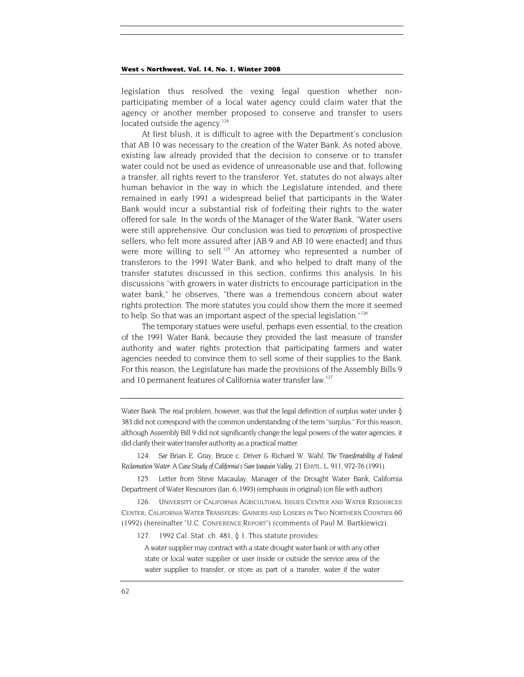<span id="page-22-3"></span>legislation thus resolved the vexing legal question whether nonparticipating member of a local water agency could claim water that the agency or another member proposed to conserve and transfer to users located outside the agency.<sup>124</sup>

At first blush, it is difficult to agree with the Department's conclusion that AB 10 was necessary to the creation of the Water Bank. As noted above, existing law already provided that the decision to conserve or to transfer water could not be used as evidence of unreasonable use and that, following a transfer, all rights revert to the transferor. Yet, statutes do not always alter human behavior in the way in which the Legislature intended, and there remained in early 1991 a widespread belief that participants in the Water Bank would incur a substantial risk of forfeiting their rights to the water offered for sale. In the words of the Manager of the Water Bank, "Water users were still apprehensive. Our conclusion was tied to *perceptions* of prospective sellers, who felt more assured after [AB 9 and AB 10 were enacted] and thus were more willing to sell.<sup>125</sup> An attorney who represented a number of transferors to the 1991 Water Bank, and who helped to draft many of the transfer statutes discussed in this section, confirms this analysis. In his discussions "with growers in water districts to encourage participation in the water bank," he observes, "there was a tremendous concern about water rights protection. The more statutes you could show them the more it seemed to help. So that was an important aspect of the special legislation."<sup>[126](#page-22-2)</sup>

The temporary statues were useful, perhaps even essential, to the creation of the 1991 Water Bank, because they provided the last measure of transfer authority and water rights protection that participating farmers and water agencies needed to convince them to sell some of their supplies to the Bank. For this reason, the Legislature has made the provisions of the Assembly Bills 9 and 10 permanent features of California water transfer law.<sup>[127](#page-22-3)</sup>

Water Bank. The real problem, however, was that the legal definition of surplus water under  $\delta$ 383 did not correspond with the common understanding of the term "surplus." For this reason, although Assembly Bill 9 did not significantly change the legal powers of the water agencies, it did clarify their water transfer authority as a practical matter.

<span id="page-22-0"></span>124*. See* Brian E. Gray, Bruce c. Driver & Richard W. Wahl, *The Transferability of Federal Reclamation Water: A Case Study of California's San Joaquin Valley,* 21 ENVTL. L. 911, 972-76 (1991).

<span id="page-22-1"></span>125. Letter from Steve Macaulay, Manager of the Drought Water Bank, California Department of Water Resources (Jan. 6, 1993) (emphasis in original) (on file with author).

<span id="page-22-2"></span>126. UNIVERSITY OF CALIFORNIA AGRICULTURAL ISSUES CENTER AND WATER RESOURCES CENTER, CALIFORNIA WATER TRANSFERS: GAINERS AND LOSERS IN TWO NORTHERN COUNTIES 60 (1992) (hereinafter "U.C. CONFERENCE REPORT") (comments of Paul M. Bartkiewicz).

127. 1992 Cal. Stat. ch. 481, § 1. This statute provides:

A water supplier may contract with a state drought water bank or with any other state or local water supplier or user inside or outside the service area of the water supplier to transfer, or store as part of a transfer, water if the water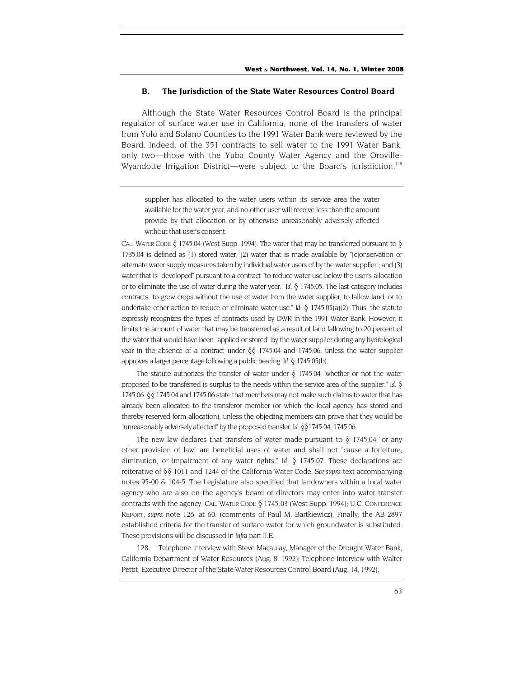#### **B. The Jurisdiction of the State Water Resources Control Board**

Although the State Water Resources Control Board is the principal regulator of surface water use in California, none of the transfers of water from Yolo and Solano Counties to the 1991 Water Bank were reviewed by the Board. Indeed, of the 351 contracts to sell water to the 1991 Water Bank, only two—those with the Yuba County Water Agency and the Oroville-Wyandotte Irrigation District—were subject to the Board's jurisdiction.<sup>128</sup>

supplier has allocated to the water users within its service area the water available for the water year, and no other user will receive less than the amount provide by that allocation or by otherwise unreasonably adversely affected without that user's consent.

CAL. WATER CODE  $\delta$  1745.04 (West Supp. 1994). The water that may be transferred pursuant to  $\delta$ 1735.04 is defined as (1) stored water, (2) water that is made available by "[c]onservation or alternate water supply measures taken by individual water users of by the water supplier"; and (3) water that is "developed" pursuant to a contract "to reduce water use below the user's allocation or to eliminate the use of water during the water year." *Id.* § 1745.05. The last category includes contracts "to grow crops without the use of water from the water supplier, to fallow land, or to undertake other action to reduce or eliminate water use." *Id.* § 1745.05(a)(2). Thus, the statute expressly recognizes the types of contracts used by DWR in the 1991 Water Bank. However, it limits the amount of water that may be transferred as a result of land fallowing to 20 percent of the water that would have been "applied or stored" by the water supplier during any hydrological year in the absence of a contract under §§ 1745.04 and 1745.06, unless the water supplier approves a larger percentage following a public hearing. *Id.* § 1745.05(b).

The statute authorizes the transfer of water under  $\delta$  1745.04 "whether or not the water proposed to be transferred is surplus to the needs within the service area of the supplier." *Id.* § 1745.06. §§ 1745.04 and 1745.06 state that members may not make such claims to water that has already been allocated to the transferor member (or which the local agency has stored and thereby reserved form allocation), unless the objecting members can prove that they would be "unreasonably adversely affected" by the proposed transfer. *Id.* §§1745.04, 1745.06.

The new law declares that transfers of water made pursuant to  $\delta$  1745.04 "or any other provision of law" are beneficial uses of water and shall not "cause a forfeiture, diminution, or impairment of any water rights." *Id.* § 1745.07. These declarations are reiterative of §§ 1011 and 1244 of the California Water Code. *See supra* text accompanying notes 95-00 & 104-5. The Legislature also specified that landowners within a local water agency who are also on the agency's board of directors may enter into water transfer contracts with the agency. CAL. WATER CODE § 1745.03 (West Supp. 1994); U.C. CONFERENCE REPORT, *supra* note 126, at 60. (comments of Paul M. Bartkiewicz). Finally, the AB 2897 established criteria for the transfer of surface water for which groundwater is substituted. These provisions will be discussed in *infra* part II.E.

<span id="page-23-0"></span>128. Telephone interview with Steve Macaulay, Manager of the Drought Water Bank, California Department of Water Resources (Aug. 8, 1992); Telephone interview with Walter Pettit, Executive Director of the State Water Resources Control Board (Aug. 14, 1992).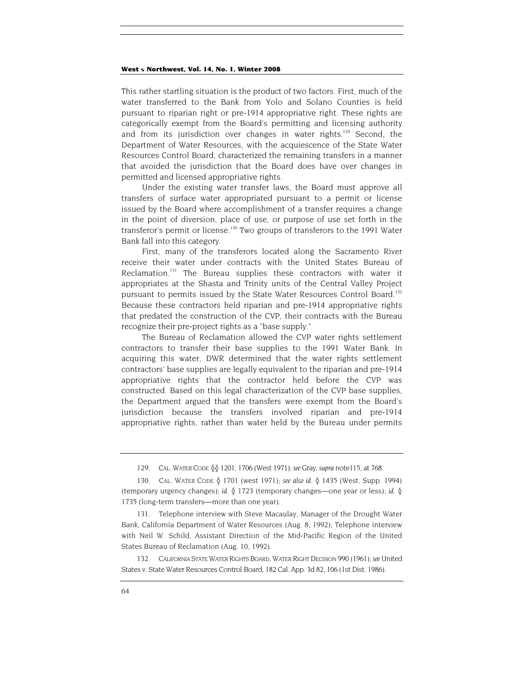This rather startling situation is the product of two factors. First, much of the water transferred to the Bank from Yolo and Solano Counties is held pursuant to riparian right or pre-1914 appropriative right. These rights are categorically exempt from the Board's permitting and licensing authority and from its jurisdiction over changes in water rights.<sup>129</sup> Second, the Department of Water Resources, with the acquiescence of the State Water Resources Control Board, characterized the remaining transfers in a manner that avoided the jurisdiction that the Board does have over changes in permitted and licensed appropriative rights.

Under the existing water transfer laws, the Board must approve all transfers of surface water appropriated pursuant to a permit or license issued by the Board where accomplishment of a transfer requires a change in the point of diversion, place of use, or purpose of use set forth in the transferor's permit or license.<sup>130</sup> Two groups of transferors to the 1991 Water Bank fall into this category.

First, many of the transferors located along the Sacramento River receive their water under contracts with the United States Bureau of Reclamation.<sup>131</sup> The Bureau supplies these contractors with water it appropriates at the Shasta and Trinity units of the Central Valley Project pursuant to permits issued by the State Water Resources Control Board.<sup>132</sup> Because these contractors held riparian and pre-1914 appropriative rights that predated the construction of the CVP, their contracts with the Bureau recognize their pre-project rights as a "base supply."

The Bureau of Reclamation allowed the CVP water rights settlement contractors to transfer their base supplies to the 1991 Water Bank. In acquiring this water, DWR determined that the water rights settlement contractors' base supplies are legally equivalent to the riparian and pre-1914 appropriative rights that the contractor held before the CVP was constructed. Based on this legal characterization of the CVP base supplies, the Department argued that the transfers were exempt from the Board's jurisdiction because the transfers involved riparian and pre-1914 appropriative rights, rather than water held by the Bureau under permits

<span id="page-24-3"></span>132. CALIFORNIA STATE WATER RIGHTS BOARD, WATER RIGHT DECISION 990 (1961); *see* United States v. State Water Resources Control Board, 182 Cal. App. 3d 82, 106 (1st Dist. 1986).

<sup>129.</sup> CAL. WATER CODE §§ 1201, 1706 (West 1971); *see* Gray, *supra* note115, at 768.

<span id="page-24-1"></span><span id="page-24-0"></span><sup>130.</sup> CAL. WATER CODE § 1701 (west 1971); *see also id.* § 1435 (West. Supp. 1994) (temporary urgency changes); *id.* § 1723 (temporary changes—one year or less); *id.* § 1735 (long-term transfers—more than one year).

<span id="page-24-2"></span><sup>131.</sup> Telephone interview with Steve Macaulay, Manager of the Drought Water Bank, California Department of Water Resources (Aug. 8, 1992); Telephone interview with Neil W. Schild, Assistant Direction of the Mid-Pacific Region of the United States Bureau of Reclamation (Aug. 10, 1992).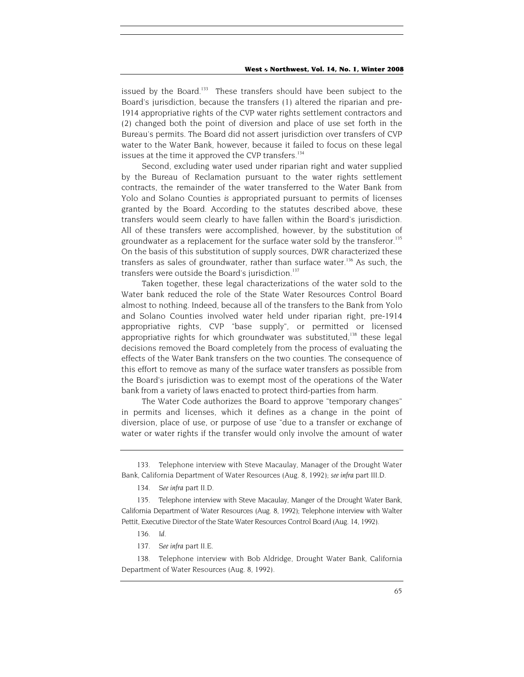issued by the Board.<sup>133</sup> These transfers should have been subject to the Board's jurisdiction, because the transfers (1) altered the riparian and pre-1914 appropriative rights of the CVP water rights settlement contractors and (2) changed both the point of diversion and place of use set forth in the Bureau's permits. The Board did not assert jurisdiction over transfers of CVP water to the Water Bank, however, because it failed to focus on these legal issues at the time it approved the CVP transfers.<sup>[134](#page-25-1)</sup>

Second, excluding water used under riparian right and water supplied by the Bureau of Reclamation pursuant to the water rights settlement contracts, the remainder of the water transferred to the Water Bank from Yolo and Solano Counties *is* appropriated pursuant to permits of licenses granted by the Board. According to the statutes described above, these transfers would seem clearly to have fallen within the Board's jurisdiction. All of these transfers were accomplished, however, by the substitution of groundwater as a replacement for the surface water sold by the transferor.<sup>135</sup> On the basis of this substitution of supply sources, DWR characterized these transfers as sales of groundwater, rather than surface water.<sup>136</sup> As such, the transfers were outside the Board's jurisdiction.<sup>[137](#page-25-4)</sup>

Taken together, these legal characterizations of the water sold to the Water bank reduced the role of the State Water Resources Control Board almost to nothing. Indeed, because all of the transfers to the Bank from Yolo and Solano Counties involved water held under riparian right, pre-1914 appropriative rights, CVP "base supply", or permitted or licensed appropriative rights for which groundwater was substituted,<sup>138</sup> these legal decisions removed the Board completely from the process of evaluating the effects of the Water Bank transfers on the two counties. The consequence of this effort to remove as many of the surface water transfers as possible from the Board's jurisdiction was to exempt most of the operations of the Water bank from a variety of laws enacted to protect third-parties from harm.

The Water Code authorizes the Board to approve "temporary changes" in permits and licenses, which it defines as a change in the point of diversion, place of use, or purpose of use "due to a transfer or exchange of water or water rights if the transfer would only involve the amount of water

<span id="page-25-0"></span><sup>133.</sup> Telephone interview with Steve Macaulay, Manager of the Drought Water Bank, California Department of Water Resources (Aug. 8, 1992); *see infra* part III.D.

<sup>134</sup>*. See infra* part II.D.

<span id="page-25-2"></span><span id="page-25-1"></span><sup>135.</sup> Telephone interview with Steve Macaulay, Manger of the Drought Water Bank, California Department of Water Resources (Aug. 8, 1992); Telephone interview with Walter Pettit, Executive Director of the State Water Resources Control Board (Aug. 14, 1992).

<span id="page-25-3"></span><sup>136</sup>*. Id.*

<sup>137</sup>*. See infra* part II.E.

<span id="page-25-5"></span><span id="page-25-4"></span><sup>138.</sup> Telephone interview with Bob Aldridge, Drought Water Bank, California Department of Water Resources (Aug. 8, 1992).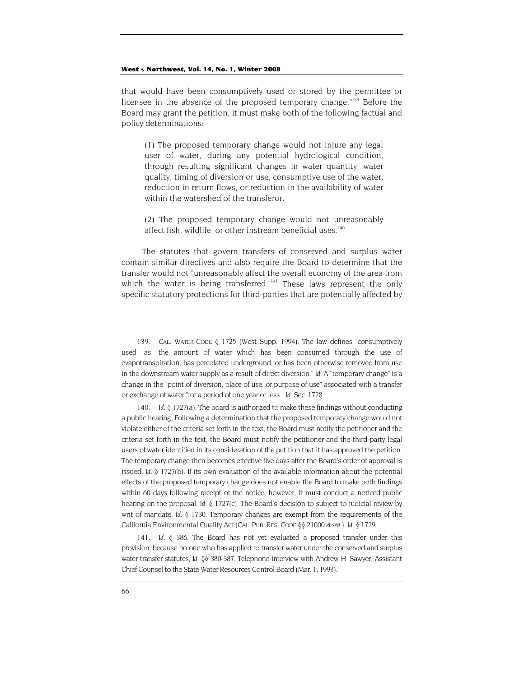that would have been consumptively used or stored by the permittee or licensee in the absence of the proposed temporary change."[139](#page-26-0) Before the Board may grant the petition, it must make both of the following factual and policy determinations:

(1) The proposed temporary change would not injure any legal user of water, during any potential hydrological condition, through resulting significant changes in water quantity, water quality, timing of diversion or use, consumptive use of the water, reduction in return flows, or reduction in the availability of water within the watershed of the transferor.

(2) The proposed temporary change would not unreasonably affect fish, wildlife, or other instream beneficial uses.<sup>[140](#page-26-1)</sup>

The statutes that govern transfers of conserved and surplus water contain similar directives and also require the Board to determine that the transfer would not "unreasonably affect the overall economy of the area from which the water is being transferred."<sup>141</sup> These laws represent the only specific statutory protections for third-parties that are potentially affected by

<span id="page-26-2"></span>141*. Id.* § 386. The Board has not yet evaluated a proposed transfer under this provision, because no one who has applied to transfer water under the conserved and surplus water transfer statutes, *Id.* §§ 380-387. Telephone interview with Andrew H. Sawyer, Assistant Chief Counsel to the State Water Resources Control Board (Mar. 1, 1993).

<span id="page-26-0"></span><sup>139.</sup> CAL. WATER CODE § 1725 (West Supp. 1994). The law defines "consumptively used" as "the amount of water which has been consumed through the use of evapotranspiration, has percolated underground, or has been otherwise removed from use in the downstream water supply as a result of direct diversion." *Id.* A "temporary change" is a change in the "point of diversion, place of use, or purpose of use" associated with a transfer or exchange of water "for a period of one year or less." *Id.* Sec. 1728.

<span id="page-26-1"></span><sup>140</sup>*. Id.* § 1727(a). The board is authorized to make these findings without conducting a public hearing. Following a determination that the proposed temporary change would not violate either of the criteria set forth in the text, the Board must notify the petitioner and the criteria set forth in the text, the Board must notify the petitioner and the third-party legal users of water identified in its consideration of the petition that it has approved the petition. The temporary change then becomes effective five days after the Board's order of approval is issued. *Id.* § 1727(b). If its own evaluation of the available information about the potential effects of the proposed temporary change does not enable the Board to make both findings within 60 days following receipt of the notice, however, it must conduct a noticed public hearing on the proposal. *Id.* § 1727(c). The Board's decision to subject to judicial review by writ of mandate. *Id.*  $\&$  1730. Temporary changes are exempt from the requirements of the California Environmental Quality Act (CAL. PUB. RES. CODE §§ 21000 *et seq.). Id.* § 1729.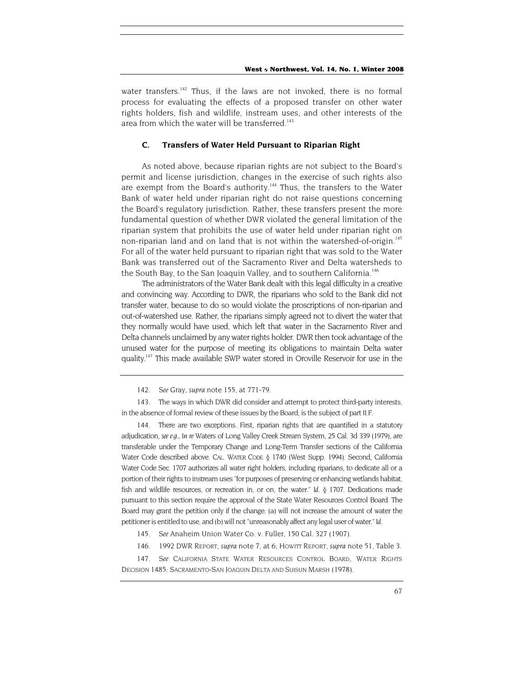water transfers.<sup>142</sup> Thus, if the laws are not invoked, there is no formal process for evaluating the effects of a proposed transfer on other water rights holders, fish and wildlife, instream uses, and other interests of the area from which the water will be transferred.<sup>143</sup>

#### **C. Transfers of Water Held Pursuant to Riparian Right**

As noted above, because riparian rights are not subject to the Board's permit and license jurisdiction, changes in the exercise of such rights also are exempt from the Board's authority.<sup>144</sup> Thus, the transfers to the Water Bank of water held under riparian right do not raise questions concerning the Board's regulatory jurisdiction. Rather, these transfers present the more fundamental question of whether DWR violated the general limitation of the riparian system that prohibits the use of water held under riparian right on non-riparian land and on land that is not within the watershed-of-origin.<sup>145</sup> For all of the water held pursuant to riparian right that was sold to the Water Bank was transferred out of the Sacramento River and Delta watersheds to the South Bay, to the San Joaquin Valley, and to southern California.<sup>[146](#page-27-4)</sup>

The administrators of the Water Bank dealt with this legal difficulty in a creative and convincing way. According to DWR, the riparians who sold to the Bank did not transfer water, because to do so would violate the proscriptions of non-riparian and out-of-watershed use. Rather, the riparians simply agreed not to divert the water that they normally would have used, which left that water in the Sacramento River and Delta channels unclaimed by any water rights holder. DWR then took advantage of the unused water for the purpose of meeting its obligations to maintain Delta water quality.<sup>147</sup> This made available SWP water stored in Oroville Reservoir for use in the

<span id="page-27-1"></span>143. The ways in which DWR did consider and attempt to protect third-party interests, in the absence of formal review of these issues by the Board, is the subject of part II.F.

<span id="page-27-2"></span>144. There are two exceptions. First, riparian rights that are quantified in a statutory adjudication, *see e.g.*, In re Waters of Long Valley Creek Stream System, 25 Cal. 3d 339 (1979), are transferable under the Temporary Change and Long-Term Transfer sections of the California Water Code described above. CAL. WATER CODE § 1740 (West Supp. 1994). Second, California Water Code Sec. 1707 authorizes all water right holders, including riparians, to dedicate all or a portion of their rights to instream uses "for purposes of preserving or enhancing wetlands habitat, fish and wildlife resources, or recreation in, or on, the water." *Id.* § 1707. Dedications made pursuant to this section require the approval of the State Water Resources Control Board. The Board may grant the petition only if the change: (a) will not increase the amount of water the petitioner is entitled to use, and (b) will not "unreasonably affect any legal user of water." *Id.*

<span id="page-27-3"></span>145*. See* Anaheim Union Water Co. v. Fuller, 150 Cal. 327 (1907).

146. 1992 DWR REPORT*, supra* note 7, at 6; HOWITT REPORT*, supra* note 51, Table 3.

<span id="page-27-5"></span><span id="page-27-4"></span>147*. See* CALIFORNIA STATE WATER RESOURCES CONTROL BOARD, WATER RIGHTS DECISION 1485: SACRAMENTO-SAN JOAQUIN DELTA AND SUISUN MARSH (1978).

<span id="page-27-0"></span><sup>142</sup>*. See* Gray, *supra* note 155, at 771-79.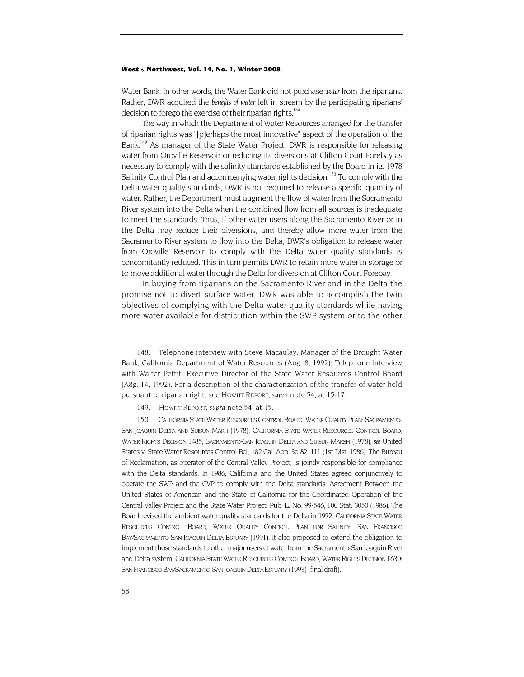Water Bank. In other words, the Water Bank did not purchase *water* from the riparians. Rather, DWR acquired the *benefits of water* left in stream by the participating riparians' decision to forego the exercise of their riparian rights.<sup>148</sup>

The way in which the Department of Water Resources arranged for the transfer of riparian rights was "[p]erhaps the most innovative" aspect of the operation of the Bank.<sup>149</sup> As manager of the State Water Project, DWR is responsible for releasing water from Oroville Reservoir or reducing its diversions at Clifton Court Forebay as necessary to comply with the salinity standards established by the Board in its 1978 Salinity Control Plan and accompanying water rights decision.<sup>150</sup> To comply with the Delta water quality standards, DWR is not required to release a specific quantity of water. Rather, the Department must augment the flow of water from the Sacramento River system into the Delta when the combined flow from all sources is inadequate to meet the standards. Thus, if other water users along the Sacramento River or in the Delta may reduce their diversions, and thereby allow more water from the Sacramento River system to flow into the Delta, DWR's obligation to release water from Oroville Reservoir to comply with the Delta water quality standards is concomitantly reduced. This in turn permits DWR to retain more water in storage or to move additional water through the Delta for diversion at Clifton Court Forebay.

In buying from riparians on the Sacramento River and in the Delta the promise not to divert surface water, DWR was able to accomplish the twin objectives of complying with the Delta water quality standards while having more water available for distribution within the SWP system or to the other

<span id="page-28-1"></span>149. HOWITT REPORT, *supra* note 54, at 15.

<span id="page-28-2"></span>150. CALIFORNIA STATE WATER RESOURCES CONTROL BOARD, WATER QUALITY PLAN: SACRAMENTO-SAN JOAQUIN DELTA AND SUISUN MARH (1978); CALIFORNIA STATE WATER RESOURCES CONTROL BOARD, WATER RIGHTS DECISION 1485; SACRAMENTO-SAN JOAQUIN DELTA AND SUISUN MARSH (1978); *see* United States v. State Water Resources Control Bd., 182 Cal. App. 3d 82, 111 (1st Dist. 1986). The Bureau of Reclamation, as operator of the Central Valley Project, is jointly responsible for compliance with the Delta standards. In 1986, California and the United States agreed conjunctively to operate the SWP and the CVP to comply with the Delta standards. Agreement Between the United States of American and the State of California for the Coordinated Operation of the Central Valley Project and the State Water Project, Pub. L. No. 99-546, 100 Stat. 3050 (1986). The Board revised the ambient water quality standards for the Delta in 1992. CALIFORNIA STATE WATER RESOURCES CONTROL BOARD, WATER QUALITY CONTROL PLAN FOR SALINITY: SAN FRANCISCO BAY/SACRAMENTO-SAN JOAQUIN DELTA ESTUARY (1991). It also proposed to extend the obligation to implement those standards to other major users of water from the Sacramento-San Joaquin River and Delta system. CALIFORNIA STATE WATER RESOURCES CONTROL BOARD, WATER RIGHTS DECISION 1630: SAN FRANCISCO BAY/SACRAMENTO-SAN JOAQUIN DELTA ESTUARY (1993) (final draft).

<span id="page-28-0"></span><sup>148.</sup> Telephone interview with Steve Macaulay, Manager of the Drought Water Bank, California Department of Water Resources (Aug. 8, 1992); Telephone interview with Walter Pettit, Executive Director of the State Water Resources Control Board (A8g. 14, 1992). For a description of the characterization of the transfer of water held pursuant to riparian right, see HOWITT REPORT, *supra* note 54, at 15-17.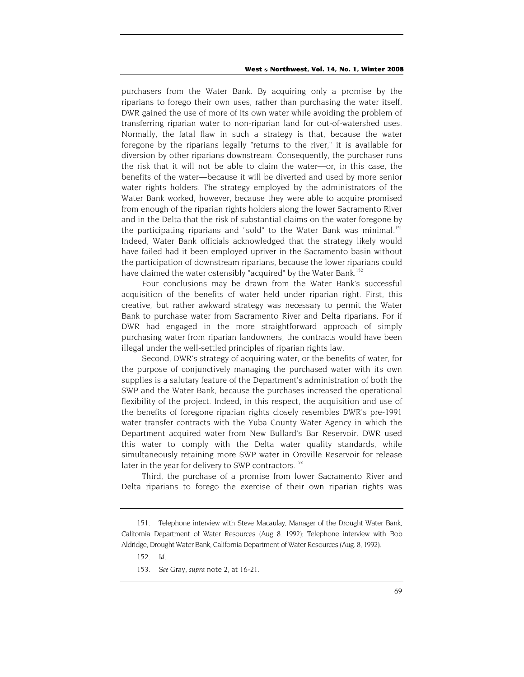purchasers from the Water Bank. By acquiring only a promise by the riparians to forego their own uses, rather than purchasing the water itself, DWR gained the use of more of its own water while avoiding the problem of transferring riparian water to non-riparian land for out-of-watershed uses. Normally, the fatal flaw in such a strategy is that, because the water foregone by the riparians legally "returns to the river," it is available for diversion by other riparians downstream. Consequently, the purchaser runs the risk that it will not be able to claim the water—or, in this case, the benefits of the water—because it will be diverted and used by more senior water rights holders. The strategy employed by the administrators of the Water Bank worked, however, because they were able to acquire promised from enough of the riparian rights holders along the lower Sacramento River and in the Delta that the risk of substantial claims on the water foregone by the participating riparians and "sold" to the Water Bank was minimal.<sup>151</sup> Indeed, Water Bank officials acknowledged that the strategy likely would have failed had it been employed upriver in the Sacramento basin without the participation of downstream riparians, because the lower riparians could have claimed the water ostensibly "acquired" by the Water Bank.<sup>152</sup>

Four conclusions may be drawn from the Water Bank's successful acquisition of the benefits of water held under riparian right. First, this creative, but rather awkward strategy was necessary to permit the Water Bank to purchase water from Sacramento River and Delta riparians. For if DWR had engaged in the more straightforward approach of simply purchasing water from riparian landowners, the contracts would have been illegal under the well-settled principles of riparian rights law.

Second, DWR's strategy of acquiring water, or the benefits of water, for the purpose of conjunctively managing the purchased water with its own supplies is a salutary feature of the Department's administration of both the SWP and the Water Bank, because the purchases increased the operational flexibility of the project. Indeed, in this respect, the acquisition and use of the benefits of foregone riparian rights closely resembles DWR's pre-1991 water transfer contracts with the Yuba County Water Agency in which the Department acquired water from New Bullard's Bar Reservoir. DWR used this water to comply with the Delta water quality standards, while simultaneously retaining more SWP water in Oroville Reservoir for release later in the year for delivery to SWP contractors.<sup>[153](#page-29-2)</sup>

Third, the purchase of a promise from lower Sacramento River and Delta riparians to forego the exercise of their own riparian rights was

<span id="page-29-0"></span><sup>151.</sup> Telephone interview with Steve Macaulay, Manager of the Drought Water Bank, California Department of Water Resources (Aug 8. 1992); Telephone interview with Bob Aldridge, Drought Water Bank, California Department of Water Resources (Aug. 8, 1992).

<span id="page-29-1"></span><sup>152</sup>*. Id.*

<span id="page-29-2"></span><sup>153</sup>*. See* Gray, *supra* note 2, at 16-21.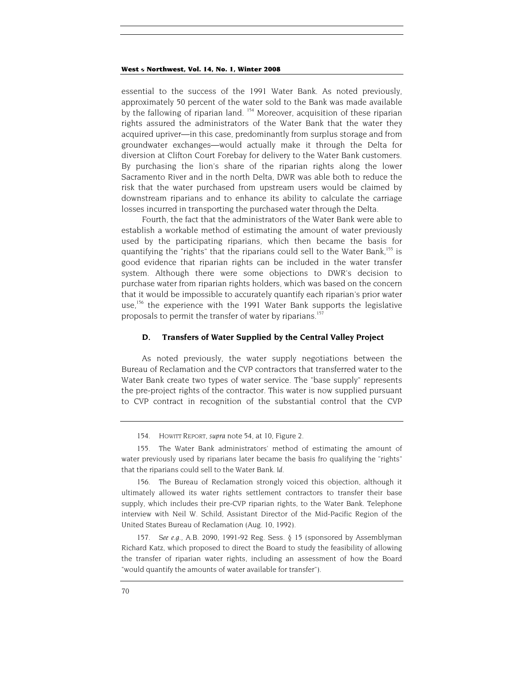essential to the success of the 1991 Water Bank. As noted previously, approximately 50 percent of the water sold to the Bank was made available by the fallowing of riparian land. <sup>154</sup> Moreover, acquisition of these riparian rights assured the administrators of the Water Bank that the water they acquired upriver—in this case, predominantly from surplus storage and from groundwater exchanges—would actually make it through the Delta for diversion at Clifton Court Forebay for delivery to the Water Bank customers. By purchasing the lion's share of the riparian rights along the lower Sacramento River and in the north Delta, DWR was able both to reduce the risk that the water purchased from upstream users would be claimed by downstream riparians and to enhance its ability to calculate the carriage losses incurred in transporting the purchased water through the Delta.

Fourth, the fact that the administrators of the Water Bank were able to establish a workable method of estimating the amount of water previously used by the participating riparians, which then became the basis for quantifying the "rights" that the riparians could sell to the Water Bank,<sup>155</sup> is good evidence that riparian rights can be included in the water transfer system. Although there were some objections to DWR's decision to purchase water from riparian rights holders, which was based on the concern that it would be impossible to accurately quantify each riparian's prior water use,<sup>156</sup> the experience with the 1991 Water Bank supports the legislative proposals to permit the transfer of water by riparians.<sup>[157](#page-30-3)</sup>

#### **D. Transfers of Water Supplied by the Central Valley Project**

As noted previously, the water supply negotiations between the Bureau of Reclamation and the CVP contractors that transferred water to the Water Bank create two types of water service. The "base supply" represents the pre-project rights of the contractor. This water is now supplied pursuant to CVP contract in recognition of the substantial control that the CVP

<span id="page-30-3"></span>157*. See e.g.,* A.B. 2090, 1991-92 Reg. Sess. § 15 (sponsored by Assemblyman Richard Katz, which proposed to direct the Board to study the feasibility of allowing the transfer of riparian water rights, including an assessment of how the Board "would quantify the amounts of water available for transfer").

<sup>154.</sup> HOWITT REPORT, *supra* note 54, at 10, Figure 2.

<span id="page-30-1"></span><span id="page-30-0"></span><sup>155.</sup> The Water Bank administrators' method of estimating the amount of water previously used by riparians later became the basis fro qualifying the "rights" that the riparians could sell to the Water Bank. *Id.*

<span id="page-30-2"></span><sup>156.</sup> The Bureau of Reclamation strongly voiced this objection, although it ultimately allowed its water rights settlement contractors to transfer their base supply, which includes their pre-CVP riparian rights, to the Water Bank. Telephone interview with Neil W. Schild, Assistant Director of the Mid-Pacific Region of the United States Bureau of Reclamation (Aug. 10, 1992).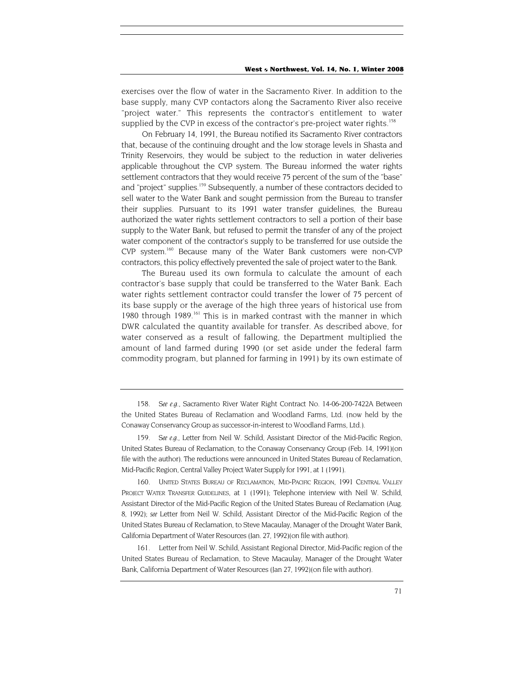exercises over the flow of water in the Sacramento River. In addition to the base supply, many CVP contactors along the Sacramento River also receive "project water." This represents the contractor's entitlement to water supplied by the CVP in excess of the contractor's pre-project water rights.<sup>[158](#page-31-0)</sup>

On February 14, 1991, the Bureau notified its Sacramento River contractors that, because of the continuing drought and the low storage levels in Shasta and Trinity Reservoirs, they would be subject to the reduction in water deliveries applicable throughout the CVP system. The Bureau informed the water rights settlement contractors that they would receive 75 percent of the sum of the "base" and "project" supplies.<sup>159</sup> Subsequently, a number of these contractors decided to sell water to the Water Bank and sought permission from the Bureau to transfer their supplies. Pursuant to its 1991 water transfer guidelines, the Bureau authorized the water rights settlement contractors to sell a portion of their base supply to the Water Bank, but refused to permit the transfer of any of the project water component of the contractor's supply to be transferred for use outside the CVP system.<sup>160</sup> Because many of the Water Bank customers were non-CVP contractors, this policy effectively prevented the sale of project water to the Bank.

The Bureau used its own formula to calculate the amount of each contractor's base supply that could be transferred to the Water Bank. Each water rights settlement contractor could transfer the lower of 75 percent of its base supply or the average of the high three years of historical use from 1980 through 1989.<sup>161</sup> This is in marked contrast with the manner in which DWR calculated the quantity available for transfer. As described above, for water conserved as a result of fallowing, the Department multiplied the amount of land farmed during 1990 (or set aside under the federal farm commodity program, but planned for farming in 1991) by its own estimate of

<span id="page-31-2"></span>160. UNITED STATES BUREAU OF RECLAMATION, MID-PACIFIC REGION, 1991 CENTRAL VALLEY PROJECT WATER TRANSFER GUIDELINES, at 1 (1991); Telephone interview with Neil W. Schild, Assistant Director of the Mid-Pacific Region of the United States Bureau of Reclamation (Aug. 8, 1992); *see* Letter from Neil W. Schild, Assistant Director of the Mid-Pacific Region of the United States Bureau of Reclamation, to Steve Macaulay, Manager of the Drought Water Bank, California Department of Water Resources (Jan. 27, 1992)(on file with author).

<span id="page-31-3"></span>161. Letter from Neil W. Schild, Assistant Regional Director, Mid-Pacific region of the United States Bureau of Reclamation, to Steve Macaulay, Manager of the Drought Water Bank, California Department of Water Resources (Jan 27, 1992)(on file with author).

<span id="page-31-0"></span><sup>158</sup>*. See e.g.,* Sacramento River Water Right Contract No. 14-06-200-7422A Between the United States Bureau of Reclamation and Woodland Farms, Ltd. (now held by the Conaway Conservancy Group as successor-in-interest to Woodland Farms, Ltd.).

<span id="page-31-1"></span><sup>159.</sup> See e.g., Letter from Neil W. Schild, Assistant Director of the Mid-Pacific Region, United States Bureau of Reclamation, to the Conaway Conservancy Group (Feb. 14, 1991)(on file with the author). The reductions were announced in United States Bureau of Reclamation, Mid-Pacific Region, Central Valley Project Water Supply for 1991, at 1 (1991).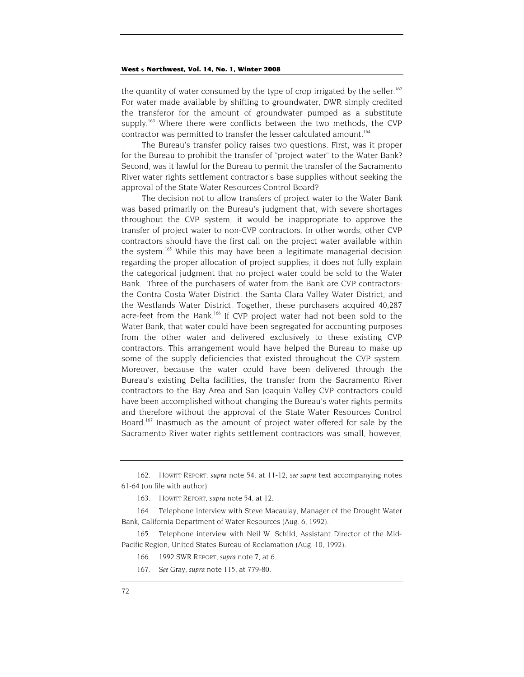the quantity of water consumed by the type of crop irrigated by the seller.<sup>162</sup> For water made available by shifting to groundwater, DWR simply credited the transferor for the amount of groundwater pumped as a substitute supply.<sup>163</sup> Where there were conflicts between the two methods, the CVP contractor was permitted to transfer the lesser calculated amount.<sup>[164](#page-32-2)</sup>

The Bureau's transfer policy raises two questions. First, was it proper for the Bureau to prohibit the transfer of "project water" to the Water Bank? Second, was it lawful for the Bureau to permit the transfer of the Sacramento River water rights settlement contractor's base supplies without seeking the approval of the State Water Resources Control Board?

The decision not to allow transfers of project water to the Water Bank was based primarily on the Bureau's judgment that, with severe shortages throughout the CVP system, it would be inappropriate to approve the transfer of project water to non-CVP contractors. In other words, other CVP contractors should have the first call on the project water available within the system.[165](#page-32-3) While this may have been a legitimate managerial decision regarding the proper allocation of project supplies, it does not fully explain the categorical judgment that no project water could be sold to the Water Bank. Three of the purchasers of water from the Bank are CVP contractors: the Contra Costa Water District, the Santa Clara Valley Water District, and the Westlands Water District. Together, these purchasers acquired 40,287 acre-feet from the Bank.<sup>166</sup> If CVP project water had not been sold to the Water Bank, that water could have been segregated for accounting purposes from the other water and delivered exclusively to these existing CVP contractors. This arrangement would have helped the Bureau to make up some of the supply deficiencies that existed throughout the CVP system. Moreover, because the water could have been delivered through the Bureau's existing Delta facilities, the transfer from the Sacramento River contractors to the Bay Area and San Joaquin Valley CVP contractors could have been accomplished without changing the Bureau's water rights permits and therefore without the approval of the State Water Resources Control Board.<sup>167</sup> Inasmuch as the amount of project water offered for sale by the Sacramento River water rights settlement contractors was small, however,

- <span id="page-32-4"></span>166. 1992 SWR REPORT, *supra* note 7, at 6.
- <span id="page-32-5"></span>167*. See* Gray, *supra* note 115, at 779-80.

<span id="page-32-0"></span><sup>162.</sup> HOWITT REPORT, *supra* note 54, at 11-12; *see supra* text accompanying notes 61-64 (on file with author).

<span id="page-32-1"></span><sup>163.</sup> HOWITT REPORT, *supra* note 54, at 12.

<span id="page-32-2"></span><sup>164.</sup> Telephone interview with Steve Macaulay, Manager of the Drought Water Bank, California Department of Water Resources (Aug. 6, 1992).

<span id="page-32-3"></span><sup>165.</sup> Telephone interview with Neil W. Schild, Assistant Director of the Mid-Pacific Region, United States Bureau of Reclamation (Aug. 10, 1992).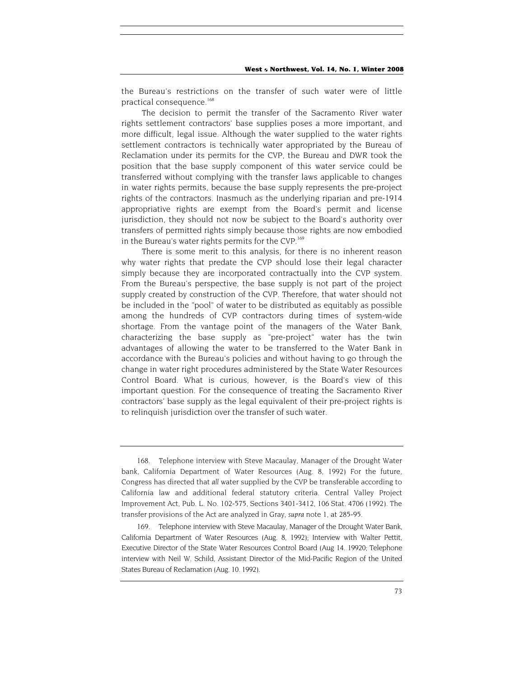the Bureau's restrictions on the transfer of such water were of little practical consequence.<sup>[168](#page-33-0)</sup>

The decision to permit the transfer of the Sacramento River water rights settlement contractors' base supplies poses a more important, and more difficult, legal issue. Although the water supplied to the water rights settlement contractors is technically water appropriated by the Bureau of Reclamation under its permits for the CVP, the Bureau and DWR took the position that the base supply component of this water service could be transferred without complying with the transfer laws applicable to changes in water rights permits, because the base supply represents the pre-project rights of the contractors. Inasmuch as the underlying riparian and pre-1914 appropriative rights are exempt from the Board's permit and license jurisdiction, they should not now be subject to the Board's authority over transfers of permitted rights simply because those rights are now embodied in the Bureau's water rights permits for the CVP.<sup>[169](#page-33-1)</sup>

There is some merit to this analysis, for there is no inherent reason why water rights that predate the CVP should lose their legal character simply because they are incorporated contractually into the CVP system. From the Bureau's perspective, the base supply is not part of the project supply created by construction of the CVP. Therefore, that water should not be included in the "pool" of water to be distributed as equitably as possible among the hundreds of CVP contractors during times of system-wide shortage. From the vantage point of the managers of the Water Bank, characterizing the base supply as "pre-project" water has the twin advantages of allowing the water to be transferred to the Water Bank in accordance with the Bureau's policies and without having to go through the change in water right procedures administered by the State Water Resources Control Board. What is curious, however, is the Board's view of this important question. For the consequence of treating the Sacramento River contractors' base supply as the legal equivalent of their pre-project rights is to relinquish jurisdiction over the transfer of such water.

<span id="page-33-0"></span><sup>168.</sup> Telephone interview with Steve Macaulay, Manager of the Drought Water bank, California Department of Water Resources (Aug. 8, 1992) For the future, Congress has directed that *all* water supplied by the CVP be transferable according to California law and additional federal statutory criteria. Central Valley Project Improvement Act, Pub. L. No. 102-575, Sections 3401-3412, 106 Stat. 4706 (1992). The transfer provisions of the Act are analyzed in Gray, *supra* note 1, at 285-95.

<span id="page-33-1"></span><sup>169.</sup> Telephone interview with Steve Macaulay, Manager of the Drought Water Bank, California Department of Water Resources (Aug. 8, 1992); Interview with Walter Pettit, Executive Director of the State Water Resources Control Board (Aug 14. 19920; Telephone interview with Neil W. Schild, Assistant Director of the Mid-Pacific Region of the United States Bureau of Reclamation (Aug. 10. 1992).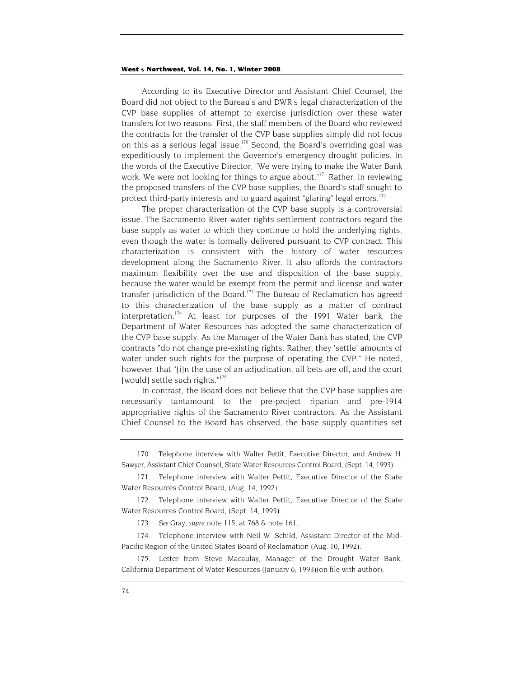According to its Executive Director and Assistant Chief Counsel, the Board did not object to the Bureau's and DWR's legal characterization of the CVP base supplies of attempt to exercise jurisdiction over these water transfers for two reasons. First, the staff members of the Board who reviewed the contracts for the transfer of the CVP base supplies simply did not focus on this as a serious legal issue.<sup>170</sup> Second, the Board's overriding goal was expeditiously to implement the Governor's emergency drought policies. In the words of the Executive Director, "We were trying to make the Water Bank work. We were not looking for things to argue about."<sup>171</sup> Rather, in reviewing the proposed transfers of the CVP base supplies, the Board's staff sought to protect third-party interests and to guard against "glaring" legal errors.<sup>[172](#page-34-2)</sup>

The proper characterization of the CVP base supply is a controversial issue. The Sacramento River water rights settlement contractors regard the base supply as water to which they continue to hold the underlying rights, even though the water is formally delivered pursuant to CVP contract. This characterization is consistent with the history of water resources development along the Sacramento River. It also affords the contractors maximum flexibility over the use and disposition of the base supply, because the water would be exempt from the permit and license and water transfer jurisdiction of the Board.<sup>173</sup> The Bureau of Reclamation has agreed to this characterization of the base supply as a matter of contract interpretation.[174](#page-34-4) At least for purposes of the 1991 Water bank, the Department of Water Resources has adopted the same characterization of the CVP base supply. As the Manager of the Water Bank has stated, the CVP contracts "do not change pre-existing rights. Rather, they 'settle' amounts of water under such rights for the purpose of operating the CVP." He noted, however, that "[i]n the case of an adjudication, all bets are off, and the court [would] settle such rights."[175](#page-34-5)

In contrast, the Board does not believe that the CVP base supplies are necessarily tantamount to the pre-project riparian and pre-1914 appropriative rights of the Sacramento River contractors. As the Assistant Chief Counsel to the Board has observed, the base supply quantities set

<span id="page-34-0"></span>170. Telephone interview with Walter Pettit, Executive Director, and Andrew H. Sawyer, Assistant Chief Counsel, State Water Resources Control Board, (Sept. 14, 1993).

<span id="page-34-2"></span>172. Telephone interview with Walter Pettit, Executive Director of the State Water Resources Control Board, (Sept. 14, 1993).

<span id="page-34-3"></span>173*. See* Gray, *supra* note 115, at 768 & note 161.

<span id="page-34-4"></span>174. Telephone interview with Neil W. Schild, Assistant Director of the Mid-Pacific Region of the United States Board of Reclamation (Aug. 10, 1992).

<span id="page-34-5"></span>175. Letter from Steve Macaulay, Manager of the Drought Water Bank, California Department of Water Resources (January 6, 1993)(on file with author).

<span id="page-34-1"></span><sup>171.</sup> Telephone interview with Walter Pettit, Executive Director of the State Water Resources Control Board, (Aug. 14, 1992).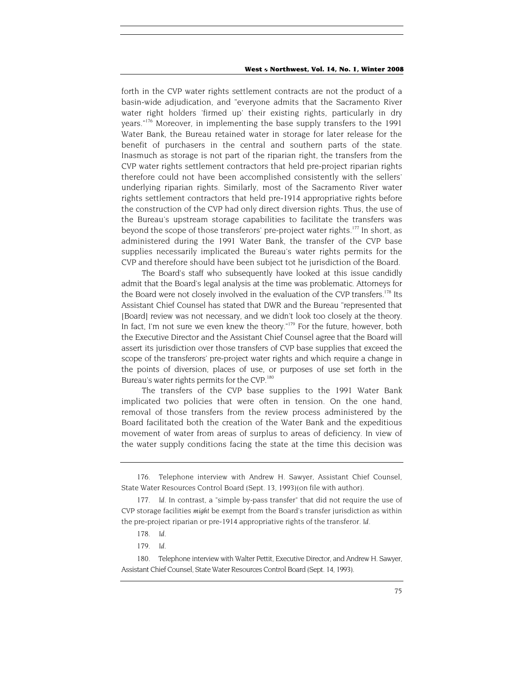forth in the CVP water rights settlement contracts are not the product of a basin-wide adjudication, and "everyone admits that the Sacramento River water right holders 'firmed up' their existing rights, particularly in dry years."<sup>176</sup> Moreover, in implementing the base supply transfers to the 1991 Water Bank, the Bureau retained water in storage for later release for the benefit of purchasers in the central and southern parts of the state. Inasmuch as storage is not part of the riparian right, the transfers from the CVP water rights settlement contractors that held pre-project riparian rights therefore could not have been accomplished consistently with the sellers' underlying riparian rights. Similarly, most of the Sacramento River water rights settlement contractors that held pre-1914 appropriative rights before the construction of the CVP had only direct diversion rights. Thus, the use of the Bureau's upstream storage capabilities to facilitate the transfers was beyond the scope of those transferors' pre-project water rights.<sup>177</sup> In short, as administered during the 1991 Water Bank, the transfer of the CVP base supplies necessarily implicated the Bureau's water rights permits for the CVP and therefore should have been subject tot he jurisdiction of the Board.

The Board's staff who subsequently have looked at this issue candidly admit that the Board's legal analysis at the time was problematic. Attorneys for the Board were not closely involved in the evaluation of the CVP transfers.<sup>178</sup> Its Assistant Chief Counsel has stated that DWR and the Bureau "represented that [Board] review was not necessary, and we didn't look too closely at the theory. In fact, I'm not sure we even knew the theory."<sup>179</sup> For the future, however, both the Executive Director and the Assistant Chief Counsel agree that the Board will assert its jurisdiction over those transfers of CVP base supplies that exceed the scope of the transferors' pre-project water rights and which require a change in the points of diversion, places of use, or purposes of use set forth in the Bureau's water rights permits for the CVP.<sup>[180](#page-35-4)</sup>

The transfers of the CVP base supplies to the 1991 Water Bank implicated two policies that were often in tension. On the one hand, removal of those transfers from the review process administered by the Board facilitated both the creation of the Water Bank and the expeditious movement of water from areas of surplus to areas of deficiency. In view of the water supply conditions facing the state at the time this decision was

<span id="page-35-0"></span><sup>176.</sup> Telephone interview with Andrew H. Sawyer, Assistant Chief Counsel, State Water Resources Control Board (Sept. 13, 1993)(on file with author).

<span id="page-35-1"></span><sup>177</sup>*. Id.* In contrast, a "simple by-pass transfer" that did not require the use of CVP storage facilities *might* be exempt from the Board's transfer jurisdiction as within the pre-project riparian or pre-1914 appropriative rights of the transferor. *Id.*

<span id="page-35-2"></span><sup>178</sup>*. Id.*

<span id="page-35-3"></span><sup>179</sup>*. Id.*

<span id="page-35-4"></span><sup>180.</sup> Telephone interview with Walter Pettit, Executive Director, and Andrew H. Sawyer, Assistant Chief Counsel, State Water Resources Control Board (Sept. 14, 1993).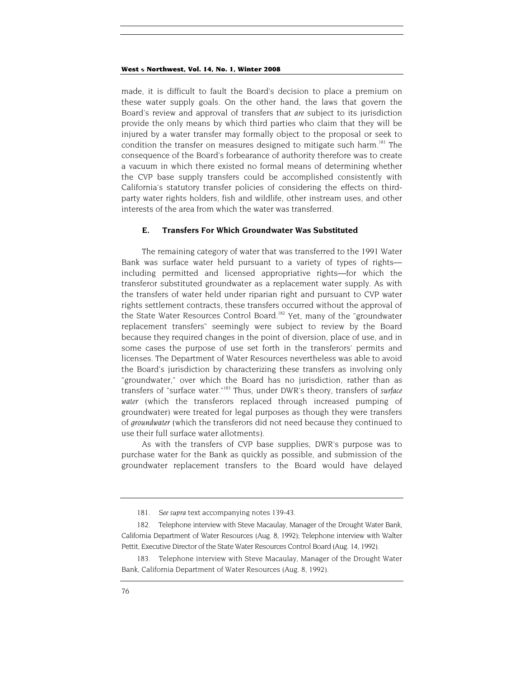made, it is difficult to fault the Board's decision to place a premium on these water supply goals. On the other hand, the laws that govern the Board's review and approval of transfers that *are* subject to its jurisdiction provide the only means by which third parties who claim that they will be injured by a water transfer may formally object to the proposal or seek to condition the transfer on measures designed to mitigate such harm.<sup>181</sup> The consequence of the Board's forbearance of authority therefore was to create a vacuum in which there existed no formal means of determining whether the CVP base supply transfers could be accomplished consistently with California's statutory transfer policies of considering the effects on thirdparty water rights holders, fish and wildlife, other instream uses, and other interests of the area from which the water was transferred.

## **E. Transfers For Which Groundwater Was Substituted**

The remaining category of water that was transferred to the 1991 Water Bank was surface water held pursuant to a variety of types of rights including permitted and licensed appropriative rights—for which the transferor substituted groundwater as a replacement water supply. As with the transfers of water held under riparian right and pursuant to CVP water rights settlement contracts, these transfers occurred without the approval of the State Water Resources Control Board.<sup>182</sup> Yet, many of the "groundwater replacement transfers" seemingly were subject to review by the Board because they required changes in the point of diversion, place of use, and in some cases the purpose of use set forth in the transferors' permits and licenses. The Department of Water Resources nevertheless was able to avoid the Board's jurisdiction by characterizing these transfers as involving only "groundwater," over which the Board has no jurisdiction, rather than as transfers of "surface water.["183](#page-36-2) Thus, under DWR's theory, transfers of *surface water* (which the transferors replaced through increased pumping of groundwater) were treated for legal purposes as though they were transfers of *groundwater* (which the transferors did not need because they continued to use their full surface water allotments).

As with the transfers of CVP base supplies, DWR's purpose was to purchase water for the Bank as quickly as possible, and submission of the groundwater replacement transfers to the Board would have delayed

<span id="page-36-2"></span>183. Telephone interview with Steve Macaulay, Manager of the Drought Water Bank, California Department of Water Resources (Aug. 8, 1992).

<sup>181</sup>*. See supra* text accompanying notes 139-43.

<span id="page-36-1"></span><span id="page-36-0"></span><sup>182.</sup> Telephone interview with Steve Macaulay, Manager of the Drought Water Bank, California Department of Water Resources (Aug. 8, 1992); Telephone interview with Walter Pettit, Executive Director of the State Water Resources Control Board (Aug. 14, 1992).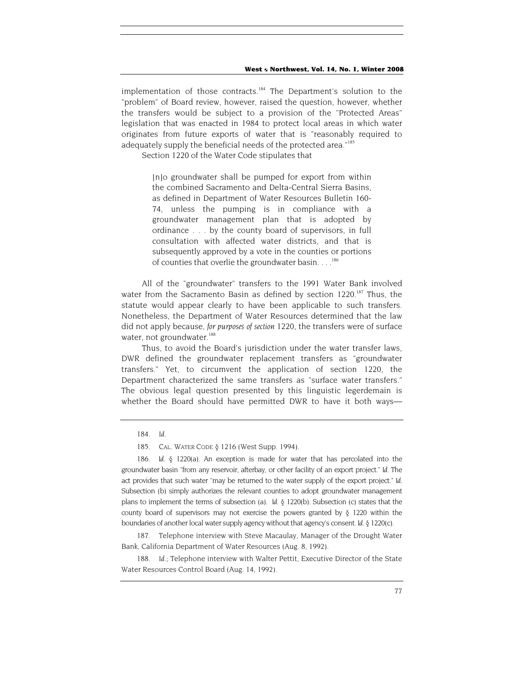implementation of those contracts.<sup>184</sup> The Department's solution to the "problem" of Board review, however, raised the question, however, whether the transfers would be subject to a provision of the "Protected Areas" legislation that was enacted in 1984 to protect local areas in which water originates from future exports of water that is "reasonably required to adequately supply the beneficial needs of the protected area."<sup>185</sup>

Section 1220 of the Water Code stipulates that

[n]o groundwater shall be pumped for export from within the combined Sacramento and Delta-Central Sierra Basins, as defined in Department of Water Resources Bulletin 160- 74, unless the pumping is in compliance with a groundwater management plan that is adopted by ordinance . . . by the county board of supervisors, in full consultation with affected water districts, and that is subsequently approved by a vote in the counties or portions of counties that overlie the groundwater basin. . . .<sup>[186](#page-37-2)</sup>

All of the "groundwater" transfers to the 1991 Water Bank involved water from the Sacramento Basin as defined by section  $1220$ .<sup>187</sup> Thus, the statute would appear clearly to have been applicable to such transfers. Nonetheless, the Department of Water Resources determined that the law did not apply because, *for purposes of section 1220,* the transfers were of surface water, not groundwater.<sup>[188](#page-37-4)</sup>

Thus, to avoid the Board's jurisdiction under the water transfer laws, DWR defined the groundwater replacement transfers as "groundwater transfers." Yet, to circumvent the application of section 1220, the Department characterized the same transfers as "surface water transfers." The obvious legal question presented by this linguistic legerdemain is whether the Board should have permitted DWR to have it both ways—

<span id="page-37-3"></span>187. Telephone interview with Steve Macaulay, Manager of the Drought Water Bank, California Department of Water Resources (Aug. 8, 1992).

<span id="page-37-4"></span>188*. Id.*; Telephone interview with Walter Pettit, Executive Director of the State Water Resources Control Board (Aug. 14, 1992).

<span id="page-37-0"></span><sup>184</sup>*. Id.*

<sup>185.</sup> CAL. WATER CODE § 1216 (West Supp. 1994).

<span id="page-37-2"></span><span id="page-37-1"></span><sup>186</sup>*. Id.* § 1220(a). An exception is made for water that has percolated into the groundwater basin "from any reservoir, afterbay, or other facility of an export project." *Id.* The act provides that such water "may be returned to the water supply of the export project." *Id.* Subsection (b) simply authorizes the relevant counties to adopt groundwater management plans to implement the terms of subsection (a). *Id.* § 1220(b). Subsection (c) states that the county board of supervisors may not exercise the powers granted by  $\S$  1220 within the boundaries of another local water supply agency without that agency's consent. *Id.* § 1220(c).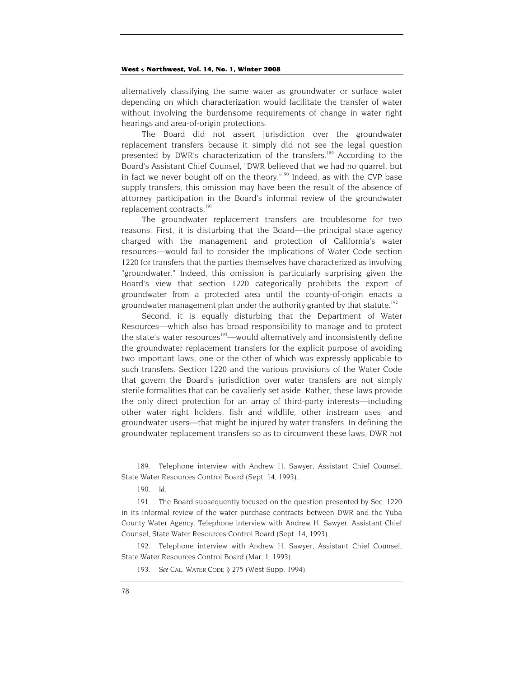alternatively classifying the same water as groundwater or surface water depending on which characterization would facilitate the transfer of water without involving the burdensome requirements of change in water right hearings and area-of-origin protections.

The Board did not assert jurisdiction over the groundwater replacement transfers because it simply did not see the legal question presented by DWR's characterization of the transfers.<sup>189</sup> According to the Board's Assistant Chief Counsel, "DWR believed that we had no quarrel, but in fact we never bought off on the theory." $190$  Indeed, as with the CVP base supply transfers, this omission may have been the result of the absence of attorney participation in the Board's informal review of the groundwater replacement contracts.<sup>[191](#page-38-2)</sup>

The groundwater replacement transfers are troublesome for two reasons. First, it is disturbing that the Board—the principal state agency charged with the management and protection of California's water resources—would fail to consider the implications of Water Code section 1220 for transfers that the parties themselves have characterized as involving "groundwater." Indeed, this omission is particularly surprising given the Board's view that section 1220 categorically prohibits the export of groundwater from a protected area until the county-of-origin enacts a groundwater management plan under the authority granted by that statute.<sup>[192](#page-38-3)</sup>

Second, it is equally disturbing that the Department of Water Resources—which also has broad responsibility to manage and to protect the state's water resources<sup>193</sup>—would alternatively and inconsistently define the groundwater replacement transfers for the explicit purpose of avoiding two important laws, one or the other of which was expressly applicable to such transfers. Section 1220 and the various provisions of the Water Code that govern the Board's jurisdiction over water transfers are not simply sterile formalities that can be cavalierly set aside. Rather, these laws provide the only direct protection for an array of third-party interests—including other water right holders, fish and wildlife, other instream uses, and groundwater users—that might be injured by water transfers. In defining the groundwater replacement transfers so as to circumvent these laws, DWR not

<span id="page-38-3"></span>192. Telephone interview with Andrew H. Sawyer, Assistant Chief Counsel, State Water Resources Control Board (Mar. 1, 1993).

<span id="page-38-0"></span><sup>189.</sup> Telephone interview with Andrew H. Sawyer, Assistant Chief Counsel, State Water Resources Control Board (Sept. 14, 1993).

<span id="page-38-1"></span><sup>190</sup>*. Id.*

<span id="page-38-2"></span><sup>191.</sup> The Board subsequently focused on the question presented by Sec. 1220 in its informal review of the water purchase contracts between DWR and the Yuba County Water Agency. Telephone interview with Andrew H. Sawyer, Assistant Chief Counsel, State Water Resources Control Board (Sept. 14, 1993).

<span id="page-38-4"></span><sup>193</sup>*. See* CAL. WATER CODE § 275 (West Supp. 1994).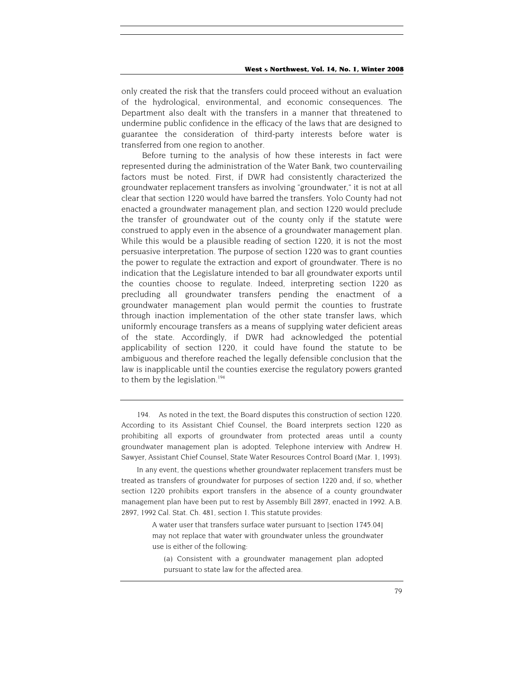<span id="page-39-0"></span>only created the risk that the transfers could proceed without an evaluation of the hydrological, environmental, and economic consequences. The Department also dealt with the transfers in a manner that threatened to undermine public confidence in the efficacy of the laws that are designed to guarantee the consideration of third-party interests before water is transferred from one region to another.

Before turning to the analysis of how these interests in fact were represented during the administration of the Water Bank, two countervailing factors must be noted. First, if DWR had consistently characterized the groundwater replacement transfers as involving "groundwater," it is not at all clear that section 1220 would have barred the transfers. Yolo County had not enacted a groundwater management plan, and section 1220 would preclude the transfer of groundwater out of the county only if the statute were construed to apply even in the absence of a groundwater management plan. While this would be a plausible reading of section 1220, it is not the most persuasive interpretation. The purpose of section 1220 was to grant counties the power to regulate the extraction and export of groundwater. There is no indication that the Legislature intended to bar all groundwater exports until the counties choose to regulate. Indeed, interpreting section 1220 as precluding all groundwater transfers pending the enactment of a groundwater management plan would permit the counties to frustrate through inaction implementation of the other state transfer laws, which uniformly encourage transfers as a means of supplying water deficient areas of the state. Accordingly, if DWR had acknowledged the potential applicability of section 1220, it could have found the statute to be ambiguous and therefore reached the legally defensible conclusion that the law is inapplicable until the counties exercise the regulatory powers granted to them by the legislation.<sup>[194](#page-39-0)</sup>

<sup>194.</sup> As noted in the text, the Board disputes this construction of section 1220. According to its Assistant Chief Counsel, the Board interprets section 1220 as prohibiting all exports of groundwater from protected areas until a county groundwater management plan is adopted. Telephone interview with Andrew H. Sawyer, Assistant Chief Counsel, State Water Resources Control Board (Mar. 1, 1993).

In any event, the questions whether groundwater replacement transfers must be treated as transfers of groundwater for purposes of section 1220 and, if so, whether section 1220 prohibits export transfers in the absence of a county groundwater management plan have been put to rest by Assembly Bill 2897, enacted in 1992. A.B. 2897, 1992 Cal. Stat. Ch. 481, section 1. This statute provides:

A water user that transfers surface water pursuant to [section 1745.04] may not replace that water with groundwater unless the groundwater use is either of the following:

<sup>(</sup>a) Consistent with a groundwater management plan adopted pursuant to state law for the affected area.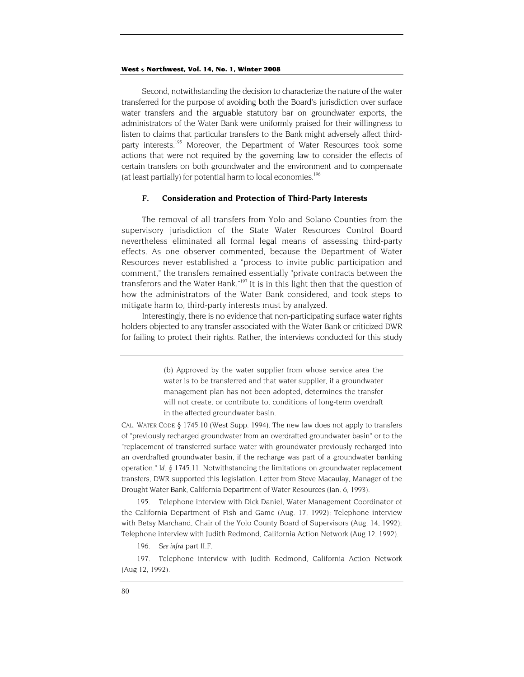Second, notwithstanding the decision to characterize the nature of the water transferred for the purpose of avoiding both the Board's jurisdiction over surface water transfers and the arguable statutory bar on groundwater exports, the administrators of the Water Bank were uniformly praised for their willingness to listen to claims that particular transfers to the Bank might adversely affect thirdparty interests.<sup>195</sup> Moreover, the Department of Water Resources took some actions that were not required by the governing law to consider the effects of certain transfers on both groundwater and the environment and to compensate (at least partially) for potential harm to local economies.<sup>196</sup>

#### **F. Consideration and Protection of Third-Party Interests**

The removal of all transfers from Yolo and Solano Counties from the supervisory jurisdiction of the State Water Resources Control Board nevertheless eliminated all formal legal means of assessing third-party effects. As one observer commented, because the Department of Water Resources never established a "process to invite public participation and comment," the transfers remained essentially "private contracts between the transferors and the Water Bank." $197$  It is in this light then that the question of how the administrators of the Water Bank considered, and took steps to mitigate harm to, third-party interests must by analyzed.

Interestingly, there is no evidence that non-participating surface water rights holders objected to any transfer associated with the Water Bank or criticized DWR for failing to protect their rights. Rather, the interviews conducted for this study

> (b) Approved by the water supplier from whose service area the water is to be transferred and that water supplier, if a groundwater management plan has not been adopted, determines the transfer will not create, or contribute to, conditions of long-term overdraft in the affected groundwater basin.

CAL. WATER CODE § 1745.10 (West Supp. 1994). The new law does not apply to transfers of "previously recharged groundwater from an overdrafted groundwater basin" or to the "replacement of transferred surface water with groundwater previously recharged into an overdrafted groundwater basin, if the recharge was part of a groundwater banking operation." *Id.* § 1745.11. Notwithstanding the limitations on groundwater replacement transfers, DWR supported this legislation. Letter from Steve Macaulay, Manager of the Drought Water Bank, California Department of Water Resources (Jan. 6, 1993).

<span id="page-40-0"></span>195. Telephone interview with Dick Daniel, Water Management Coordinator of the California Department of Fish and Game (Aug. 17, 1992); Telephone interview with Betsy Marchand, Chair of the Yolo County Board of Supervisors (Aug. 14, 1992); Telephone interview with Judith Redmond, California Action Network (Aug 12, 1992).

196*. See infra* part II.F.

<span id="page-40-2"></span><span id="page-40-1"></span>197. Telephone interview with Judith Redmond, California Action Network (Aug 12, 1992).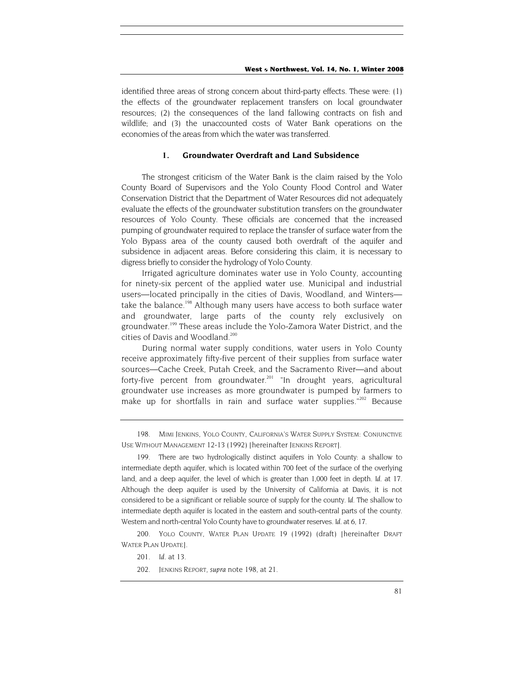identified three areas of strong concern about third-party effects. These were: (1) the effects of the groundwater replacement transfers on local groundwater resources; (2) the consequences of the land fallowing contracts on fish and wildlife; and (3) the unaccounted costs of Water Bank operations on the economies of the areas from which the water was transferred.

#### **1. Groundwater Overdraft and Land Subsidence**

The strongest criticism of the Water Bank is the claim raised by the Yolo County Board of Supervisors and the Yolo County Flood Control and Water Conservation District that the Department of Water Resources did not adequately evaluate the effects of the groundwater substitution transfers on the groundwater resources of Yolo County. These officials are concerned that the increased pumping of groundwater required to replace the transfer of surface water from the Yolo Bypass area of the county caused both overdraft of the aquifer and subsidence in adjacent areas. Before considering this claim, it is necessary to digress briefly to consider the hydrology of Yolo County.

Irrigated agriculture dominates water use in Yolo County, accounting for ninety-six percent of the applied water use. Municipal and industrial users—located principally in the cities of Davis, Woodland, and Winters take the balance.<sup>198</sup> Although many users have access to both surface water and groundwater, large parts of the county rely exclusively on groundwater.<sup>199</sup> These areas include the Yolo-Zamora Water District, and the cities of Davis and Woodland.<sup>200</sup>

During normal water supply conditions, water users in Yolo County receive approximately fifty-five percent of their supplies from surface water sources—Cache Creek, Putah Creek, and the Sacramento River—and about forty-five percent from groundwater.<sup>201</sup> "In drought years, agricultural groundwater use increases as more groundwater is pumped by farmers to make up for shortfalls in rain and surface water supplies."<sup>202</sup> Because

<span id="page-41-2"></span>200. YOLO COUNTY, WATER PLAN UPDATE 19 (1992) (draft) [hereinafter DRAFT WATER PLAN UPDATE].

- <span id="page-41-3"></span>201*. Id.* at 13.
- <span id="page-41-4"></span>202. JENKINS REPORT, *supra* note 198, at 21.

<span id="page-41-0"></span><sup>198.</sup> MIMI JENKINS, YOLO COUNTY, CALIFORNIA'S WATER SUPPLY SYSTEM: CONJUNCTIVE USE WITHOUT MANAGEMENT 12-13 (1992) [hereinafter JENKINS REPORT].

<span id="page-41-1"></span><sup>199.</sup> There are two hydrologically distinct aquifers in Yolo County: a shallow to intermediate depth aquifer, which is located within 700 feet of the surface of the overlying land, and a deep aquifer, the level of which is greater than 1,000 feet in depth. *Id.* at 17. Although the deep aquifer is used by the University of California at Davis, it is not considered to be a significant or reliable source of supply for the county. *Id.* The shallow to intermediate depth aquifer is located in the eastern and south-central parts of the county. Western and north-central Yolo County have to groundwater reserves. *Id.* at 6, 17.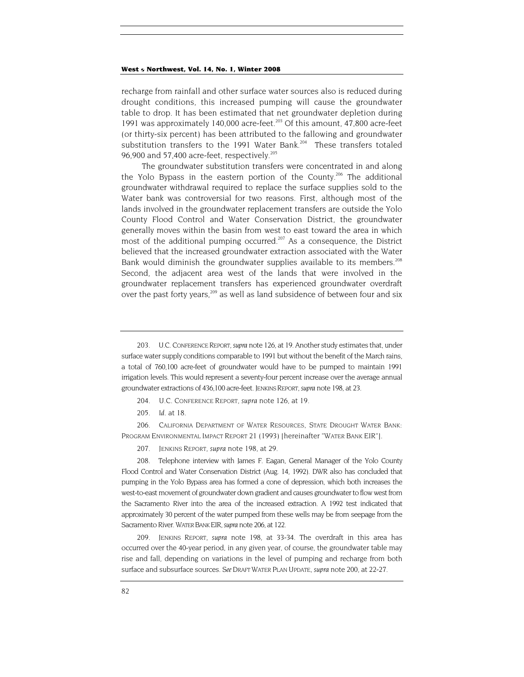recharge from rainfall and other surface water sources also is reduced during drought conditions, this increased pumping will cause the groundwater table to drop. It has been estimated that net groundwater depletion during 1991 was approximately 140,000 acre-feet.<sup>203</sup> Of this amount, 47,800 acre-feet (or thirty-six percent) has been attributed to the fallowing and groundwater substitution transfers to the 1991 Water Bank.<sup>204</sup> These transfers totaled 96,900 and 57,400 acre-feet, respectively. $205$ 

The groundwater substitution transfers were concentrated in and along the Yolo Bypass in the eastern portion of the County.<sup>206</sup> The additional groundwater withdrawal required to replace the surface supplies sold to the Water bank was controversial for two reasons. First, although most of the lands involved in the groundwater replacement transfers are outside the Yolo County Flood Control and Water Conservation District, the groundwater generally moves within the basin from west to east toward the area in which most of the additional pumping occurred.<sup>207</sup> As a consequence, the District believed that the increased groundwater extraction associated with the Water Bank would diminish the groundwater supplies available to its members.<sup>208</sup> Second, the adjacent area west of the lands that were involved in the groundwater replacement transfers has experienced groundwater overdraft over the past forty years,<sup>209</sup> as well as land subsidence of between four and six

<span id="page-42-3"></span><span id="page-42-2"></span>206. CALIFORNIA DEPARTMENT OF WATER RESOURCES, STATE DROUGHT WATER BANK: PROGRAM ENVIRONMENTAL IMPACT REPORT 21 (1993) [hereinafter "WATER BANK EIR"].

207. JENKINS REPORT, *supra* note 198, at 29.

<span id="page-42-5"></span><span id="page-42-4"></span>208. Telephone interview with James F. Eagan, General Manager of the Yolo County Flood Control and Water Conservation District (Aug. 14, 1992). DWR also has concluded that pumping in the Yolo Bypass area has formed a cone of depression, which both increases the west-to-east movement of groundwater down gradient and causes groundwater to flow west from the Sacramento River into the area of the increased extraction. A 1992 test indicated that approximately 30 percent of the water pumped from these wells may be from seepage from the Sacramento River. WATER BANK EIR, *supra* note 206, at 122.

<span id="page-42-6"></span>209. JENKINS REPORT, *supra* note 198, at 33-34. The overdraft in this area has occurred over the 40-year period, in any given year, of course, the groundwater table may rise and fall, depending on variations in the level of pumping and recharge from both surface and subsurface sources. *See*DRAFT WATER PLAN UPDATE, *supra* note 200, at 22-27.

<span id="page-42-0"></span><sup>203.</sup> U.C. CONFERENCE REPORT, *supra* note 126, at 19. Another study estimates that, under surface water supply conditions comparable to 1991 but without the benefit of the March rains, a total of 760,100 acre-feet of groundwater would have to be pumped to maintain 1991 irrigation levels. This would represent a seventy-four percent increase over the average annual groundwater extractions of 436,100 acre-feet. JENKINS REPORT, *supra* note 198, at 23.

<span id="page-42-1"></span><sup>204.</sup> U.C. CONFERENCE REPORT, *supra* note 126, at 19.

<sup>205</sup>*. Id.* at 18.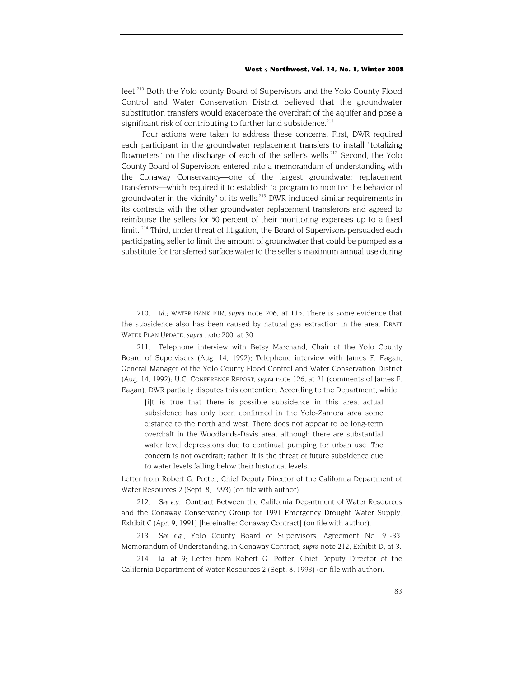feet.<sup>210</sup> Both the Yolo county Board of Supervisors and the Yolo County Flood Control and Water Conservation District believed that the groundwater substitution transfers would exacerbate the overdraft of the aquifer and pose a significant risk of contributing to further land subsidence.<sup>[211](#page-43-1)</sup>

Four actions were taken to address these concerns. First, DWR required each participant in the groundwater replacement transfers to install "totalizing flowmeters" on the discharge of each of the seller's wells.<sup>212</sup> Second, the Yolo County Board of Supervisors entered into a memorandum of understanding with the Conaway Conservancy—one of the largest groundwater replacement transferors—which required it to establish "a program to monitor the behavior of groundwater in the vicinity" of its wells.<sup>213</sup> DWR included similar requirements in its contracts with the other groundwater replacement transferors and agreed to reimburse the sellers for 50 percent of their monitoring expenses up to a fixed limit.<sup>214</sup> Third, under threat of litigation, the Board of Supervisors persuaded each participating seller to limit the amount of groundwater that could be pumped as a substitute for transferred surface water to the seller's maximum annual use during

<span id="page-43-0"></span>210*. Id.*; WATER BANK EIR, *supra* note 206, at 115. There is some evidence that the subsidence also has been caused by natural gas extraction in the area. DRAFT WATER PLAN UPDATE, *supra* note 200, at 30.

<span id="page-43-1"></span>211. Telephone interview with Betsy Marchand, Chair of the Yolo County Board of Supervisors (Aug. 14, 1992); Telephone interview with James F. Eagan, General Manager of the Yolo County Flood Control and Water Conservation District (Aug. 14, 1992); U.C. CONFERENCE REPORT, *supra* note 126, at 21 (comments of James F. Eagan). DWR partially disputes this contention. According to the Department, while

[i]t is true that there is possible subsidence in this area...actual subsidence has only been confirmed in the Yolo-Zamora area some distance to the north and west. There does not appear to be long-term overdraft in the Woodlands-Davis area, although there are substantial water level depressions due to continual pumping for urban use. The concern is not overdraft; rather, it is the threat of future subsidence due to water levels falling below their historical levels.

Letter from Robert G. Potter, Chief Deputy Director of the California Department of Water Resources 2 (Sept. 8, 1993) (on file with author).

<span id="page-43-2"></span>212*. See e.g.,* Contract Between the California Department of Water Resources and the Conaway Conservancy Group for 1991 Emergency Drought Water Supply, Exhibit C (Apr. 9, 1991) [hereinafter Conaway Contract] (on file with author).

<span id="page-43-3"></span>213*. See e.g.,* Yolo County Board of Supervisors, Agreement No. 91-33. Memorandum of Understanding, in Conaway Contract, *supra* note 212, Exhibit D, at 3.

<span id="page-43-4"></span>214*. Id.* at 9; Letter from Robert G. Potter, Chief Deputy Director of the California Department of Water Resources 2 (Sept. 8, 1993) (on file with author).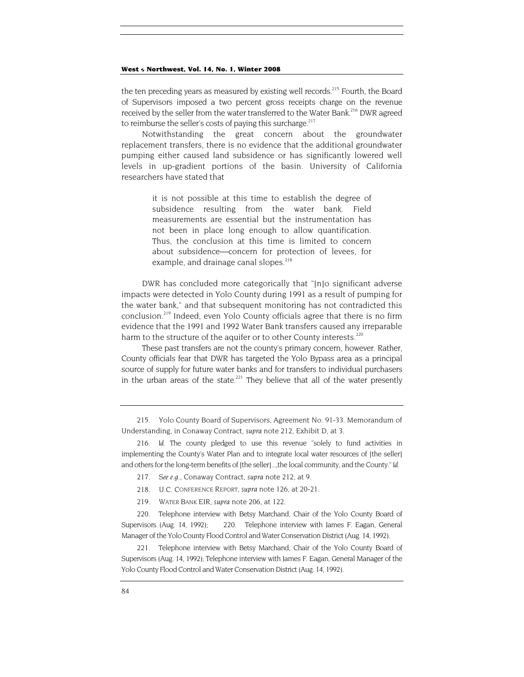the ten preceding years as measured by existing well records.<sup>215</sup> Fourth, the Board of Supervisors imposed a two percent gross receipts charge on the revenue received by the seller from the water transferred to the Water Bank.<sup>216</sup> DWR agreed to reimburse the seller's costs of paying this surcharge. $217$ 

Notwithstanding the great concern about the groundwater replacement transfers, there is no evidence that the additional groundwater pumping either caused land subsidence or has significantly lowered well levels in up-gradient portions of the basin. University of California researchers have stated that

> it is not possible at this time to establish the degree of subsidence resulting from the water bank. Field measurements are essential but the instrumentation has not been in place long enough to allow quantification. Thus, the conclusion at this time is limited to concern about subsidence—concern for protection of levees, for example, and drainage canal slopes.<sup>[218](#page-44-3)</sup>

DWR has concluded more categorically that "[n]o significant adverse impacts were detected in Yolo County during 1991 as a result of pumping for the water bank," and that subsequent monitoring has not contradicted this conclusion.[219 I](#page-44-4)ndeed, even Yolo County officials agree that there is no firm evidence that the 1991 and 1992 Water Bank transfers caused any irreparable harm to the structure of the aquifer or to other County interests.<sup>220</sup>

These past transfers are not the county's primary concern, however. Rather, County officials fear that DWR has targeted the Yolo Bypass area as a principal source of supply for future water banks and for transfers to individual purchasers in the urban areas of the state.<sup>221</sup> They believe that all of the water presently

<span id="page-44-0"></span>215. Yolo County Board of Supervisors, Agreement No. 91-33. Memorandum of Understanding, in Conaway Contract, *supra* note 212, Exhibit D, at 3.

<span id="page-44-1"></span>216*. Id.* The county pledged to use this revenue "solely to fund activities in implementing the County's Water Plan and to integrate local water resources of [the seller] and others for the long-term benefits of [the seller]...,the local community, and the County." *Id.*

- <span id="page-44-2"></span>217*. See e.g.,* Conaway Contract, *supra* note 212, at 9.
- <span id="page-44-3"></span>218. U.C. CONFERENCE REPORT, *supra* note 126, at 20-21.
- <span id="page-44-4"></span>219. WATER BANK EIR, *supra* note 206, at 122.

<span id="page-44-5"></span>220. Telephone interview with Betsy Marchand, Chair of the Yolo County Board of Supervisors (Aug. 14, 1992); 220. Telephone interview with James F. Eagan, General Manager of the Yolo County Flood Control and Water Conservation District (Aug. 14, 1992).

<span id="page-44-6"></span>221. Telephone interview with Betsy Marchand, Chair of the Yolo County Board of Supervisors (Aug. 14, 1992); Telephone interview with James F. Eagan, General Manager of the Yolo County Flood Control and Water Conservation District (Aug. 14, 1992).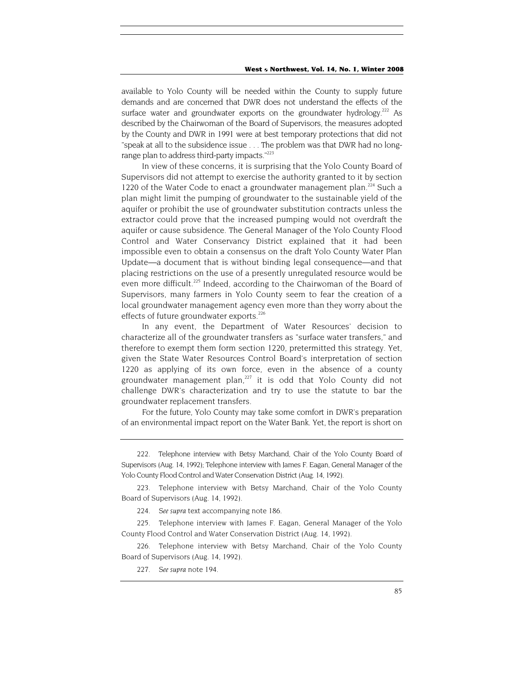available to Yolo County will be needed within the County to supply future demands and are concerned that DWR does not understand the effects of the surface water and groundwater exports on the groundwater hydrology.<sup>222</sup> As described by the Chairwoman of the Board of Supervisors, the measures adopted by the County and DWR in 1991 were at best temporary protections that did not "speak at all to the subsidence issue . . . The problem was that DWR had no longrange plan to address third-party impacts."<sup>223</sup>

In view of these concerns, it is surprising that the Yolo County Board of Supervisors did not attempt to exercise the authority granted to it by section 1220 of the Water Code to enact a groundwater management plan.<sup>224</sup> Such a plan might limit the pumping of groundwater to the sustainable yield of the aquifer or prohibit the use of groundwater substitution contracts unless the extractor could prove that the increased pumping would not overdraft the aquifer or cause subsidence. The General Manager of the Yolo County Flood Control and Water Conservancy District explained that it had been impossible even to obtain a consensus on the draft Yolo County Water Plan Update—a document that is without binding legal consequence—and that placing restrictions on the use of a presently unregulated resource would be even more difficult.<sup>225</sup> Indeed, according to the Chairwoman of the Board of Supervisors, many farmers in Yolo County seem to fear the creation of a local groundwater management agency even more than they worry about the effects of future groundwater exports. $226$ 

In any event, the Department of Water Resources' decision to characterize all of the groundwater transfers as "surface water transfers," and therefore to exempt them form section 1220, pretermitted this strategy. Yet, given the State Water Resources Control Board's interpretation of section 1220 as applying of its own force, even in the absence of a county groundwater management plan, $227$  it is odd that Yolo County did not challenge DWR's characterization and try to use the statute to bar the groundwater replacement transfers.

For the future, Yolo County may take some comfort in DWR's preparation of an environmental impact report on the Water Bank. Yet, the report is short on

<span id="page-45-0"></span><sup>222.</sup> Telephone interview with Betsy Marchand, Chair of the Yolo County Board of Supervisors (Aug. 14, 1992); Telephone interview with James F. Eagan, General Manager of the Yolo County Flood Control and Water Conservation District (Aug. 14, 1992).

<span id="page-45-1"></span><sup>223.</sup> Telephone interview with Betsy Marchand, Chair of the Yolo County Board of Supervisors (Aug. 14, 1992).

<sup>224</sup>*. See supra* text accompanying note 186.

<span id="page-45-3"></span><span id="page-45-2"></span><sup>225.</sup> Telephone interview with James F. Eagan, General Manager of the Yolo County Flood Control and Water Conservation District (Aug. 14, 1992).

<span id="page-45-4"></span><sup>226.</sup> Telephone interview with Betsy Marchand, Chair of the Yolo County Board of Supervisors (Aug. 14, 1992).

<span id="page-45-5"></span><sup>227</sup>*. See supra* note 194.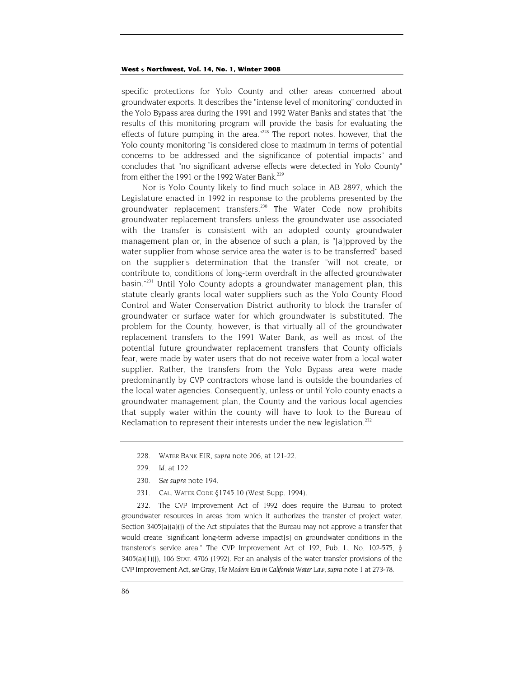specific protections for Yolo County and other areas concerned about groundwater exports. It describes the "intense level of monitoring" conducted in the Yolo Bypass area during the 1991 and 1992 Water Banks and states that "the results of this monitoring program will provide the basis for evaluating the effects of future pumping in the area." $228$  The report notes, however, that the Yolo county monitoring "is considered close to maximum in terms of potential concerns to be addressed and the significance of potential impacts" and concludes that "no significant adverse effects were detected in Yolo County" from either the 1991 or the 1992 Water Bank.<sup>[229](#page-46-1)</sup>

Nor is Yolo County likely to find much solace in AB 2897, which the Legislature enacted in 1992 in response to the problems presented by the groundwater replacement transfers.<sup>230</sup> The Water Code now prohibits groundwater replacement transfers unless the groundwater use associated with the transfer is consistent with an adopted county groundwater management plan or, in the absence of such a plan, is "[a]pproved by the water supplier from whose service area the water is to be transferred" based on the supplier's determination that the transfer "will not create, or contribute to, conditions of long-term overdraft in the affected groundwater basin."<sup>231</sup> Until Yolo County adopts a groundwater management plan, this statute clearly grants local water suppliers such as the Yolo County Flood Control and Water Conservation District authority to block the transfer of groundwater or surface water for which groundwater is substituted. The problem for the County, however, is that virtually all of the groundwater replacement transfers to the 1991 Water Bank, as well as most of the potential future groundwater replacement transfers that County officials fear, were made by water users that do not receive water from a local water supplier. Rather, the transfers from the Yolo Bypass area were made predominantly by CVP contractors whose land is outside the boundaries of the local water agencies. Consequently, unless or until Yolo county enacts a groundwater management plan, the County and the various local agencies that supply water within the county will have to look to the Bureau of Reclamation to represent their interests under the new legislation. $232$ 

- <span id="page-46-0"></span>228. WATER BANK EIR, *supra* note 206, at 121-22.
- <span id="page-46-1"></span>229*. Id.* at 122.
- <span id="page-46-2"></span>230*. See supra* note 194.
- <span id="page-46-3"></span>231. CAL. WATER CODE §1745.10 (West Supp. 1994).

<span id="page-46-4"></span>232. The CVP Improvement Act of 1992 does require the Bureau to protect groundwater resources in areas from which it authorizes the transfer of project water. Section 3405(a)(a)(j) of the Act stipulates that the Bureau may not approve a transfer that would create "significant long-term adverse impact[s] on groundwater conditions in the transferor's service area." The CVP Improvement Act of 192, Pub. L. No. 102-575, §  $3405(a)(1)(i)$ , 106 STAT. 4706 (1992). For an analysis of the water transfer provisions of the CVP Improvement Act, *see* Gray, *The Modern Era in California Water Law*, *supra* note 1 at 273-78.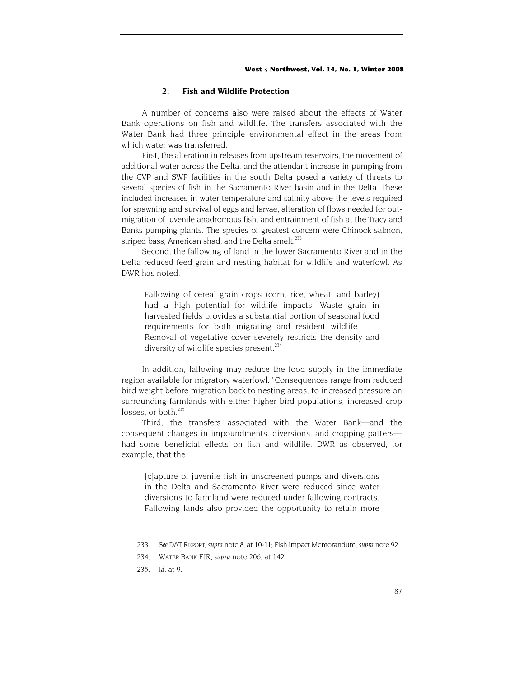## **2. Fish and Wildlife Protection**

A number of concerns also were raised about the effects of Water Bank operations on fish and wildlife. The transfers associated with the Water Bank had three principle environmental effect in the areas from which water was transferred.

First, the alteration in releases from upstream reservoirs, the movement of additional water across the Delta, and the attendant increase in pumping from the CVP and SWP facilities in the south Delta posed a variety of threats to several species of fish in the Sacramento River basin and in the Delta. These included increases in water temperature and salinity above the levels required for spawning and survival of eggs and larvae, alteration of flows needed for outmigration of juvenile anadromous fish, and entrainment of fish at the Tracy and Banks pumping plants. The species of greatest concern were Chinook salmon, striped bass, American shad, and the Delta smelt.<sup>[233](#page-47-0)</sup>

Second, the fallowing of land in the lower Sacramento River and in the Delta reduced feed grain and nesting habitat for wildlife and waterfowl. As DWR has noted,

Fallowing of cereal grain crops (corn, rice, wheat, and barley) had a high potential for wildlife impacts. Waste grain in harvested fields provides a substantial portion of seasonal food requirements for both migrating and resident wildlife . . . Removal of vegetative cover severely restricts the density and diversity of wildlife species present.<sup>234</sup>

In addition, fallowing may reduce the food supply in the immediate region available for migratory waterfowl. "Consequences range from reduced bird weight before migration back to nesting areas, to increased pressure on surrounding farmlands with either higher bird populations, increased crop losses, or both.<sup>[235](#page-47-2)</sup>

Third, the transfers associated with the Water Bank—and the consequent changes in impoundments, diversions, and cropping patters had some beneficial effects on fish and wildlife. DWR as observed, for example, that the

[c]apture of juvenile fish in unscreened pumps and diversions in the Delta and Sacramento River were reduced since water diversions to farmland were reduced under fallowing contracts. Fallowing lands also provided the opportunity to retain more

<span id="page-47-0"></span><sup>233</sup>*. See* DAT REPORT, *supra* note 8, at 10-11; Fish Impact Memorandum, *supra* note 92.

<span id="page-47-1"></span><sup>234.</sup> WATER BANK EIR, *supra* note 206, at 142.

<span id="page-47-2"></span><sup>235</sup>*. Id.* at 9.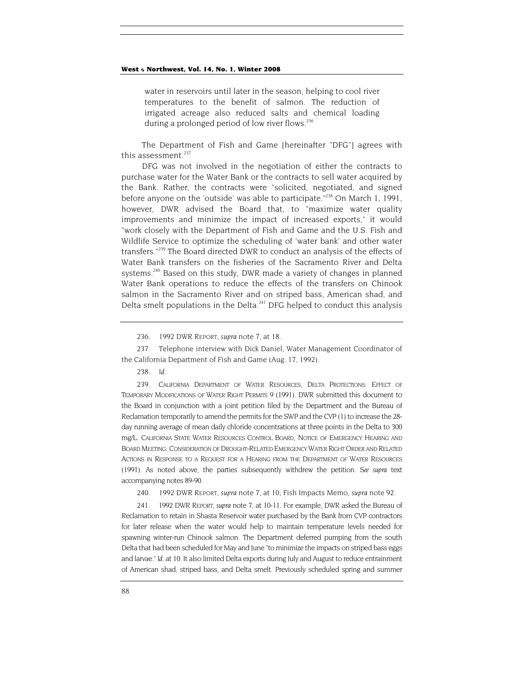<span id="page-48-5"></span>water in reservoirs until later in the season, helping to cool river temperatures to the benefit of salmon. The reduction of irrigated acreage also reduced salts and chemical loading during a prolonged period of low river flows.<sup>236</sup>

The Department of Fish and Game [hereinafter "DFG"] agrees with this assessment.<sup>[237](#page-48-1)</sup>

DFG was not involved in the negotiation of either the contracts to purchase water for the Water Bank or the contracts to sell water acquired by the Bank. Rather, the contracts were "solicited, negotiated, and signed before anyone on the 'outside' was able to participate."<sup>238</sup> On March 1, 1991, however, DWR advised the Board that, to "maximize water quality improvements and minimize the impact of increased exports," it would "work closely with the Department of Fish and Game and the U.S. Fish and Wildlife Service to optimize the scheduling of 'water bank' and other water transfers.["239 T](#page-48-3)he Board directed DWR to conduct an analysis of the effects of Water Bank transfers on the fisheries of the Sacramento River and Delta systems.<sup>240</sup> Based on this study, DWR made a variety of changes in planned Water Bank operations to reduce the effects of the transfers on Chinook salmon in the Sacramento River and on striped bass, American shad, and Delta smelt populations in the Delta. $241$  DFG helped to conduct this analysis

<span id="page-48-0"></span>236. 1992 DWR REPORT, *supra* note 7, at 18.

<span id="page-48-1"></span>237. Telephone interview with Dick Daniel, Water Management Coordinator of the California Department of Fish and Game (Aug. 17, 1992).

238*. Id.*

<span id="page-48-3"></span><span id="page-48-2"></span>239. CALIFORNIA DEPARTMENT OF WATER RESOURCES, DELTA PROTECTIONS: EFFECT OF TEMPORARY MODIFICATIONS OF WATER RIGHT PERMITS 9 (1991). DWR submitted this document to the Board in conjunction with a joint petition filed by the Department and the Bureau of Reclamation temporarily to amend the permits for the SWP and the CVP (1) to increase the 28 day running average of mean daily chloride concentrations at three points in the Delta to 300 mg/L. CALIFORNIA STATE WATER RESOURCES CONTROL BOARD, NOTICE OF EMERGENCY HEARING AND BOARD MEETING: CONSIDERATION OF DROUGHT-RELATED EMERGENCY WATER RIGHT ORDER AND RELATED ACTIONS IN RESPONSE TO A REQUEST FOR A HEARING FROM THE DEPARTMENT OF WATER RESOURCES (1991). As noted above, the parties subsequently withdrew the petition. *See supra* text accompanying notes 89-90.

<span id="page-48-4"></span>240. 1992 DWR REPORT, *supra* note 7, at 10; Fish Impacts Memo, *supra* note 92.

241. 1992 DWR REPORT, *supra* note 7, at 10-11. For example, DWR asked the Bureau of Reclamation to retain in Shasta Reservoir water purchased by the Bank from CVP contractors for later release when the water would help to maintain temperature levels needed for spawning winter-run Chinook salmon. The Department deferred pumping from the south Delta that had been scheduled for May and June "to minimize the impacts on striped bass eggs and larvae." *Id.* at 10. It also limited Delta exports during July and August to reduce entrainment of American shad, striped bass, and Delta smelt. Previously scheduled spring and summer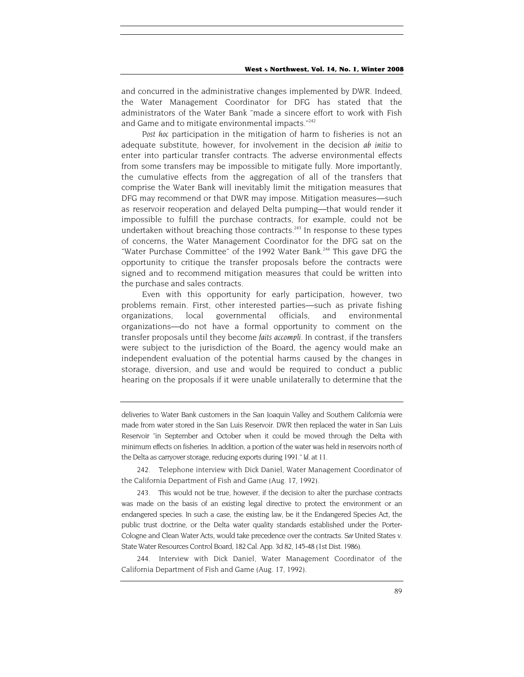and concurred in the administrative changes implemented by DWR. Indeed, the Water Management Coordinator for DFG has stated that the administrators of the Water Bank "made a sincere effort to work with Fish and Game and to mitigate environmental impacts."<sup>[242](#page-49-0)</sup>

*Post hoc* participation in the mitigation of harm to fisheries is not an adequate substitute, however, for involvement in the decision *ab initio* to enter into particular transfer contracts. The adverse environmental effects from some transfers may be impossible to mitigate fully. More importantly, the cumulative effects from the aggregation of all of the transfers that comprise the Water Bank will inevitably limit the mitigation measures that DFG may recommend or that DWR may impose. Mitigation measures—such as reservoir reoperation and delayed Delta pumping—that would render it impossible to fulfill the purchase contracts, for example, could not be undertaken without breaching those contracts.<sup>243</sup> In response to these types of concerns, the Water Management Coordinator for the DFG sat on the "Water Purchase Committee" of the 1992 Water Bank.<sup>244</sup> This gave DFG the opportunity to critique the transfer proposals before the contracts were signed and to recommend mitigation measures that could be written into the purchase and sales contracts.

Even with this opportunity for early participation, however, two problems remain. First, other interested parties—such as private fishing organizations, local governmental officials, and environmental organizations—do not have a formal opportunity to comment on the transfer proposals until they become *faits accompli.* In contrast, if the transfers were subject to the jurisdiction of the Board, the agency would make an independent evaluation of the potential harms caused by the changes in storage, diversion, and use and would be required to conduct a public hearing on the proposals if it were unable unilaterally to determine that the

<span id="page-49-0"></span>242. Telephone interview with Dick Daniel, Water Management Coordinator of the California Department of Fish and Game (Aug. 17, 1992).

<span id="page-49-1"></span>243. This would not be true, however, if the decision to alter the purchase contracts was made on the basis of an existing legal directive to protect the environment or an endangered species. In such a case, the existing law, be it the Endangered Species Act, the public trust doctrine, or the Delta water quality standards established under the Porter-Cologne and Clean Water Acts, would take precedence over the contracts. *See* United States v. State Water Resources Control Board, 182 Cal. App. 3d 82, 145-48 (1st Dist. 1986).

<span id="page-49-2"></span>244. Interview with Dick Daniel, Water Management Coordinator of the California Department of Fish and Game (Aug. 17, 1992).

deliveries to Water Bank customers in the San Joaquin Valley and Southern California were made from water stored in the San Luis Reservoir. DWR then replaced the water in San Luis Reservoir "in September and October when it could be moved through the Delta with minimum effects on fisheries. In addition, a portion of the water was held in reservoirs north of the Delta as carryover storage, reducing exports during 1991." *Id.* at 11.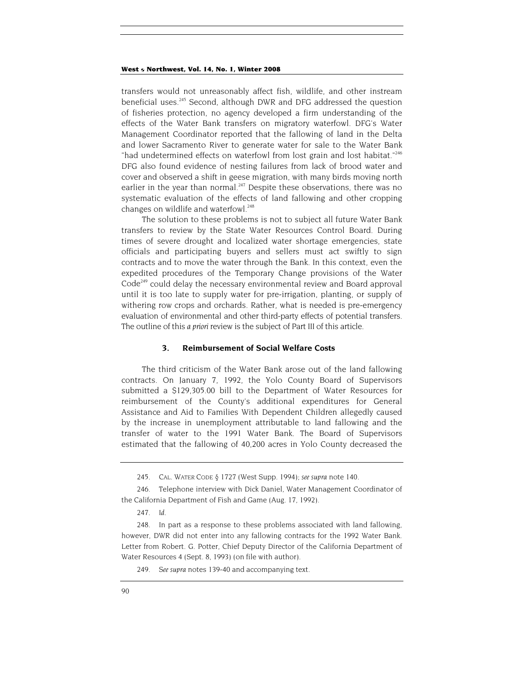transfers would not unreasonably affect fish, wildlife, and other instream beneficial uses.<sup>245</sup> Second, although DWR and DFG addressed the question of fisheries protection, no agency developed a firm understanding of the effects of the Water Bank transfers on migratory waterfowl. DFG's Water Management Coordinator reported that the fallowing of land in the Delta and lower Sacramento River to generate water for sale to the Water Bank "had undetermined effects on waterfowl from lost grain and lost habitat."<sup>246</sup> DFG also found evidence of nesting failures from lack of brood water and cover and observed a shift in geese migration, with many birds moving north earlier in the year than normal.<sup>247</sup> Despite these observations, there was no systematic evaluation of the effects of land fallowing and other cropping changes on wildlife and waterfowl.<sup>248</sup>

The solution to these problems is not to subject all future Water Bank transfers to review by the State Water Resources Control Board. During times of severe drought and localized water shortage emergencies, state officials and participating buyers and sellers must act swiftly to sign contracts and to move the water through the Bank. In this context, even the expedited procedures of the Temporary Change provisions of the Water Code<sup>249</sup> could delay the necessary environmental review and Board approval until it is too late to supply water for pre-irrigation, planting, or supply of withering row crops and orchards. Rather, what is needed is pre-emergency evaluation of environmental and other third-party effects of potential transfers. The outline of this *a priori* review is the subject of Part III of this article.

## *3.* **Reimbursement of Social Welfare Costs**

The third criticism of the Water Bank arose out of the land fallowing contracts. On January 7, 1992, the Yolo County Board of Supervisors submitted a \$129,305.00 bill to the Department of Water Resources for reimbursement of the County's additional expenditures for General Assistance and Aid to Families With Dependent Children allegedly caused by the increase in unemployment attributable to land fallowing and the transfer of water to the 1991 Water Bank. The Board of Supervisors estimated that the fallowing of 40,200 acres in Yolo County decreased the

<sup>245.</sup> CAL. WATER CODE § 1727 (West Supp. 1994); *see supra* note 140.

<span id="page-50-1"></span><span id="page-50-0"></span><sup>246.</sup> Telephone interview with Dick Daniel, Water Management Coordinator of the California Department of Fish and Game (Aug. 17, 1992).

<span id="page-50-2"></span><sup>247</sup>*. Id.*

<span id="page-50-3"></span><sup>248.</sup> In part as a response to these problems associated with land fallowing, however, DWR did not enter into any fallowing contracts for the 1992 Water Bank. Letter from Robert. G. Potter, Chief Deputy Director of the California Department of Water Resources 4 (Sept. 8, 1993) (on file with author).

<span id="page-50-4"></span><sup>249</sup>*. See supra* notes 139-40 and accompanying text.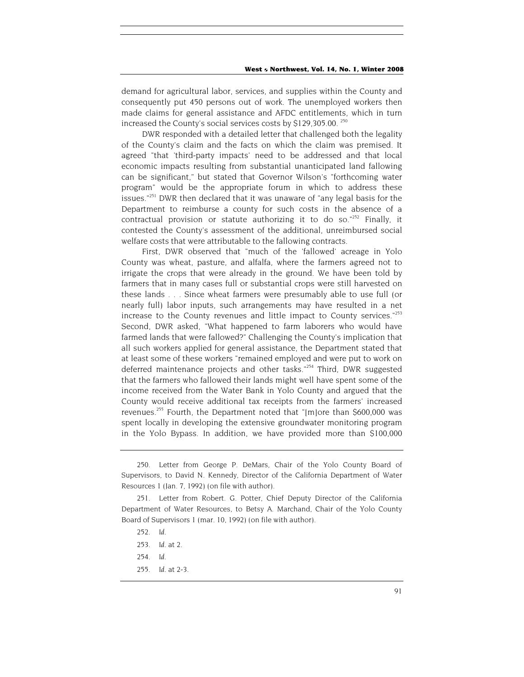demand for agricultural labor, services, and supplies within the County and consequently put 450 persons out of work. The unemployed workers then made claims for general assistance and AFDC entitlements, which in turn increased the County's social services costs by \$129,305.00.<sup>[250](#page-51-0)</sup>

DWR responded with a detailed letter that challenged both the legality of the County's claim and the facts on which the claim was premised. It agreed "that 'third-party impacts' need to be addressed and that local economic impacts resulting from substantial unanticipated land fallowing can be significant," but stated that Governor Wilson's "forthcoming water program" would be the appropriate forum in which to address these issues."[251 D](#page-51-1)WR then declared that it was unaware of "any legal basis for the Department to reimburse a county for such costs in the absence of a contractual provision or statute authorizing it to do so." $252$  Finally, it contested the County's assessment of the additional, unreimbursed social welfare costs that were attributable to the fallowing contracts.

First, DWR observed that "much of the 'fallowed' acreage in Yolo County was wheat, pasture, and alfalfa, where the farmers agreed not to irrigate the crops that were already in the ground. We have been told by farmers that in many cases full or substantial crops were still harvested on these lands . . . Since wheat farmers were presumably able to use full (or nearly full) labor inputs, such arrangements may have resulted in a net increase to the County revenues and little impact to County services."<sup>253</sup> Second, DWR asked, "What happened to farm laborers who would have farmed lands that were fallowed?" Challenging the County's implication that all such workers applied for general assistance, the Department stated that at least some of these workers "remained employed and were put to work on deferred maintenance projects and other tasks."<sup>254</sup> Third, DWR suggested that the farmers who fallowed their lands might well have spent some of the income received from the Water Bank in Yolo County and argued that the County would receive additional tax receipts from the farmers' increased revenues.<sup>255</sup> Fourth, the Department noted that " $[m]$ ore than \$600,000 was spent locally in developing the extensive groundwater monitoring program in the Yolo Bypass. In addition, we have provided more than \$100,000

<span id="page-51-2"></span>252*. Id.*

- <span id="page-51-4"></span>254*. Id.*
- <span id="page-51-5"></span>255*. Id.* at 2-3.

<span id="page-51-0"></span><sup>250.</sup> Letter from George P. DeMars, Chair of the Yolo County Board of Supervisors, to David N. Kennedy, Director of the California Department of Water Resources 1 (Jan. 7, 1992) (on file with author).

<span id="page-51-1"></span><sup>251.</sup> Letter from Robert. G. Potter, Chief Deputy Director of the California Department of Water Resources, to Betsy A. Marchand, Chair of the Yolo County Board of Supervisors 1 (mar. 10, 1992) (on file with author).

<span id="page-51-3"></span><sup>253</sup>*. Id.* at 2.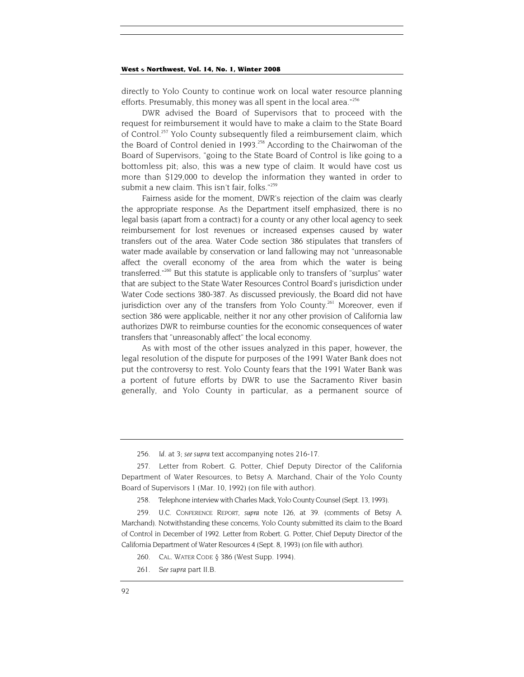directly to Yolo County to continue work on local water resource planning efforts. Presumably, this money was all spent in the local area."<sup>[256](#page-52-0)</sup>

DWR advised the Board of Supervisors that to proceed with the request for reimbursement it would have to make a claim to the State Board of Control.<sup>257</sup> Yolo County subsequently filed a reimbursement claim, which the Board of Control denied in 1993.<sup>258</sup> According to the Chairwoman of the Board of Supervisors, "going to the State Board of Control is like going to a bottomless pit; also, this was a new type of claim. It would have cost us more than \$129,000 to develop the information they wanted in order to submit a new claim. This isn't fair, folks."<sup>259</sup>

Fairness aside for the moment, DWR's rejection of the claim was clearly the appropriate response. As the Department itself emphasized, there is no legal basis (apart from a contract) for a county or any other local agency to seek reimbursement for lost revenues or increased expenses caused by water transfers out of the area. Water Code section 386 stipulates that transfers of water made available by conservation or land fallowing may not "unreasonable affect the overall economy of the area from which the water is being transferred."<sup>260</sup> But this statute is applicable only to transfers of "surplus" water that are subject to the State Water Resources Control Board's jurisdiction under Water Code sections 380-387. As discussed previously, the Board did not have jurisdiction over any of the transfers from Yolo County.<sup>261</sup> Moreover, even if section 386 were applicable, neither it nor any other provision of California law authorizes DWR to reimburse counties for the economic consequences of water transfers that "unreasonably affect" the local economy.

As with most of the other issues analyzed in this paper, however, the legal resolution of the dispute for purposes of the 1991 Water Bank does not put the controversy to rest. Yolo County fears that the 1991 Water Bank was a portent of future efforts by DWR to use the Sacramento River basin generally, and Yolo County in particular, as a permanent source of

<sup>256</sup>*. Id.* at 3; *see supra* text accompanying notes 216-17.

<span id="page-52-1"></span><span id="page-52-0"></span><sup>257.</sup> Letter from Robert. G. Potter, Chief Deputy Director of the California Department of Water Resources, to Betsy A. Marchand, Chair of the Yolo County Board of Supervisors 1 (Mar. 10, 1992) (on file with author).

<span id="page-52-2"></span><sup>258.</sup> Telephone interview with Charles Mack, Yolo County Counsel (Sept. 13, 1993).

<span id="page-52-3"></span><sup>259.</sup> U.C. CONFERENCE REPORT, *supra* note 126, at 39. (comments of Betsy A. Marchand). Notwithstanding these concerns, Yolo County submitted its claim to the Board of Control in December of 1992. Letter from Robert. G. Potter, Chief Deputy Director of the California Department of Water Resources 4 (Sept. 8, 1993) (on file with author).

<span id="page-52-4"></span><sup>260.</sup> CAL. WATER CODE § 386 (West Supp. 1994).

<span id="page-52-5"></span><sup>261</sup>*. See supra* part II.B.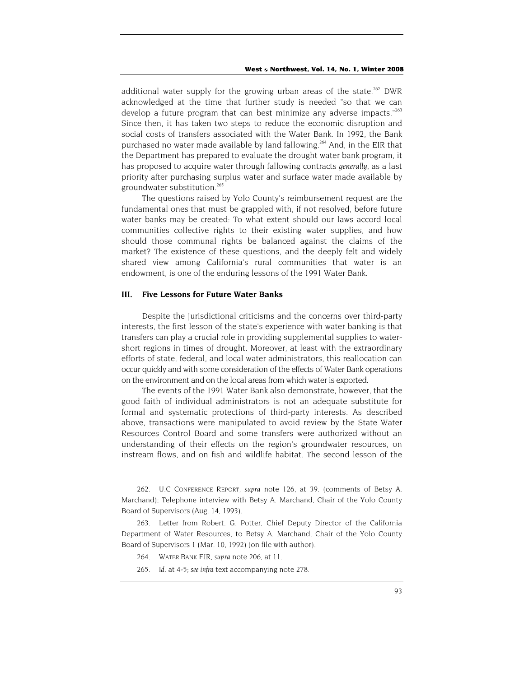additional water supply for the growing urban areas of the state.<sup>262</sup> DWR acknowledged at the time that further study is needed "so that we can develop a future program that can best minimize any adverse impacts."<sup>263</sup> Since then, it has taken two steps to reduce the economic disruption and social costs of transfers associated with the Water Bank. In 1992, the Bank purchased no water made available by land fallowing.<sup>264</sup> And, in the EIR that the Department has prepared to evaluate the drought water bank program, it has proposed to acquire water through fallowing contracts *generally*, as a last priority after purchasing surplus water and surface water made available by groundwater substitution.<sup>[265](#page-53-3)</sup>

The questions raised by Yolo County's reimbursement request are the fundamental ones that must be grappled with, if not resolved, before future water banks may be created: To what extent should our laws accord local communities collective rights to their existing water supplies, and how should those communal rights be balanced against the claims of the market? The existence of these questions, and the deeply felt and widely shared view among California's rural communities that water is an endowment, is one of the enduring lessons of the 1991 Water Bank.

#### **III. Five Lessons for Future Water Banks**

Despite the jurisdictional criticisms and the concerns over third-party interests, the first lesson of the state's experience with water banking is that transfers can play a crucial role in providing supplemental supplies to watershort regions in times of drought. Moreover, at least with the extraordinary efforts of state, federal, and local water administrators, this reallocation can occur quickly and with some consideration of the effects of Water Bank operations on the environment and on the local areas from which water is exported.

The events of the 1991 Water Bank also demonstrate, however, that the good faith of individual administrators is not an adequate substitute for formal and systematic protections of third-party interests. As described above, transactions were manipulated to avoid review by the State Water Resources Control Board and some transfers were authorized without an understanding of their effects on the region's groundwater resources, on instream flows, and on fish and wildlife habitat. The second lesson of the

<span id="page-53-0"></span><sup>262.</sup> U.C CONFERENCE REPORT, *supra* note 126, at 39. (comments of Betsy A. Marchand); Telephone interview with Betsy A. Marchand, Chair of the Yolo County Board of Supervisors (Aug. 14, 1993).

<span id="page-53-1"></span><sup>263.</sup> Letter from Robert. G. Potter, Chief Deputy Director of the California Department of Water Resources, to Betsy A. Marchand, Chair of the Yolo County Board of Supervisors 1 (Mar. 10, 1992) (on file with author).

<span id="page-53-2"></span><sup>264.</sup> WATER BANK EIR, *supra* note 206, at 11.

<span id="page-53-3"></span><sup>265</sup>*. Id.* at 4-5; *see infra* text accompanying note 278.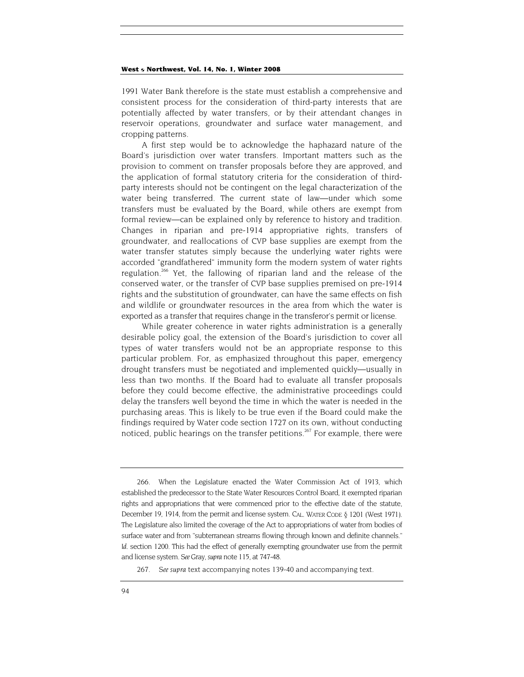1991 Water Bank therefore is the state must establish a comprehensive and consistent process for the consideration of third-party interests that are potentially affected by water transfers, or by their attendant changes in reservoir operations, groundwater and surface water management, and cropping patterns.

A first step would be to acknowledge the haphazard nature of the Board's jurisdiction over water transfers. Important matters such as the provision to comment on transfer proposals before they are approved, and the application of formal statutory criteria for the consideration of thirdparty interests should not be contingent on the legal characterization of the water being transferred. The current state of law—under which some transfers must be evaluated by the Board, while others are exempt from formal review—can be explained only by reference to history and tradition. Changes in riparian and pre-1914 appropriative rights, transfers of groundwater, and reallocations of CVP base supplies are exempt from the water transfer statutes simply because the underlying water rights were accorded "grandfathered" immunity form the modern system of water rights regulation.<sup>266</sup> Yet, the fallowing of riparian land and the release of the conserved water, or the transfer of CVP base supplies premised on pre-1914 rights and the substitution of groundwater, can have the same effects on fish and wildlife or groundwater resources in the area from which the water is exported as a transfer that requires change in the transferor's permit or license.

While greater coherence in water rights administration is a generally desirable policy goal, the extension of the Board's jurisdiction to cover all types of water transfers would not be an appropriate response to this particular problem. For, as emphasized throughout this paper, emergency drought transfers must be negotiated and implemented quickly—usually in less than two months. If the Board had to evaluate all transfer proposals before they could become effective, the administrative proceedings could delay the transfers well beyond the time in which the water is needed in the purchasing areas. This is likely to be true even if the Board could make the findings required by Water code section 1727 on its own, without conducting noticed, public hearings on the transfer petitions.<sup>267</sup> For example, there were

<span id="page-54-1"></span>267*. See supra* text accompanying notes 139-40 and accompanying text.

<span id="page-54-0"></span><sup>266.</sup> When the Legislature enacted the Water Commission Act of 1913, which established the predecessor to the State Water Resources Control Board, it exempted riparian rights and appropriations that were commenced prior to the effective date of the statute, December 19, 1914, from the permit and license system. CAL. WATER CODE § 1201 (West 1971). The Legislature also limited the coverage of the Act to appropriations of water from bodies of surface water and from "subterranean streams flowing through known and definite channels." Id. section 1200. This had the effect of generally exempting groundwater use from the permit and license system. *See* Gray, *supra* note 115, at 747-48.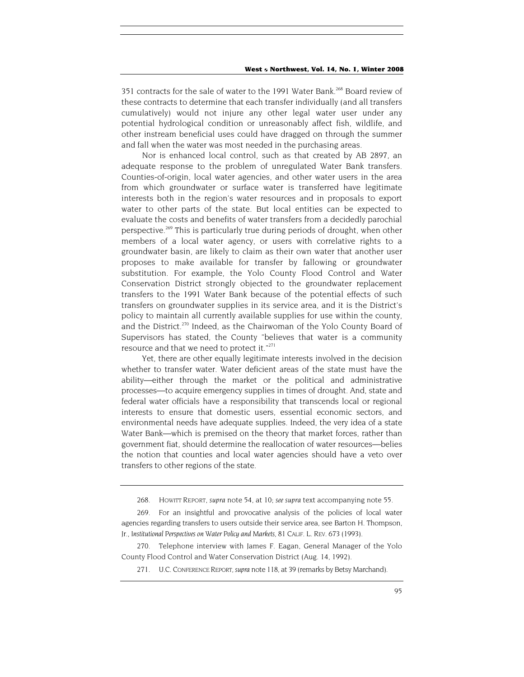351 contracts for the sale of water to the 1991 Water Bank.<sup>268</sup> Board review of these contracts to determine that each transfer individually (and all transfers cumulatively) would not injure any other legal water user under any potential hydrological condition or unreasonably affect fish, wildlife, and other instream beneficial uses could have dragged on through the summer and fall when the water was most needed in the purchasing areas.

Nor is enhanced local control, such as that created by AB 2897, an adequate response to the problem of unregulated Water Bank transfers. Counties-of-origin, local water agencies, and other water users in the area from which groundwater or surface water is transferred have legitimate interests both in the region's water resources and in proposals to export water to other parts of the state. But local entities can be expected to evaluate the costs and benefits of water transfers from a decidedly parochial perspective.<sup>269</sup> This is particularly true during periods of drought, when other members of a local water agency, or users with correlative rights to a groundwater basin, are likely to claim as their own water that another user proposes to make available for transfer by fallowing or groundwater substitution. For example, the Yolo County Flood Control and Water Conservation District strongly objected to the groundwater replacement transfers to the 1991 Water Bank because of the potential effects of such transfers on groundwater supplies in its service area, and it is the District's policy to maintain all currently available supplies for use within the county, and the District.<sup>270</sup> Indeed, as the Chairwoman of the Yolo County Board of Supervisors has stated, the County "believes that water is a community resource and that we need to protect it."<sup>[271](#page-55-3)</sup>

Yet, there are other equally legitimate interests involved in the decision whether to transfer water. Water deficient areas of the state must have the ability—either through the market or the political and administrative processes—to acquire emergency supplies in times of drought. And, state and federal water officials have a responsibility that transcends local or regional interests to ensure that domestic users, essential economic sectors, and environmental needs have adequate supplies. Indeed, the very idea of a state Water Bank—which is premised on the theory that market forces, rather than government fiat, should determine the reallocation of water resources—belies the notion that counties and local water agencies should have a veto over transfers to other regions of the state.

<span id="page-55-3"></span>271. U.C. CONFERENCE REPORT, *supra* note 118, at 39 (remarks by Betsy Marchand).

<sup>268.</sup> HOWITT REPORT, *supra* note 54, at 10; *see supra* text accompanying note 55.

<span id="page-55-1"></span><span id="page-55-0"></span><sup>269.</sup> For an insightful and provocative analysis of the policies of local water agencies regarding transfers to users outside their service area, see Barton H. Thompson, Jr., *Institutional Perspectives on Water Policy and Markets*, 81 CALIF. L. REV. 673 (1993).

<span id="page-55-2"></span><sup>270.</sup> Telephone interview with James F. Eagan, General Manager of the Yolo County Flood Control and Water Conservation District (Aug. 14, 1992).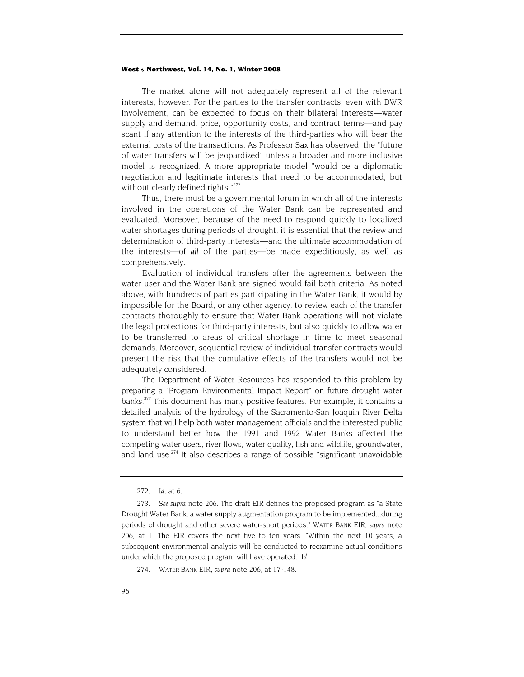The market alone will not adequately represent all of the relevant interests, however. For the parties to the transfer contracts, even with DWR involvement, can be expected to focus on their bilateral interests—water supply and demand, price, opportunity costs, and contract terms—and pay scant if any attention to the interests of the third-parties who will bear the external costs of the transactions. As Professor Sax has observed, the "future of water transfers will be jeopardized" unless a broader and more inclusive model is recognized. A more appropriate model "would be a diplomatic negotiation and legitimate interests that need to be accommodated, but without clearly defined rights."<sup>[272](#page-56-0)</sup>

Thus, there must be a governmental forum in which all of the interests involved in the operations of the Water Bank can be represented and evaluated. Moreover, because of the need to respond quickly to localized water shortages during periods of drought, it is essential that the review and determination of third-party interests—and the ultimate accommodation of the interests—of *all* of the parties—be made expeditiously, as well as comprehensively.

Evaluation of individual transfers after the agreements between the water user and the Water Bank are signed would fail both criteria. As noted above, with hundreds of parties participating in the Water Bank, it would by impossible for the Board, or any other agency, to review each of the transfer contracts thoroughly to ensure that Water Bank operations will not violate the legal protections for third-party interests, but also quickly to allow water to be transferred to areas of critical shortage in time to meet seasonal demands. Moreover, sequential review of individual transfer contracts would present the risk that the cumulative effects of the transfers would not be adequately considered.

The Department of Water Resources has responded to this problem by preparing a "Program Environmental Impact Report" on future drought water banks[.273 T](#page-56-1)his document has many positive features. For example, it contains a detailed analysis of the hydrology of the Sacramento-San Joaquin River Delta system that will help both water management officials and the interested public to understand better how the 1991 and 1992 Water Banks affected the competing water users, river flows, water quality, fish and wildlife, groundwater, and land use. $274$  It also describes a range of possible "significant unavoidable

<span id="page-56-2"></span>274. WATER BANK EIR, *supra* note 206, at 17-148.

<sup>272</sup>*. Id.* at 6.

<span id="page-56-1"></span><span id="page-56-0"></span><sup>273</sup>*. See supra* note 206. The draft EIR defines the proposed program as "a State Drought Water Bank, a water supply augmentation program to be implemented...during periods of drought and other severe water-short periods." WATER BANK EIR, *supra* note 206, at 1. The EIR covers the next five to ten years. "Within the next 10 years, a subsequent environmental analysis will be conducted to reexamine actual conditions under which the proposed program will have operated." *Id.*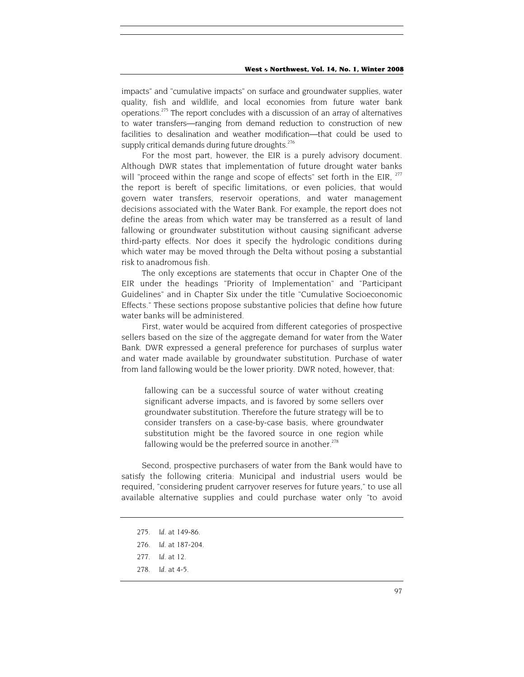impacts" and "cumulative impacts" on surface and groundwater supplies, water quality, fish and wildlife, and local economies from future water bank operations[.275 T](#page-57-0)he report concludes with a discussion of an array of alternatives to water transfers—ranging from demand reduction to construction of new facilities to desalination and weather modification—that could be used to supply critical demands during future droughts.<sup>276</sup>

For the most part, however, the EIR is a purely advisory document. Although DWR states that implementation of future drought water banks will "proceed within the range and scope of effects" set forth in the EIR, <sup>[277](#page-57-2)</sup> the report is bereft of specific limitations, or even policies, that would govern water transfers, reservoir operations, and water management decisions associated with the Water Bank. For example, the report does not define the areas from which water may be transferred as a result of land fallowing or groundwater substitution without causing significant adverse third-party effects. Nor does it specify the hydrologic conditions during which water may be moved through the Delta without posing a substantial risk to anadromous fish.

The only exceptions are statements that occur in Chapter One of the EIR under the headings "Priority of Implementation" and "Participant Guidelines" and in Chapter Six under the title "Cumulative Socioeconomic Effects." These sections propose substantive policies that define how future water banks will be administered.

First, water would be acquired from different categories of prospective sellers based on the size of the aggregate demand for water from the Water Bank. DWR expressed a general preference for purchases of surplus water and water made available by groundwater substitution. Purchase of water from land fallowing would be the lower priority. DWR noted, however, that:

fallowing can be a successful source of water without creating significant adverse impacts, and is favored by some sellers over groundwater substitution. Therefore the future strategy will be to consider transfers on a case-by-case basis, where groundwater substitution might be the favored source in one region while fallowing would be the preferred source in another.<sup>[278](#page-57-3)</sup>

Second, prospective purchasers of water from the Bank would have to satisfy the following criteria: Municipal and industrial users would be required, "considering prudent carryover reserves for future years," to use all available alternative supplies and could purchase water only "to avoid

- <span id="page-57-0"></span>275*. Id.* at 149-86.
- <span id="page-57-1"></span>276*. Id.* at 187-204.
- <span id="page-57-2"></span>277*. Id.* at 12.
- <span id="page-57-3"></span>278*. Id.* at 4-5.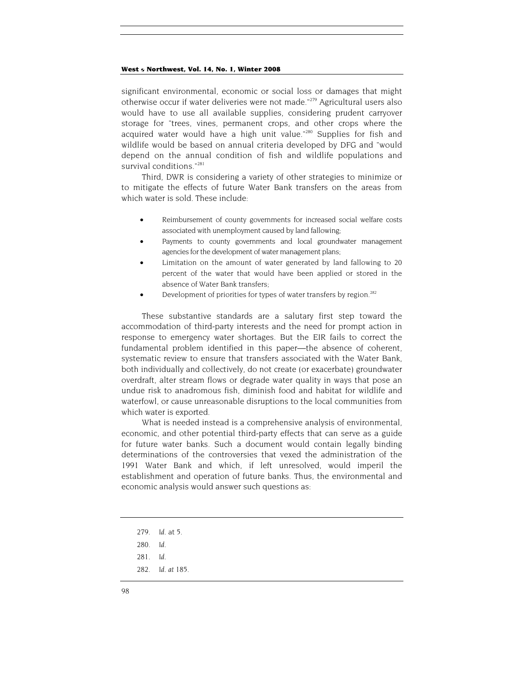significant environmental, economic or social loss or damages that might otherwise occur if water deliveries were not made."<sup>279</sup> Agricultural users also would have to use all available supplies, considering prudent carryover storage for "trees, vines, permanent crops, and other crops where the acquired water would have a high unit value."<sup>280</sup> Supplies for fish and wildlife would be based on annual criteria developed by DFG and "would depend on the annual condition of fish and wildlife populations and survival conditions."<sup>[281](#page-58-2)</sup>

Third, DWR is considering a variety of other strategies to minimize or to mitigate the effects of future Water Bank transfers on the areas from which water is sold. These include:

- Reimbursement of county governments for increased social welfare costs associated with unemployment caused by land fallowing;
- Payments to county governments and local groundwater management agencies for the development of water management plans;
- Limitation on the amount of water generated by land fallowing to 20 percent of the water that would have been applied or stored in the absence of Water Bank transfers;
- Development of priorities for types of water transfers by region.<sup>[282](#page-58-3)</sup>

These substantive standards are a salutary first step toward the accommodation of third-party interests and the need for prompt action in response to emergency water shortages. But the EIR fails to correct the fundamental problem identified in this paper—the absence of coherent, systematic review to ensure that transfers associated with the Water Bank, both individually and collectively, do not create (or exacerbate) groundwater overdraft, alter stream flows or degrade water quality in ways that pose an undue risk to anadromous fish, diminish food and habitat for wildlife and waterfowl, or cause unreasonable disruptions to the local communities from which water is exported.

What is needed instead is a comprehensive analysis of environmental, economic, and other potential third-party effects that can serve as a guide for future water banks. Such a document would contain legally binding determinations of the controversies that vexed the administration of the 1991 Water Bank and which, if left unresolved, would imperil the establishment and operation of future banks. Thus, the environmental and economic analysis would answer such questions as:

<span id="page-58-0"></span><sup>279</sup>*. Id.* at 5.

<span id="page-58-1"></span><sup>280</sup>*. Id.*

<span id="page-58-2"></span><sup>281</sup>*. Id.*

<span id="page-58-3"></span><sup>282</sup>*. Id. at 185.*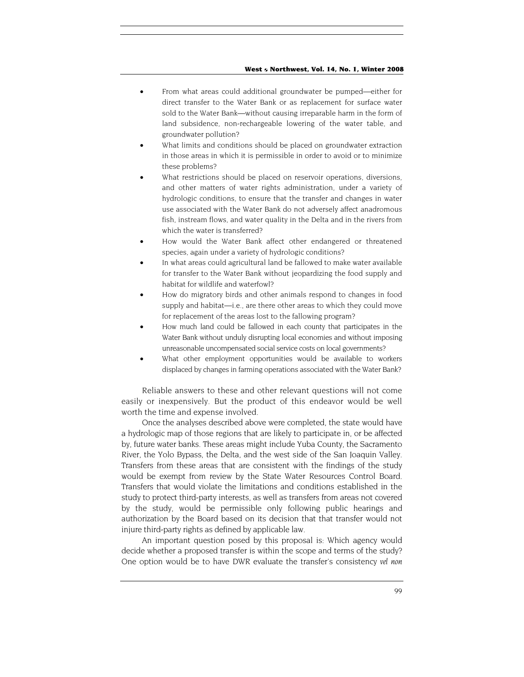- From what areas could additional groundwater be pumped—either for direct transfer to the Water Bank or as replacement for surface water sold to the Water Bank—without causing irreparable harm in the form of land subsidence, non-rechargeable lowering of the water table, and groundwater pollution?
- What limits and conditions should be placed on groundwater extraction in those areas in which it is permissible in order to avoid or to minimize these problems?
- What restrictions should be placed on reservoir operations, diversions, and other matters of water rights administration, under a variety of hydrologic conditions, to ensure that the transfer and changes in water use associated with the Water Bank do not adversely affect anadromous fish, instream flows, and water quality in the Delta and in the rivers from which the water is transferred?
- How would the Water Bank affect other endangered or threatened species, again under a variety of hydrologic conditions?
- In what areas could agricultural land be fallowed to make water available for transfer to the Water Bank without jeopardizing the food supply and habitat for wildlife and waterfowl?
- How do migratory birds and other animals respond to changes in food supply and habitat—i.e., are there other areas to which they could move for replacement of the areas lost to the fallowing program?
- How much land could be fallowed in each county that participates in the Water Bank without unduly disrupting local economies and without imposing unreasonable uncompensated social service costs on local governments?
- What other employment opportunities would be available to workers displaced by changes in farming operations associated with the Water Bank?

Reliable answers to these and other relevant questions will not come easily or inexpensively. But the product of this endeavor would be well worth the time and expense involved.

Once the analyses described above were completed, the state would have a hydrologic map of those regions that are likely to participate in, or be affected by, future water banks. These areas might include Yuba County, the Sacramento River, the Yolo Bypass, the Delta, and the west side of the San Joaquin Valley. Transfers from these areas that are consistent with the findings of the study would be exempt from review by the State Water Resources Control Board. Transfers that would violate the limitations and conditions established in the study to protect third-party interests, as well as transfers from areas not covered by the study, would be permissible only following public hearings and authorization by the Board based on its decision that that transfer would not injure third-party rights as defined by applicable law.

An important question posed by this proposal is: Which agency would decide whether a proposed transfer is within the scope and terms of the study? One option would be to have DWR evaluate the transfer's consistency *vel non*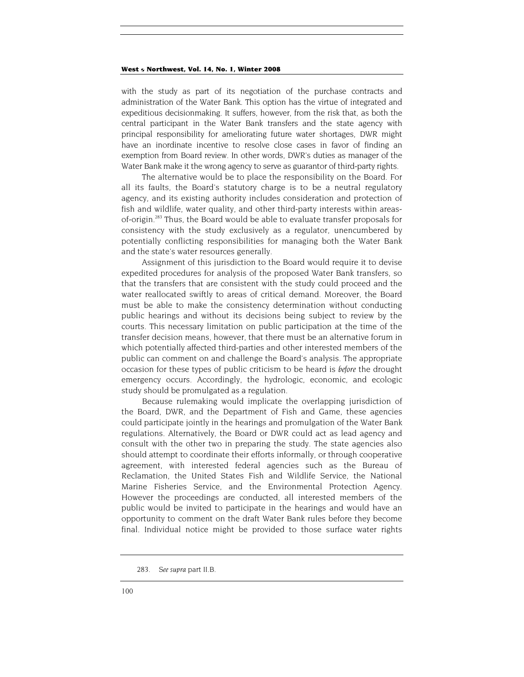with the study as part of its negotiation of the purchase contracts and administration of the Water Bank. This option has the virtue of integrated and expeditious decisionmaking. It suffers, however, from the risk that, as both the central participant in the Water Bank transfers and the state agency with principal responsibility for ameliorating future water shortages, DWR might have an inordinate incentive to resolve close cases in favor of finding an exemption from Board review. In other words, DWR's duties as manager of the Water Bank make it the wrong agency to serve as guarantor of third-party rights.

The alternative would be to place the responsibility on the Board. For all its faults, the Board's statutory charge is to be a neutral regulatory agency, and its existing authority includes consideration and protection of fish and wildlife, water quality, and other third-party interests within areasof-origin.[283 T](#page-60-0)hus, the Board would be able to evaluate transfer proposals for consistency with the study exclusively as a regulator, unencumbered by potentially conflicting responsibilities for managing both the Water Bank and the state's water resources generally.

Assignment of this jurisdiction to the Board would require it to devise expedited procedures for analysis of the proposed Water Bank transfers, so that the transfers that are consistent with the study could proceed and the water reallocated swiftly to areas of critical demand. Moreover, the Board must be able to make the consistency determination without conducting public hearings and without its decisions being subject to review by the courts. This necessary limitation on public participation at the time of the transfer decision means, however, that there must be an alternative forum in which potentially affected third-parties and other interested members of the public can comment on and challenge the Board's analysis. The appropriate occasion for these types of public criticism to be heard is *before* the drought emergency occurs. Accordingly, the hydrologic, economic, and ecologic study should be promulgated as a regulation.

Because rulemaking would implicate the overlapping jurisdiction of the Board, DWR, and the Department of Fish and Game, these agencies could participate jointly in the hearings and promulgation of the Water Bank regulations. Alternatively, the Board or DWR could act as lead agency and consult with the other two in preparing the study. The state agencies also should attempt to coordinate their efforts informally, or through cooperative agreement, with interested federal agencies such as the Bureau of Reclamation, the United States Fish and Wildlife Service, the National Marine Fisheries Service, and the Environmental Protection Agency. However the proceedings are conducted, all interested members of the public would be invited to participate in the hearings and would have an opportunity to comment on the draft Water Bank rules before they become final. Individual notice might be provided to those surface water rights

<span id="page-60-0"></span><sup>283</sup>*. See supra* part II.B.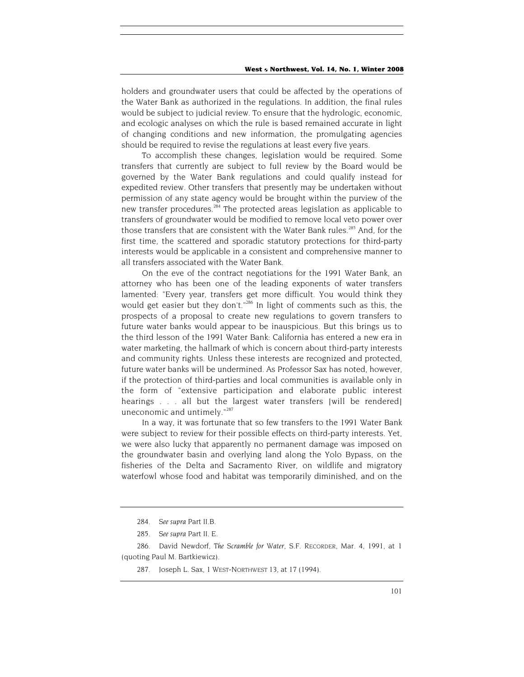holders and groundwater users that could be affected by the operations of the Water Bank as authorized in the regulations. In addition, the final rules would be subject to judicial review. To ensure that the hydrologic, economic, and ecologic analyses on which the rule is based remained accurate in light of changing conditions and new information, the promulgating agencies should be required to revise the regulations at least every five years.

To accomplish these changes, legislation would be required. Some transfers that currently are subject to full review by the Board would be governed by the Water Bank regulations and could qualify instead for expedited review. Other transfers that presently may be undertaken without permission of any state agency would be brought within the purview of the new transfer procedures.<sup>284</sup> The protected areas legislation as applicable to transfers of groundwater would be modified to remove local veto power over those transfers that are consistent with the Water Bank rules.<sup>285</sup> And, for the first time, the scattered and sporadic statutory protections for third-party interests would be applicable in a consistent and comprehensive manner to all transfers associated with the Water Bank.

On the eve of the contract negotiations for the 1991 Water Bank, an attorney who has been one of the leading exponents of water transfers lamented: "Every year, transfers get more difficult. You would think they would get easier but they don't."<sup>286</sup> In light of comments such as this, the prospects of a proposal to create new regulations to govern transfers to future water banks would appear to be inauspicious. But this brings us to the third lesson of the 1991 Water Bank: California has entered a new era in water marketing, the hallmark of which is concern about third-party interests and community rights. Unless these interests are recognized and protected, future water banks will be undermined. As Professor Sax has noted, however, if the protection of third-parties and local communities is available only in the form of "extensive participation and elaborate public interest hearings . . . all but the largest water transfers [will be rendered] uneconomic and untimely."[287](#page-61-3)

In a way, it was fortunate that so few transfers to the 1991 Water Bank were subject to review for their possible effects on third-party interests. Yet, we were also lucky that apparently no permanent damage was imposed on the groundwater basin and overlying land along the Yolo Bypass, on the fisheries of the Delta and Sacramento River, on wildlife and migratory waterfowl whose food and habitat was temporarily diminished, and on the

<span id="page-61-3"></span>287. Joseph L. Sax, 1 WEST-NORTHWEST 13, at 17 (1994).

<span id="page-61-0"></span><sup>284</sup>*. See supra* Part II.B.

<span id="page-61-1"></span><sup>285</sup>*. See supra* Part II. E.

<span id="page-61-2"></span><sup>286.</sup> David Newdorf, *The Scramble for Water*, S.F. RECORDER, Mar. 4, 1991, at 1 (quoting Paul M. Bartkiewicz).